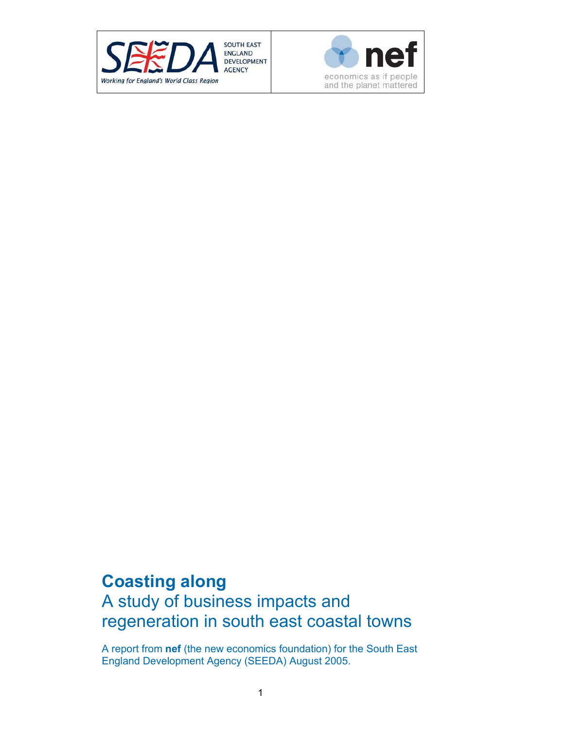



# **Coasting along**  A study of business impacts and regeneration in south east coastal towns

A report from **nef** (the new economics foundation) for the South East England Development Agency (SEEDA) August 2005.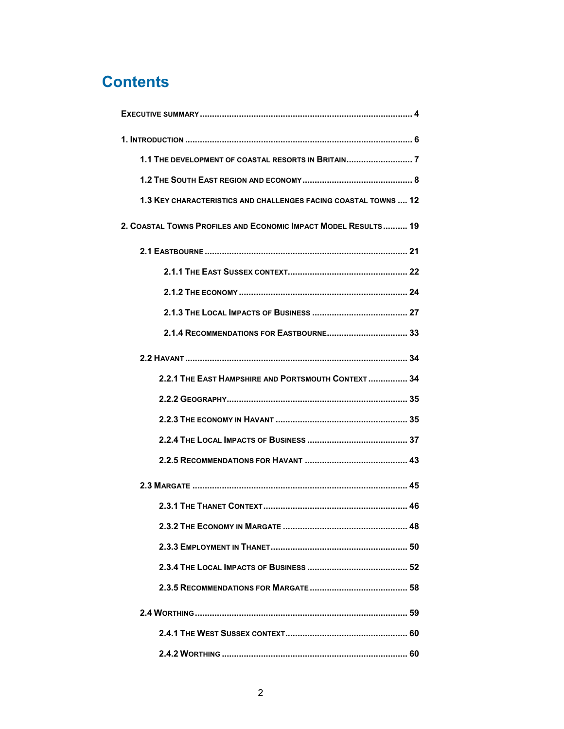# **Contents**

| <b>1.3 KEY CHARACTERISTICS AND CHALLENGES FACING COASTAL TOWNS  12</b> |
|------------------------------------------------------------------------|
| 2. COASTAL TOWNS PROFILES AND ECONOMIC IMPACT MODEL RESULTS 19         |
|                                                                        |
|                                                                        |
|                                                                        |
|                                                                        |
|                                                                        |
|                                                                        |
| 2.2.1 THE EAST HAMPSHIRE AND PORTSMOUTH CONTEXT 34                     |
|                                                                        |
|                                                                        |
|                                                                        |
|                                                                        |
|                                                                        |
|                                                                        |
|                                                                        |
|                                                                        |
|                                                                        |
|                                                                        |
|                                                                        |
|                                                                        |
|                                                                        |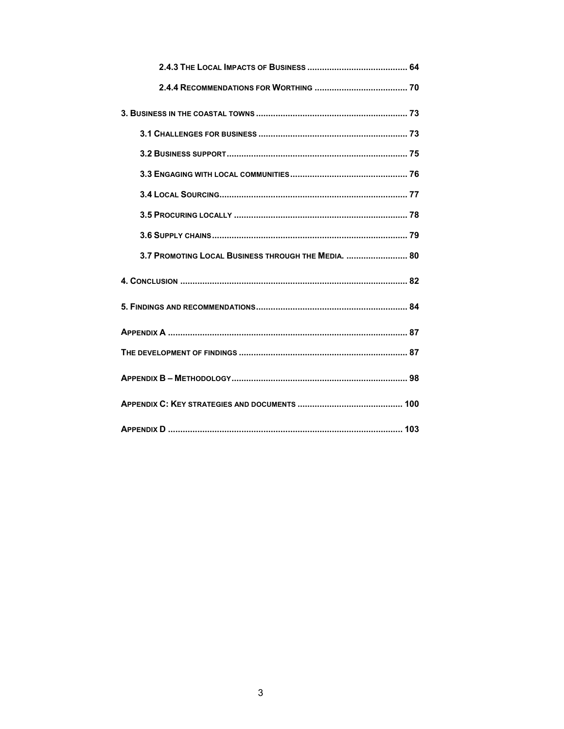| 3.7 PROMOTING LOCAL BUSINESS THROUGH THE MEDIA.  80 |
|-----------------------------------------------------|
|                                                     |
|                                                     |
|                                                     |
|                                                     |
|                                                     |
|                                                     |
|                                                     |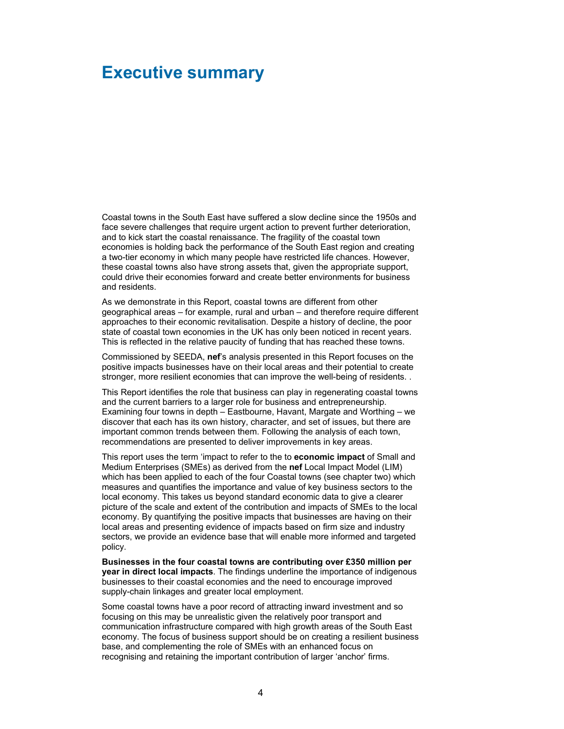# **Executive summary**

Coastal towns in the South East have suffered a slow decline since the 1950s and face severe challenges that require urgent action to prevent further deterioration, and to kick start the coastal renaissance. The fragility of the coastal town economies is holding back the performance of the South East region and creating a two-tier economy in which many people have restricted life chances. However, these coastal towns also have strong assets that, given the appropriate support, could drive their economies forward and create better environments for business and residents.

As we demonstrate in this Report, coastal towns are different from other geographical areas – for example, rural and urban – and therefore require different approaches to their economic revitalisation. Despite a history of decline, the poor state of coastal town economies in the UK has only been noticed in recent years. This is reflected in the relative paucity of funding that has reached these towns.

Commissioned by SEEDA, **nef**'s analysis presented in this Report focuses on the positive impacts businesses have on their local areas and their potential to create stronger, more resilient economies that can improve the well-being of residents. .

This Report identifies the role that business can play in regenerating coastal towns and the current barriers to a larger role for business and entrepreneurship. Examining four towns in depth – Eastbourne, Havant, Margate and Worthing – we discover that each has its own history, character, and set of issues, but there are important common trends between them. Following the analysis of each town, recommendations are presented to deliver improvements in key areas.

This report uses the term 'impact to refer to the to **economic impact** of Small and Medium Enterprises (SMEs) as derived from the **nef** Local Impact Model (LIM) which has been applied to each of the four Coastal towns (see chapter two) which measures and quantifies the importance and value of key business sectors to the local economy. This takes us beyond standard economic data to give a clearer picture of the scale and extent of the contribution and impacts of SMEs to the local economy. By quantifying the positive impacts that businesses are having on their local areas and presenting evidence of impacts based on firm size and industry sectors, we provide an evidence base that will enable more informed and targeted policy.

**Businesses in the four coastal towns are contributing over £350 million per year in direct local impacts**. The findings underline the importance of indigenous businesses to their coastal economies and the need to encourage improved supply-chain linkages and greater local employment.

Some coastal towns have a poor record of attracting inward investment and so focusing on this may be unrealistic given the relatively poor transport and communication infrastructure compared with high growth areas of the South East economy. The focus of business support should be on creating a resilient business base, and complementing the role of SMEs with an enhanced focus on recognising and retaining the important contribution of larger 'anchor' firms.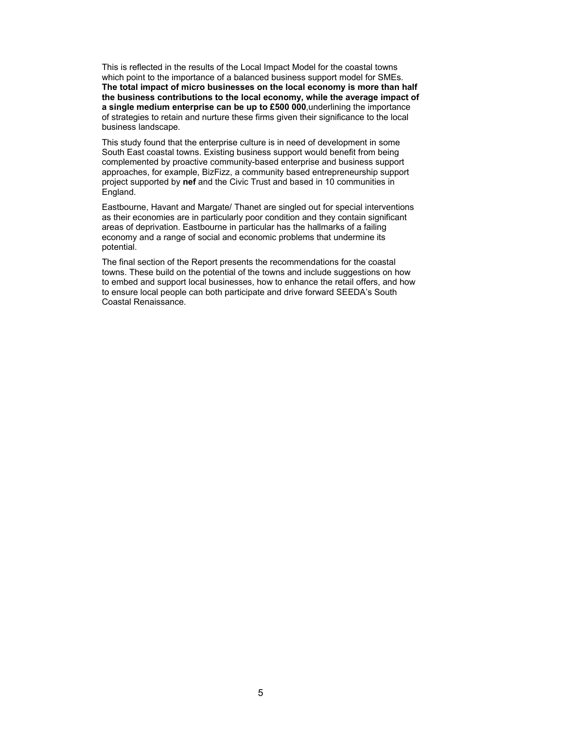This is reflected in the results of the Local Impact Model for the coastal towns which point to the importance of a balanced business support model for SMEs. **The total impact of micro businesses on the local economy is more than half the business contributions to the local economy, while the average impact of a single medium enterprise can be up to £500 000**,underlining the importance of strategies to retain and nurture these firms given their significance to the local business landscape.

This study found that the enterprise culture is in need of development in some South East coastal towns. Existing business support would benefit from being complemented by proactive community-based enterprise and business support approaches, for example, BizFizz, a community based entrepreneurship support project supported by **nef** and the Civic Trust and based in 10 communities in England.

Eastbourne, Havant and Margate/ Thanet are singled out for special interventions as their economies are in particularly poor condition and they contain significant areas of deprivation. Eastbourne in particular has the hallmarks of a failing economy and a range of social and economic problems that undermine its potential.

The final section of the Report presents the recommendations for the coastal towns. These build on the potential of the towns and include suggestions on how to embed and support local businesses, how to enhance the retail offers, and how to ensure local people can both participate and drive forward SEEDA's South Coastal Renaissance.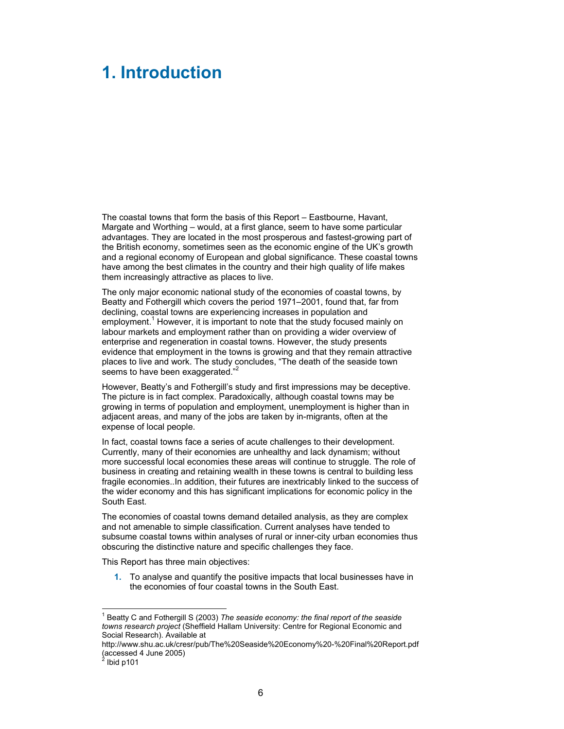# **1. Introduction**

The coastal towns that form the basis of this Report – Eastbourne, Havant, Margate and Worthing – would, at a first glance, seem to have some particular advantages. They are located in the most prosperous and fastest-growing part of the British economy, sometimes seen as the economic engine of the UK's growth and a regional economy of European and global significance. These coastal towns have among the best climates in the country and their high quality of life makes them increasingly attractive as places to live.

The only major economic national study of the economies of coastal towns, by Beatty and Fothergill which covers the period 1971–2001, found that, far from declining, coastal towns are experiencing increases in population and employment.<sup>1</sup> However, it is important to note that the study focused mainly on labour markets and employment rather than on providing a wider overview of enterprise and regeneration in coastal towns. However, the study presents evidence that employment in the towns is growing and that they remain attractive places to live and work. The study concludes, "The death of the seaside town seems to have been exaggerated."

However, Beatty's and Fothergill's study and first impressions may be deceptive. The picture is in fact complex. Paradoxically, although coastal towns may be growing in terms of population and employment, unemployment is higher than in adjacent areas, and many of the jobs are taken by in-migrants, often at the expense of local people.

In fact, coastal towns face a series of acute challenges to their development. Currently, many of their economies are unhealthy and lack dynamism; without more successful local economies these areas will continue to struggle. The role of business in creating and retaining wealth in these towns is central to building less fragile economies..In addition, their futures are inextricably linked to the success of the wider economy and this has significant implications for economic policy in the South East.

The economies of coastal towns demand detailed analysis, as they are complex and not amenable to simple classification. Current analyses have tended to subsume coastal towns within analyses of rural or inner-city urban economies thus obscuring the distinctive nature and specific challenges they face.

This Report has three main objectives:

**1.** To analyse and quantify the positive impacts that local businesses have in the economies of four coastal towns in the South East.

l

<sup>&</sup>lt;sup>1</sup> Beatty C and Fothergill S (2003) The seaside economy: the final report of the seaside *towns research project* (Sheffield Hallam University: Centre for Regional Economic and Social Research). Available at

http://www.shu.ac.uk/cresr/pub/The%20Seaside%20Economy%20-%20Final%20Report.pdf (accessed 4 June 2005)<br><sup>2</sup> Ibid p101

 $<sup>2</sup> Ibid p101$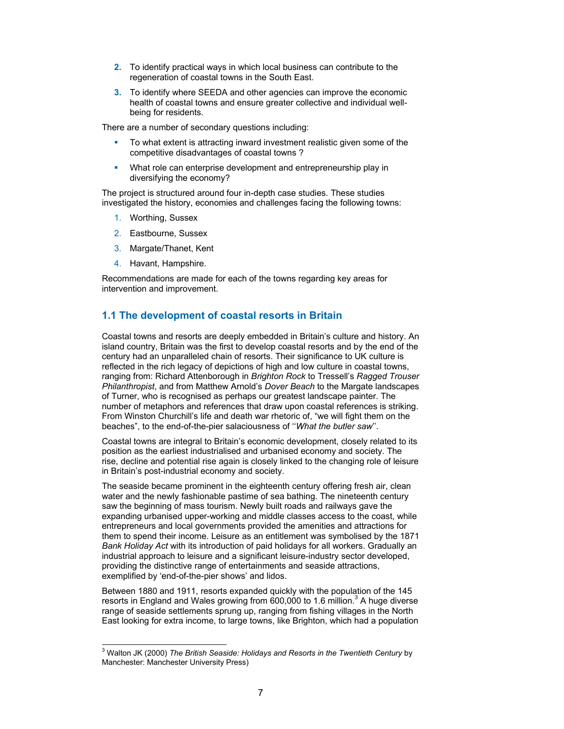- **2.** To identify practical ways in which local business can contribute to the regeneration of coastal towns in the South East.
- **3.** To identify where SEEDA and other agencies can improve the economic health of coastal towns and ensure greater collective and individual wellbeing for residents.

There are a number of secondary questions including:

- To what extent is attracting inward investment realistic given some of the competitive disadvantages of coastal towns ?
- What role can enterprise development and entrepreneurship play in diversifying the economy?

The project is structured around four in-depth case studies. These studies investigated the history, economies and challenges facing the following towns:

- 1. Worthing, Sussex
- 2. Eastbourne, Sussex
- 3. Margate/Thanet, Kent
- 4. Havant, Hampshire.

Recommendations are made for each of the towns regarding key areas for intervention and improvement.

## **1.1 The development of coastal resorts in Britain**

Coastal towns and resorts are deeply embedded in Britain's culture and history. An island country, Britain was the first to develop coastal resorts and by the end of the century had an unparalleled chain of resorts. Their significance to UK culture is reflected in the rich legacy of depictions of high and low culture in coastal towns, ranging from: Richard Attenborough in *Brighton Rock* to Tressell's *Ragged Trouser Philanthropist*, and from Matthew Arnold's *Dover Beach* to the Margate landscapes of Turner, who is recognised as perhaps our greatest landscape painter. The number of metaphors and references that draw upon coastal references is striking. From Winston Churchill's life and death war rhetoric of, "we will fight them on the beaches", to the end-of-the-pier salaciousness of ''*What the butler saw*''.

Coastal towns are integral to Britain's economic development, closely related to its position as the earliest industrialised and urbanised economy and society. The rise, decline and potential rise again is closely linked to the changing role of leisure in Britain's post-industrial economy and society.

The seaside became prominent in the eighteenth century offering fresh air, clean water and the newly fashionable pastime of sea bathing. The nineteenth century saw the beginning of mass tourism. Newly built roads and railways gave the expanding urbanised upper-working and middle classes access to the coast, while entrepreneurs and local governments provided the amenities and attractions for them to spend their income. Leisure as an entitlement was symbolised by the 1871 *Bank Holiday Act* with its introduction of paid holidays for all workers. Gradually an industrial approach to leisure and a significant leisure-industry sector developed, providing the distinctive range of entertainments and seaside attractions, exemplified by 'end-of-the-pier shows' and lidos.

Between 1880 and 1911, resorts expanded quickly with the population of the 145 resorts in England and Wales growing from 600,000 to 1.6 million.<sup>3</sup> A huge diverse range of seaside settlements sprung up, ranging from fishing villages in the North East looking for extra income, to large towns, like Brighton, which had a population

 3 Walton JK (2000) *The British Seaside: Holidays and Resorts in the Twentieth Century* by Manchester: Manchester University Press)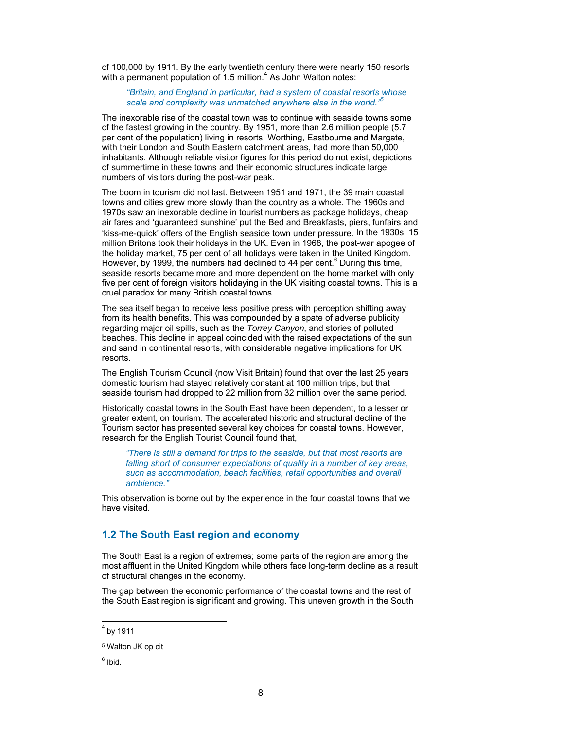of 100,000 by 1911. By the early twentieth century there were nearly 150 resorts with a permanent population of 1.5 million.<sup>4</sup> As John Walton notes:

*"Britain, and England in particular, had a system of coastal resorts whose scale and complexity was unmatched anywhere else in the world."5*

The inexorable rise of the coastal town was to continue with seaside towns some of the fastest growing in the country. By 1951, more than 2.6 million people (5.7 per cent of the population) living in resorts. Worthing, Eastbourne and Margate, with their London and South Eastern catchment areas, had more than 50,000 inhabitants. Although reliable visitor figures for this period do not exist, depictions of summertime in these towns and their economic structures indicate large numbers of visitors during the post-war peak.

The boom in tourism did not last. Between 1951 and 1971, the 39 main coastal towns and cities grew more slowly than the country as a whole. The 1960s and 1970s saw an inexorable decline in tourist numbers as package holidays, cheap air fares and 'guaranteed sunshine' put the Bed and Breakfasts, piers, funfairs and 'kiss-me-quick' offers of the English seaside town under pressure. In the 1930s, 15 million Britons took their holidays in the UK. Even in 1968, the post-war apogee of the holiday market, 75 per cent of all holidays were taken in the United Kingdom. However, by 1999, the numbers had declined to 44 per cent. $^6$  During this time, seaside resorts became more and more dependent on the home market with only five per cent of foreign visitors holidaying in the UK visiting coastal towns. This is a cruel paradox for many British coastal towns.

The sea itself began to receive less positive press with perception shifting away from its health benefits. This was compounded by a spate of adverse publicity regarding major oil spills, such as the *Torrey Canyon*, and stories of polluted beaches. This decline in appeal coincided with the raised expectations of the sun and sand in continental resorts, with considerable negative implications for UK resorts.

The English Tourism Council (now Visit Britain) found that over the last 25 years domestic tourism had stayed relatively constant at 100 million trips, but that seaside tourism had dropped to 22 million from 32 million over the same period.

Historically coastal towns in the South East have been dependent, to a lesser or greater extent, on tourism. The accelerated historic and structural decline of the Tourism sector has presented several key choices for coastal towns. However, research for the English Tourist Council found that,

*"There is still a demand for trips to the seaside, but that most resorts are falling short of consumer expectations of quality in a number of key areas, such as accommodation, beach facilities, retail opportunities and overall ambience."* 

This observation is borne out by the experience in the four coastal towns that we have visited.

### **1.2 The South East region and economy**

The South East is a region of extremes; some parts of the region are among the most affluent in the United Kingdom while others face long-term decline as a result of structural changes in the economy.

The gap between the economic performance of the coastal towns and the rest of the South East region is significant and growing. This uneven growth in the South

l

 $^4$  by 1911

<sup>5</sup> Walton JK op cit

<sup>&</sup>lt;sup>6</sup> Ibid.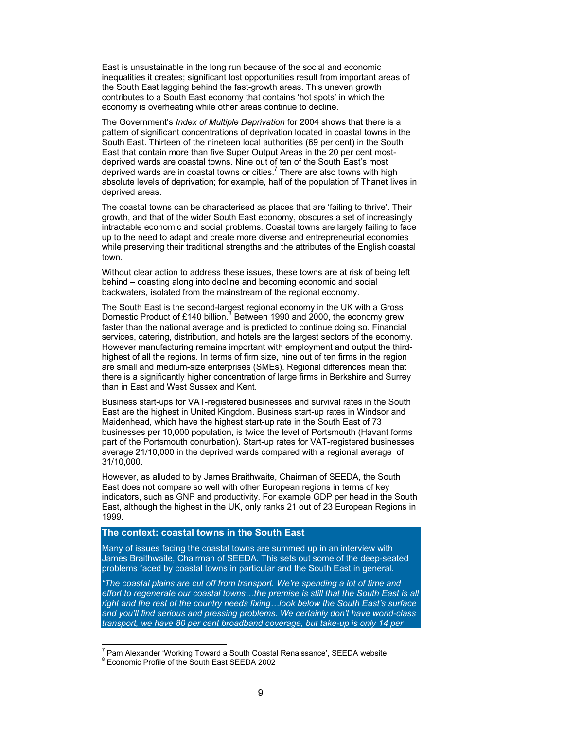East is unsustainable in the long run because of the social and economic inequalities it creates; significant lost opportunities result from important areas of the South East lagging behind the fast-growth areas. This uneven growth contributes to a South East economy that contains 'hot spots' in which the economy is overheating while other areas continue to decline.

The Government's *Index of Multiple Deprivation* for 2004 shows that there is a pattern of significant concentrations of deprivation located in coastal towns in the South East. Thirteen of the nineteen local authorities (69 per cent) in the South East that contain more than five Super Output Areas in the 20 per cent mostdeprived wards are coastal towns. Nine out of ten of the South East's most deprived wards are in coastal towns or cities.<sup>7</sup> There are also towns with high absolute levels of deprivation; for example, half of the population of Thanet lives in deprived areas.

The coastal towns can be characterised as places that are 'failing to thrive'. Their growth, and that of the wider South East economy, obscures a set of increasingly intractable economic and social problems. Coastal towns are largely failing to face up to the need to adapt and create more diverse and entrepreneurial economies while preserving their traditional strengths and the attributes of the English coastal town.

Without clear action to address these issues, these towns are at risk of being left behind – coasting along into decline and becoming economic and social backwaters, isolated from the mainstream of the regional economy.

The South East is the second-largest regional economy in the UK with a Gross Domestic Product of £140 billion.<sup>8</sup> Between 1990 and 2000, the economy grew faster than the national average and is predicted to continue doing so. Financial services, catering, distribution, and hotels are the largest sectors of the economy. However manufacturing remains important with employment and output the thirdhighest of all the regions. In terms of firm size, nine out of ten firms in the region are small and medium-size enterprises (SMEs). Regional differences mean that there is a significantly higher concentration of large firms in Berkshire and Surrey than in East and West Sussex and Kent.

Business start-ups for VAT-registered businesses and survival rates in the South East are the highest in United Kingdom. Business start-up rates in Windsor and Maidenhead, which have the highest start-up rate in the South East of 73 businesses per 10,000 population, is twice the level of Portsmouth (Havant forms part of the Portsmouth conurbation). Start-up rates for VAT-registered businesses average 21/10,000 in the deprived wards compared with a regional average of 31/10,000.

However, as alluded to by James Braithwaite, Chairman of SEEDA, the South East does not compare so well with other European regions in terms of key indicators, such as GNP and productivity. For example GDP per head in the South East, although the highest in the UK, only ranks 21 out of 23 European Regions in 1999.

### **The context: coastal towns in the South East**

Many of issues facing the coastal towns are summed up in an interview with James Braithwaite, Chairman of SEEDA. This sets out some of the deep-seated problems faced by coastal towns in particular and the South East in general.

*"The coastal plains are cut off from transport. We're spending a lot of time and*  effort to regenerate our coastal towns...the premise is still that the South East is all *right and the rest of the country needs fixing…look below the South East's surface and you'll find serious and pressing problems. We certainly don't have world-class transport, we have 80 per cent broadband coverage, but take-up is only 14 per* 

<sup>&</sup>lt;sup>7</sup> Pam Alexander 'Working Toward a South Coastal Renaissance', SEEDA website<br><sup>8</sup> Economic Profile of the South Foot SEEDA 2002

<sup>&</sup>lt;sup>8</sup> Economic Profile of the South East SEEDA 2002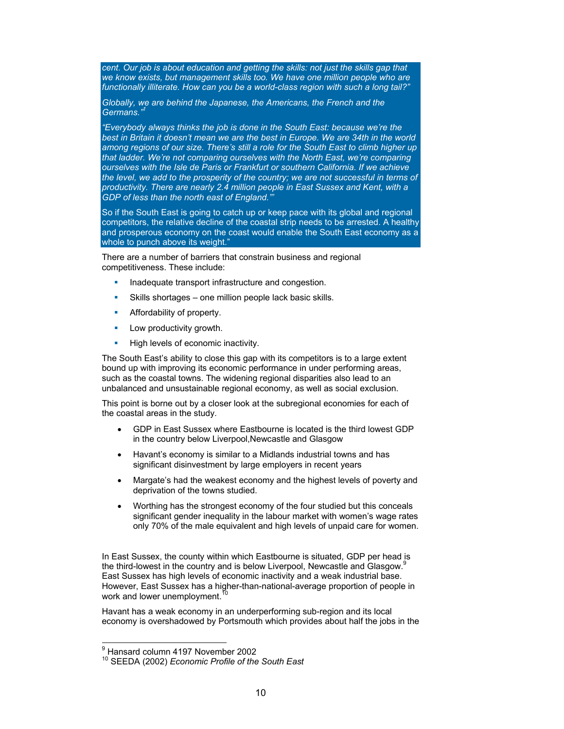*cent. Our job is about education and getting the skills: not just the skills gap that we know exists, but management skills too. We have one million people who are functionally illiterate. How can you be a world-class region with such a long tail?"* 

*Globally, we are behind the Japanese, the Americans, the French and the*  Germans.

*"Everybody always thinks the job is done in the South East: because we're the best in Britain it doesn't mean we are the best in Europe. We are 34th in the world among regions of our size. There's still a role for the South East to climb higher up that ladder. We're not comparing ourselves with the North East, we're comparing ourselves with the Isle de Paris or Frankfurt or southern California. If we achieve the level, we add to the prosperity of the country; we are not successful in terms of productivity. There are nearly 2.4 million people in East Sussex and Kent, with a GDP of less than the north east of England."'*

So if the South East is going to catch up or keep pace with its global and regional competitors, the relative decline of the coastal strip needs to be arrested. A healthy and prosperous economy on the coast would enable the South East economy as a whole to punch above its weight.

There are a number of barriers that constrain business and regional competitiveness. These include:

- **Inadequate transport infrastructure and congestion.**
- Skills shortages one million people lack basic skills.
- **Affordability of property.**
- **Low productivity growth.**
- **High levels of economic inactivity.**

The South East's ability to close this gap with its competitors is to a large extent bound up with improving its economic performance in under performing areas, such as the coastal towns. The widening regional disparities also lead to an unbalanced and unsustainable regional economy, as well as social exclusion.

This point is borne out by a closer look at the subregional economies for each of the coastal areas in the study.

- GDP in East Sussex where Eastbourne is located is the third lowest GDP in the country below Liverpool,Newcastle and Glasgow
- Havant's economy is similar to a Midlands industrial towns and has significant disinvestment by large employers in recent years
- Margate's had the weakest economy and the highest levels of poverty and deprivation of the towns studied.
- Worthing has the strongest economy of the four studied but this conceals significant gender inequality in the labour market with women's wage rates only 70% of the male equivalent and high levels of unpaid care for women.

In East Sussex, the county within which Eastbourne is situated, GDP per head is the third-lowest in the country and is below Liverpool, Newcastle and Glasgow.<sup>9</sup> East Sussex has high levels of economic inactivity and a weak industrial base. However, East Sussex has a higher-than-national-average proportion of people in work and lower unemployment.<sup>10</sup>

Havant has a weak economy in an underperforming sub-region and its local economy is overshadowed by Portsmouth which provides about half the jobs in the

<sup>-&</sup>lt;br>9 Hansard column 4197 November 2002

<sup>10</sup> SEEDA (2002) *Economic Profile of the South East*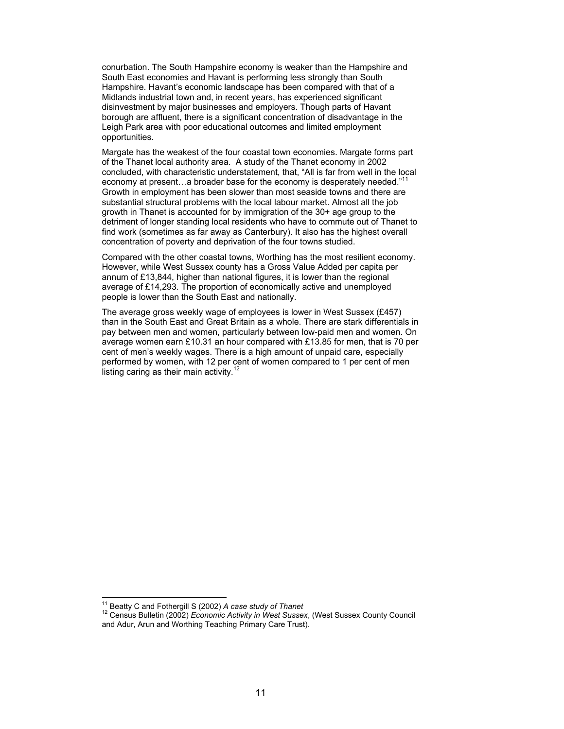conurbation. The South Hampshire economy is weaker than the Hampshire and South East economies and Havant is performing less strongly than South Hampshire. Havant's economic landscape has been compared with that of a Midlands industrial town and, in recent years, has experienced significant disinvestment by major businesses and employers. Though parts of Havant borough are affluent, there is a significant concentration of disadvantage in the Leigh Park area with poor educational outcomes and limited employment opportunities.

Margate has the weakest of the four coastal town economies. Margate forms part of the Thanet local authority area. A study of the Thanet economy in 2002 concluded, with characteristic understatement, that, "All is far from well in the local economy at present...a broader base for the economy is desperately needed.<sup>"11</sup> Growth in employment has been slower than most seaside towns and there are substantial structural problems with the local labour market. Almost all the job growth in Thanet is accounted for by immigration of the 30+ age group to the detriment of longer standing local residents who have to commute out of Thanet to find work (sometimes as far away as Canterbury). It also has the highest overall concentration of poverty and deprivation of the four towns studied.

Compared with the other coastal towns, Worthing has the most resilient economy. However, while West Sussex county has a Gross Value Added per capita per annum of £13,844, higher than national figures, it is lower than the regional average of £14,293. The proportion of economically active and unemployed people is lower than the South East and nationally.

The average gross weekly wage of employees is lower in West Sussex (£457) than in the South East and Great Britain as a whole. There are stark differentials in pay between men and women, particularly between low-paid men and women. On average women earn £10.31 an hour compared with £13.85 for men, that is 70 per cent of men's weekly wages. There is a high amount of unpaid care, especially performed by women, with 12 per cent of women compared to 1 per cent of men listing caring as their main activity.<sup>12</sup>

<sup>&</sup>lt;sup>11</sup> Beatty C and Fothergill S (2002) A case study of Thanet

<sup>&</sup>lt;sup>12</sup> Census Bulletin (2002) *Economic Activity in West Sussex*, (West Sussex County Council and Adur, Arun and Worthing Teaching Primary Care Trust).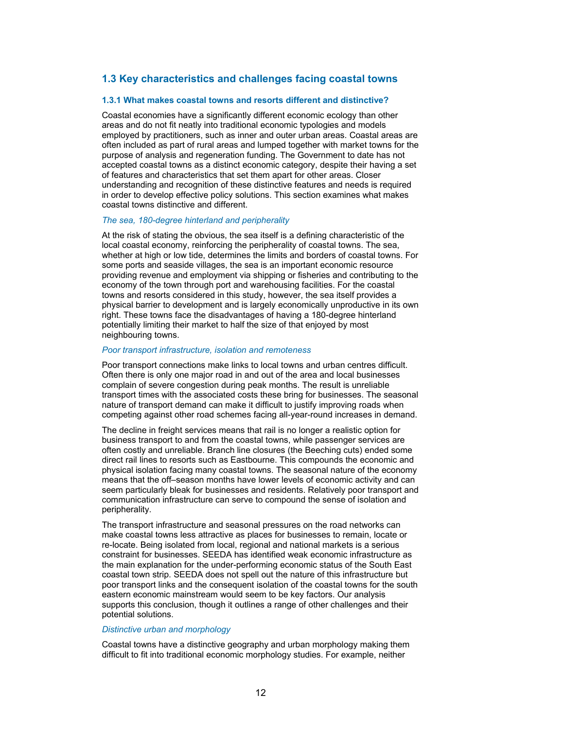## **1.3 Key characteristics and challenges facing coastal towns**

#### **1.3.1 What makes coastal towns and resorts different and distinctive?**

Coastal economies have a significantly different economic ecology than other areas and do not fit neatly into traditional economic typologies and models employed by practitioners, such as inner and outer urban areas. Coastal areas are often included as part of rural areas and lumped together with market towns for the purpose of analysis and regeneration funding. The Government to date has not accepted coastal towns as a distinct economic category, despite their having a set of features and characteristics that set them apart for other areas. Closer understanding and recognition of these distinctive features and needs is required in order to develop effective policy solutions. This section examines what makes coastal towns distinctive and different.

#### *The sea, 180-degree hinterland and peripherality*

At the risk of stating the obvious, the sea itself is a defining characteristic of the local coastal economy, reinforcing the peripherality of coastal towns. The sea, whether at high or low tide, determines the limits and borders of coastal towns. For some ports and seaside villages, the sea is an important economic resource providing revenue and employment via shipping or fisheries and contributing to the economy of the town through port and warehousing facilities. For the coastal towns and resorts considered in this study, however, the sea itself provides a physical barrier to development and is largely economically unproductive in its own right. These towns face the disadvantages of having a 180-degree hinterland potentially limiting their market to half the size of that enjoyed by most neighbouring towns.

#### *Poor transport infrastructure, isolation and remoteness*

Poor transport connections make links to local towns and urban centres difficult. Often there is only one major road in and out of the area and local businesses complain of severe congestion during peak months. The result is unreliable transport times with the associated costs these bring for businesses. The seasonal nature of transport demand can make it difficult to justify improving roads when competing against other road schemes facing all-year-round increases in demand.

The decline in freight services means that rail is no longer a realistic option for business transport to and from the coastal towns, while passenger services are often costly and unreliable. Branch line closures (the Beeching cuts) ended some direct rail lines to resorts such as Eastbourne. This compounds the economic and physical isolation facing many coastal towns. The seasonal nature of the economy means that the off–season months have lower levels of economic activity and can seem particularly bleak for businesses and residents. Relatively poor transport and communication infrastructure can serve to compound the sense of isolation and peripherality.

The transport infrastructure and seasonal pressures on the road networks can make coastal towns less attractive as places for businesses to remain, locate or re-locate. Being isolated from local, regional and national markets is a serious constraint for businesses. SEEDA has identified weak economic infrastructure as the main explanation for the under-performing economic status of the South East coastal town strip. SEEDA does not spell out the nature of this infrastructure but poor transport links and the consequent isolation of the coastal towns for the south eastern economic mainstream would seem to be key factors. Our analysis supports this conclusion, though it outlines a range of other challenges and their potential solutions.

#### *Distinctive urban and morphology*

Coastal towns have a distinctive geography and urban morphology making them difficult to fit into traditional economic morphology studies. For example, neither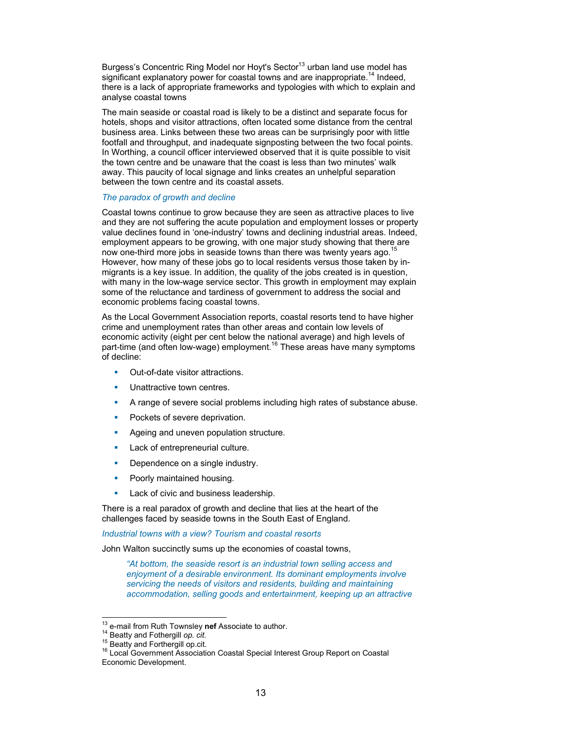Burgess's Concentric Ring Model nor Hoyt's Sector<sup>13</sup> urban land use model has significant explanatory power for coastal towns and are inappropriate.<sup>14</sup> Indeed, there is a lack of appropriate frameworks and typologies with which to explain and analyse coastal towns

The main seaside or coastal road is likely to be a distinct and separate focus for hotels, shops and visitor attractions, often located some distance from the central business area. Links between these two areas can be surprisingly poor with little footfall and throughput, and inadequate signposting between the two focal points. In Worthing, a council officer interviewed observed that it is quite possible to visit the town centre and be unaware that the coast is less than two minutes' walk away. This paucity of local signage and links creates an unhelpful separation between the town centre and its coastal assets.

#### *The paradox of growth and decline*

Coastal towns continue to grow because they are seen as attractive places to live and they are not suffering the acute population and employment losses or property value declines found in 'one-industry' towns and declining industrial areas. Indeed, employment appears to be growing, with one major study showing that there are now one-third more jobs in seaside towns than there was twenty years ago.<sup>15</sup> However, how many of these jobs go to local residents versus those taken by inmigrants is a key issue. In addition, the quality of the jobs created is in question, with many in the low-wage service sector. This growth in employment may explain some of the reluctance and tardiness of government to address the social and economic problems facing coastal towns.

As the Local Government Association reports, coastal resorts tend to have higher crime and unemployment rates than other areas and contain low levels of economic activity (eight per cent below the national average) and high levels of part-time (and often low-wage) employment.<sup>16</sup> These areas have many symptoms of decline:

- Out-of-date visitor attractions.
- **Unattractive town centres.**
- A range of severe social problems including high rates of substance abuse.
- **Pockets of severe deprivation.**
- Ageing and uneven population structure.
- **Lack of entrepreneurial culture.**
- **Dependence on a single industry.**
- **Poorly maintained housing.**
- **Lack of civic and business leadership.**

There is a real paradox of growth and decline that lies at the heart of the challenges faced by seaside towns in the South East of England.

*Industrial towns with a view? Tourism and coastal resorts* 

John Walton succinctly sums up the economies of coastal towns,

*"At bottom, the seaside resort is an industrial town selling access and enjoyment of a desirable environment. Its dominant employments involve servicing the needs of visitors and residents, building and maintaining accommodation, selling goods and entertainment, keeping up an attractive* 

<sup>&</sup>lt;sup>13</sup> e-mail from Ruth Townsley nef Associate to author.

<sup>&</sup>lt;sup>14</sup> Beatty and Fothergill *op. cit.* 15<br><sup>15</sup> Beatty and Forthergill op.cit. 15<br><sup>16</sup> Local Government Association Coastal Special Interest Group Report on Coastal Economic Development.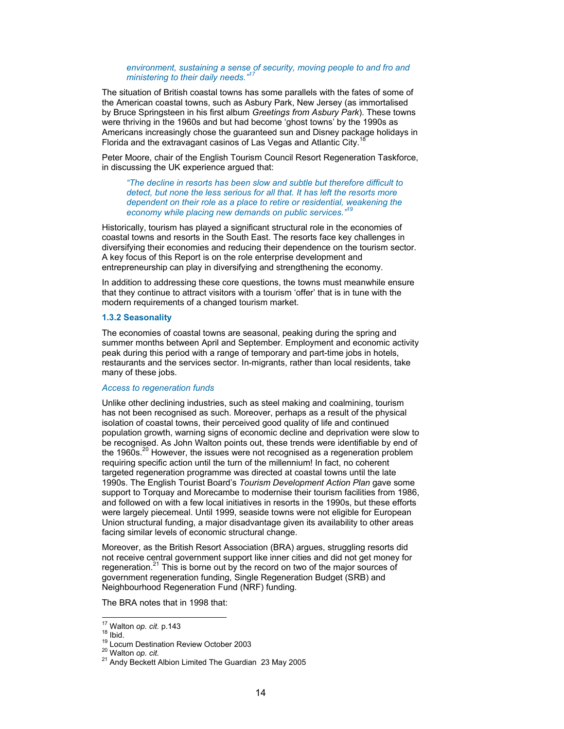#### environment, sustaining a sense of security, moving people to and fro and *ministering to their daily needs."17*

The situation of British coastal towns has some parallels with the fates of some of the American coastal towns, such as Asbury Park, New Jersey (as immortalised by Bruce Springsteen in his first album *Greetings from Asbury Park*). These towns were thriving in the 1960s and but had become 'ghost towns' by the 1990s as Americans increasingly chose the guaranteed sun and Disney package holidays in Florida and the extravagant casinos of Las Vegas and Atlantic City.<sup>1</sup>

Peter Moore, chair of the English Tourism Council Resort Regeneration Taskforce, in discussing the UK experience argued that:

*"The decline in resorts has been slow and subtle but therefore difficult to detect, but none the less serious for all that. It has left the resorts more dependent on their role as a place to retire or residential, weakening the*  economy while placing new demands on public services.<sup>"1</sup>

Historically, tourism has played a significant structural role in the economies of coastal towns and resorts in the South East. The resorts face key challenges in diversifying their economies and reducing their dependence on the tourism sector. A key focus of this Report is on the role enterprise development and entrepreneurship can play in diversifying and strengthening the economy.

In addition to addressing these core questions, the towns must meanwhile ensure that they continue to attract visitors with a tourism 'offer' that is in tune with the modern requirements of a changed tourism market.

#### **1.3.2 Seasonality**

The economies of coastal towns are seasonal, peaking during the spring and summer months between April and September. Employment and economic activity peak during this period with a range of temporary and part-time jobs in hotels, restaurants and the services sector. In-migrants, rather than local residents, take many of these jobs.

#### *Access to regeneration funds*

Unlike other declining industries, such as steel making and coalmining, tourism has not been recognised as such. Moreover, perhaps as a result of the physical isolation of coastal towns, their perceived good quality of life and continued population growth, warning signs of economic decline and deprivation were slow to be recognised. As John Walton points out, these trends were identifiable by end of the 1960s. $20$  However, the issues were not recognised as a regeneration problem requiring specific action until the turn of the millennium! In fact, no coherent targeted regeneration programme was directed at coastal towns until the late 1990s. The English Tourist Board's *Tourism Development Action Plan* gave some support to Torquay and Morecambe to modernise their tourism facilities from 1986, and followed on with a few local initiatives in resorts in the 1990s, but these efforts were largely piecemeal. Until 1999, seaside towns were not eligible for European Union structural funding, a major disadvantage given its availability to other areas facing similar levels of economic structural change.

Moreover, as the British Resort Association (BRA) argues, struggling resorts did not receive central government support like inner cities and did not get money for regeneration.<sup>21</sup> This is borne out by the record on two of the major sources of government regeneration funding, Single Regeneration Budget (SRB) and Neighbourhood Regeneration Fund (NRF) funding.

The BRA notes that in 1998 that:

<sup>&</sup>lt;sup>17</sup> Walton op. cit. p.143

<sup>18</sup> Ibid.<br><sup>19</sup> Locum Destination Review October 2003<br><sup>20</sup> Walton *op. cit.* 21 Andy Beckett Albion Limited The Guardian 23 May 2005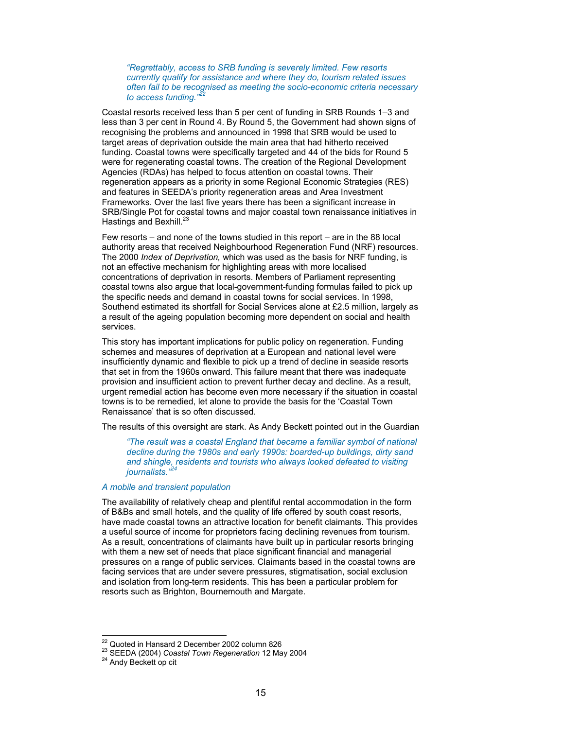*"Regrettably, access to SRB funding is severely limited. Few resorts currently qualify for assistance and where they do, tourism related issues often fail to be recognised as meeting the socio-economic criteria necessary*  to access funding."

Coastal resorts received less than 5 per cent of funding in SRB Rounds 1–3 and less than 3 per cent in Round 4. By Round 5, the Government had shown signs of recognising the problems and announced in 1998 that SRB would be used to target areas of deprivation outside the main area that had hitherto received funding. Coastal towns were specifically targeted and 44 of the bids for Round 5 were for regenerating coastal towns. The creation of the Regional Development Agencies (RDAs) has helped to focus attention on coastal towns. Their regeneration appears as a priority in some Regional Economic Strategies (RES) and features in SEEDA's priority regeneration areas and Area Investment Frameworks. Over the last five years there has been a significant increase in SRB/Single Pot for coastal towns and major coastal town renaissance initiatives in Hastings and Bexhill. $^{23}$ 

Few resorts – and none of the towns studied in this report – are in the 88 local authority areas that received Neighbourhood Regeneration Fund (NRF) resources. The 2000 *Index of Deprivation,* which was used as the basis for NRF funding, is not an effective mechanism for highlighting areas with more localised concentrations of deprivation in resorts. Members of Parliament representing coastal towns also argue that local-government-funding formulas failed to pick up the specific needs and demand in coastal towns for social services. In 1998, Southend estimated its shortfall for Social Services alone at £2.5 million, largely as a result of the ageing population becoming more dependent on social and health services.

This story has important implications for public policy on regeneration. Funding schemes and measures of deprivation at a European and national level were insufficiently dynamic and flexible to pick up a trend of decline in seaside resorts that set in from the 1960s onward. This failure meant that there was inadequate provision and insufficient action to prevent further decay and decline. As a result, urgent remedial action has become even more necessary if the situation in coastal towns is to be remedied, let alone to provide the basis for the 'Coastal Town Renaissance' that is so often discussed.

The results of this oversight are stark. As Andy Beckett pointed out in the Guardian

*"The result was a coastal England that became a familiar symbol of national decline during the 1980s and early 1990s: boarded-up buildings, dirty sand and shingle, residents and tourists who always looked defeated to visiting journalists.*"

#### *A mobile and transient population*

The availability of relatively cheap and plentiful rental accommodation in the form of B&Bs and small hotels, and the quality of life offered by south coast resorts, have made coastal towns an attractive location for benefit claimants. This provides a useful source of income for proprietors facing declining revenues from tourism. As a result, concentrations of claimants have built up in particular resorts bringing with them a new set of needs that place significant financial and managerial pressures on a range of public services. Claimants based in the coastal towns are facing services that are under severe pressures, stigmatisation, social exclusion and isolation from long-term residents. This has been a particular problem for resorts such as Brighton, Bournemouth and Margate.

<sup>&</sup>lt;sup>22</sup> Quoted in Hansard 2 December 2002 column 826

<sup>&</sup>lt;sup>23</sup> SEEDA (2004) *Coastal Town Regeneration* 12 May 2004 <sup>24</sup> Andy Beckett op cit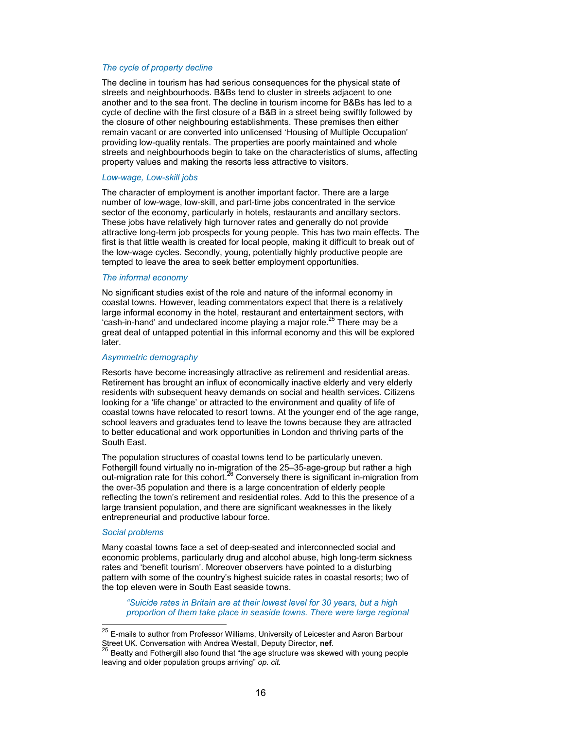#### *The cycle of property decline*

The decline in tourism has had serious consequences for the physical state of streets and neighbourhoods. B&Bs tend to cluster in streets adjacent to one another and to the sea front. The decline in tourism income for B&Bs has led to a cycle of decline with the first closure of a B&B in a street being swiftly followed by the closure of other neighbouring establishments. These premises then either remain vacant or are converted into unlicensed 'Housing of Multiple Occupation' providing low-quality rentals. The properties are poorly maintained and whole streets and neighbourhoods begin to take on the characteristics of slums, affecting property values and making the resorts less attractive to visitors.

#### *Low-wage, Low-skill jobs*

The character of employment is another important factor. There are a large number of low-wage, low-skill, and part-time jobs concentrated in the service sector of the economy, particularly in hotels, restaurants and ancillary sectors. These jobs have relatively high turnover rates and generally do not provide attractive long-term job prospects for young people. This has two main effects. The first is that little wealth is created for local people, making it difficult to break out of the low-wage cycles. Secondly, young, potentially highly productive people are tempted to leave the area to seek better employment opportunities.

#### *The informal economy*

No significant studies exist of the role and nature of the informal economy in coastal towns. However, leading commentators expect that there is a relatively large informal economy in the hotel, restaurant and entertainment sectors, with 'cash-in-hand' and undeclared income playing a major role.<sup>25</sup> There may be a great deal of untapped potential in this informal economy and this will be explored later.

#### *Asymmetric demography*

Resorts have become increasingly attractive as retirement and residential areas. Retirement has brought an influx of economically inactive elderly and very elderly residents with subsequent heavy demands on social and health services. Citizens looking for a 'life change' or attracted to the environment and quality of life of coastal towns have relocated to resort towns. At the younger end of the age range, school leavers and graduates tend to leave the towns because they are attracted to better educational and work opportunities in London and thriving parts of the South East.

The population structures of coastal towns tend to be particularly uneven. Fothergill found virtually no in-migration of the 25–35-age-group but rather a high out-migration rate for this cohort.<sup>26</sup> Conversely there is significant in-migration from the over-35 population and there is a large concentration of elderly people reflecting the town's retirement and residential roles. Add to this the presence of a large transient population, and there are significant weaknesses in the likely entrepreneurial and productive labour force.

#### *Social problems*

 $\overline{a}$ 

Many coastal towns face a set of deep-seated and interconnected social and economic problems, particularly drug and alcohol abuse, high long-term sickness rates and 'benefit tourism'. Moreover observers have pointed to a disturbing pattern with some of the country's highest suicide rates in coastal resorts; two of the top eleven were in South East seaside towns.

*"Suicide rates in Britain are at their lowest level for 30 years, but a high proportion of them take place in seaside towns. There were large regional* 

<sup>&</sup>lt;sup>25</sup> E-mails to author from Professor Williams, University of Leicester and Aaron Barbour Street UK. Conversation with Andrea Westall, Deputy Director, **nef**.<br><sup>26</sup> Beatty and Fothergill also found that "the age structure was skewed with young people

leaving and older population groups arriving" *op. cit.*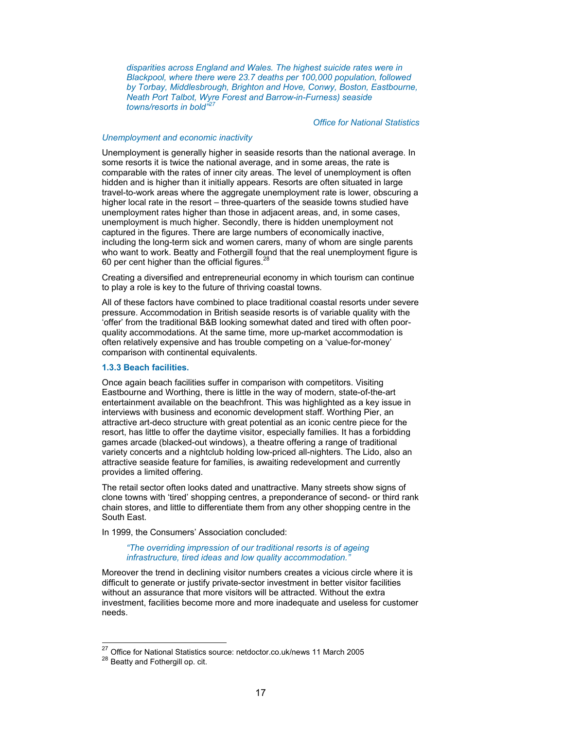*disparities across England and Wales. The highest suicide rates were in Blackpool, where there were 23.7 deaths per 100,000 population, followed by Torbay, Middlesbrough, Brighton and Hove, Conwy, Boston, Eastbourne, Neath Port Talbot, Wyre Forest and Barrow-in-Furness) seaside towns/resorts in bold"27* 

#### *Office for National Statistics*

#### *Unemployment and economic inactivity*

Unemployment is generally higher in seaside resorts than the national average. In some resorts it is twice the national average, and in some areas, the rate is comparable with the rates of inner city areas. The level of unemployment is often hidden and is higher than it initially appears. Resorts are often situated in large travel-to-work areas where the aggregate unemployment rate is lower, obscuring a higher local rate in the resort – three-quarters of the seaside towns studied have unemployment rates higher than those in adjacent areas, and, in some cases, unemployment is much higher. Secondly, there is hidden unemployment not captured in the figures. There are large numbers of economically inactive, including the long-term sick and women carers, many of whom are single parents who want to work. Beatty and Fothergill found that the real unemployment figure is 60 per cent higher than the official figures. $^{28}$ 

Creating a diversified and entrepreneurial economy in which tourism can continue to play a role is key to the future of thriving coastal towns.

All of these factors have combined to place traditional coastal resorts under severe pressure. Accommodation in British seaside resorts is of variable quality with the 'offer' from the traditional B&B looking somewhat dated and tired with often poorquality accommodations. At the same time, more up-market accommodation is often relatively expensive and has trouble competing on a 'value-for-money' comparison with continental equivalents.

#### **1.3.3 Beach facilities.**

Once again beach facilities suffer in comparison with competitors. Visiting Eastbourne and Worthing, there is little in the way of modern, state-of-the-art entertainment available on the beachfront. This was highlighted as a key issue in interviews with business and economic development staff. Worthing Pier, an attractive art-deco structure with great potential as an iconic centre piece for the resort, has little to offer the daytime visitor, especially families. It has a forbidding games arcade (blacked-out windows), a theatre offering a range of traditional variety concerts and a nightclub holding low-priced all-nighters. The Lido, also an attractive seaside feature for families, is awaiting redevelopment and currently provides a limited offering.

The retail sector often looks dated and unattractive. Many streets show signs of clone towns with 'tired' shopping centres, a preponderance of second- or third rank chain stores, and little to differentiate them from any other shopping centre in the South East.

In 1999, the Consumers' Association concluded:

#### *"The overriding impression of our traditional resorts is of ageing infrastructure, tired ideas and low quality accommodation."*

Moreover the trend in declining visitor numbers creates a vicious circle where it is difficult to generate or justify private-sector investment in better visitor facilities without an assurance that more visitors will be attracted. Without the extra investment, facilities become more and more inadequate and useless for customer needs.

 $\overline{a}$ 

<sup>&</sup>lt;sup>27</sup> Office for National Statistics source: netdoctor.co.uk/news 11 March 2005<br><sup>28</sup> Beatty and Fothergill op. cit.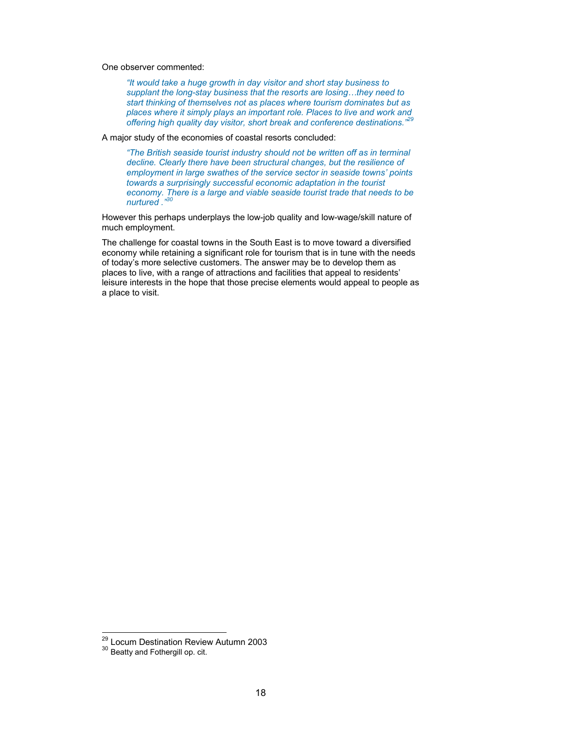One observer commented:

*"It would take a huge growth in day visitor and short stay business to supplant the long-stay business that the resorts are losing…they need to start thinking of themselves not as places where tourism dominates but as places where it simply plays an important role. Places to live and work and places where it simply plays an important role. Places to live and work and* offering high quality day visitor, short break and conference destinations.<sup>"2</sup>

A major study of the economies of coastal resorts concluded:

*"The British seaside tourist industry should not be written off as in terminal decline. Clearly there have been structural changes, but the resilience of employment in large swathes of the service sector in seaside towns' points towards a surprisingly successful economic adaptation in the tourist economy. There is a large and viable seaside tourist trade that needs to be nurtured ."30* 

However this perhaps underplays the low-job quality and low-wage/skill nature of much employment.

The challenge for coastal towns in the South East is to move toward a diversified economy while retaining a significant role for tourism that is in tune with the needs of today's more selective customers. The answer may be to develop them as places to live, with a range of attractions and facilities that appeal to residents' leisure interests in the hope that those precise elements would appeal to people as a place to visit.

 $\overline{a}$ 

<sup>&</sup>lt;sup>29</sup> Locum Destination Review Autumn 2003<br><sup>30</sup> Beatty and Fothergill op. cit.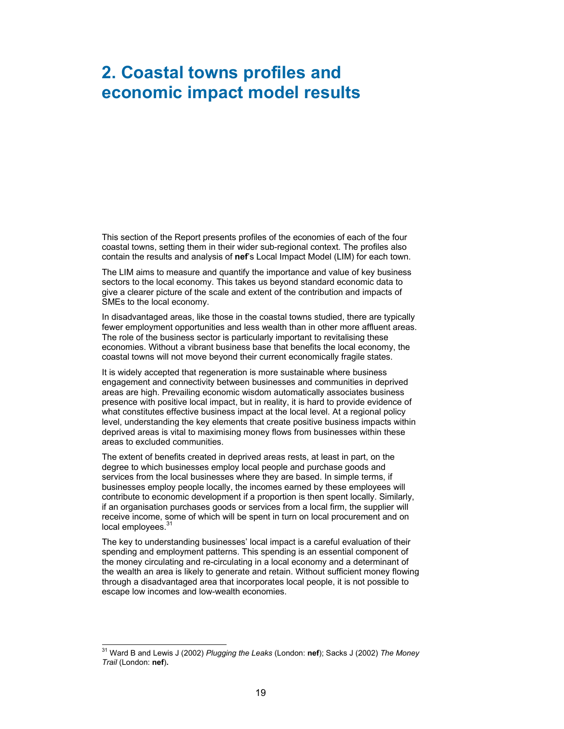# **2. Coastal towns profiles and economic impact model results**

This section of the Report presents profiles of the economies of each of the four coastal towns, setting them in their wider sub-regional context. The profiles also contain the results and analysis of **nef**'s Local Impact Model (LIM) for each town.

The LIM aims to measure and quantify the importance and value of key business sectors to the local economy. This takes us beyond standard economic data to give a clearer picture of the scale and extent of the contribution and impacts of SMEs to the local economy.

In disadvantaged areas, like those in the coastal towns studied, there are typically fewer employment opportunities and less wealth than in other more affluent areas. The role of the business sector is particularly important to revitalising these economies. Without a vibrant business base that benefits the local economy, the coastal towns will not move beyond their current economically fragile states.

It is widely accepted that regeneration is more sustainable where business engagement and connectivity between businesses and communities in deprived areas are high. Prevailing economic wisdom automatically associates business presence with positive local impact, but in reality, it is hard to provide evidence of what constitutes effective business impact at the local level. At a regional policy level, understanding the key elements that create positive business impacts within deprived areas is vital to maximising money flows from businesses within these areas to excluded communities.

The extent of benefits created in deprived areas rests, at least in part, on the degree to which businesses employ local people and purchase goods and services from the local businesses where they are based. In simple terms, if businesses employ people locally, the incomes earned by these employees will contribute to economic development if a proportion is then spent locally. Similarly, if an organisation purchases goods or services from a local firm, the supplier will receive income, some of which will be spent in turn on local procurement and on local employees.<sup>3</sup>

The key to understanding businesses' local impact is a careful evaluation of their spending and employment patterns. This spending is an essential component of the money circulating and re-circulating in a local economy and a determinant of the wealth an area is likely to generate and retain. Without sufficient money flowing through a disadvantaged area that incorporates local people, it is not possible to escape low incomes and low-wealth economies.

l 31 Ward B and Lewis J (2002) *Plugging the Leaks* (London: **nef**); Sacks J (2002) *The Money Trail* (London: **nef**)**.**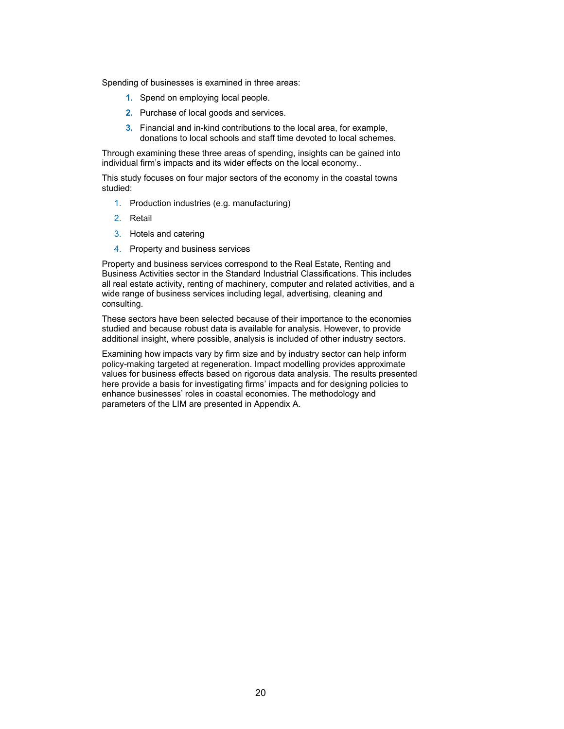Spending of businesses is examined in three areas:

- **1.** Spend on employing local people.
- **2.** Purchase of local goods and services.
- **3.** Financial and in-kind contributions to the local area, for example, donations to local schools and staff time devoted to local schemes.

Through examining these three areas of spending, insights can be gained into individual firm's impacts and its wider effects on the local economy..

This study focuses on four major sectors of the economy in the coastal towns studied:

- 1. Production industries (e.g. manufacturing)
- 2. Retail
- 3. Hotels and catering
- 4. Property and business services

Property and business services correspond to the Real Estate, Renting and Business Activities sector in the Standard Industrial Classifications. This includes all real estate activity, renting of machinery, computer and related activities, and a wide range of business services including legal, advertising, cleaning and consulting.

These sectors have been selected because of their importance to the economies studied and because robust data is available for analysis. However, to provide additional insight, where possible, analysis is included of other industry sectors.

Examining how impacts vary by firm size and by industry sector can help inform policy-making targeted at regeneration. Impact modelling provides approximate values for business effects based on rigorous data analysis. The results presented here provide a basis for investigating firms' impacts and for designing policies to enhance businesses' roles in coastal economies. The methodology and parameters of the LIM are presented in Appendix A.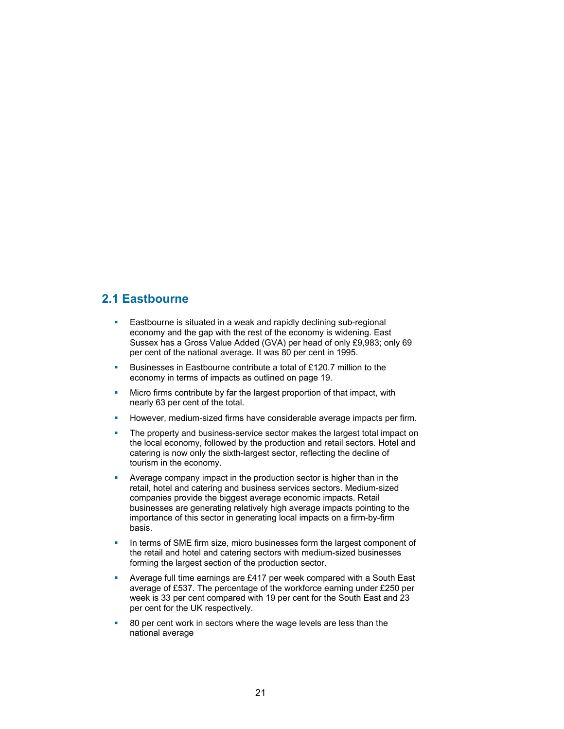# **2.1 Eastbourne**

- **Eastbourne is situated in a weak and rapidly declining sub-regional** economy and the gap with the rest of the economy is widening. East Sussex has a Gross Value Added (GVA) per head of only £9,983; only 69 per cent of the national average. It was 80 per cent in 1995.
- Businesses in Eastbourne contribute a total of £120.7 million to the economy in terms of impacts as outlined on page 19.
- **Micro firms contribute by far the largest proportion of that impact, with** nearly 63 per cent of the total.
- However, medium-sized firms have considerable average impacts per firm.
- **The property and business-service sector makes the largest total impact on** the local economy, followed by the production and retail sectors. Hotel and catering is now only the sixth-largest sector, reflecting the decline of tourism in the economy.
- Average company impact in the production sector is higher than in the retail, hotel and catering and business services sectors. Medium-sized companies provide the biggest average economic impacts. Retail businesses are generating relatively high average impacts pointing to the importance of this sector in generating local impacts on a firm-by-firm basis.
- In terms of SME firm size, micro businesses form the largest component of the retail and hotel and catering sectors with medium-sized businesses forming the largest section of the production sector.
- **Average full time earnings are £417 per week compared with a South East** average of £537. The percentage of the workforce earning under £250 per week is 33 per cent compared with 19 per cent for the South East and 23 per cent for the UK respectively.
- 80 per cent work in sectors where the wage levels are less than the national average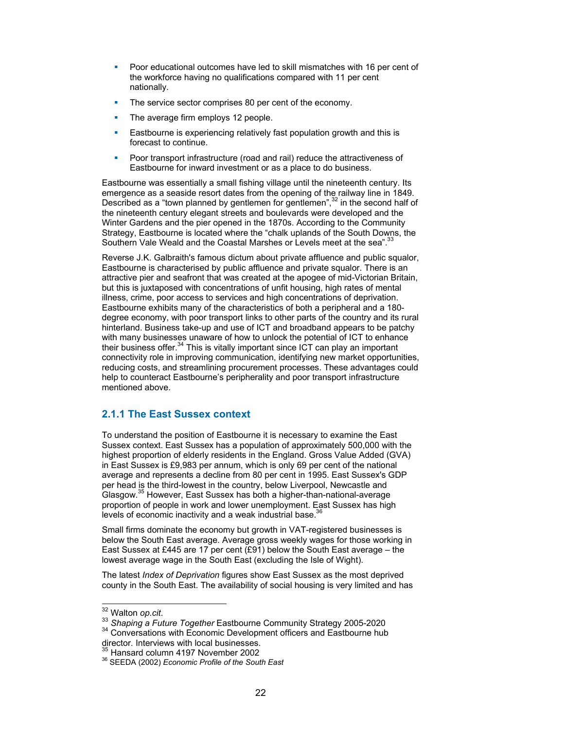- **Poor educational outcomes have led to skill mismatches with 16 per cent of** the workforce having no qualifications compared with 11 per cent nationally.
- The service sector comprises 80 per cent of the economy.
- The average firm employs 12 people.
- **Eastbourne is experiencing relatively fast population growth and this is** forecast to continue.
- **Poor transport infrastructure (road and rail) reduce the attractiveness of** Eastbourne for inward investment or as a place to do business.

Eastbourne was essentially a small fishing village until the nineteenth century. Its emergence as a seaside resort dates from the opening of the railway line in 1849. Described as a "town planned by gentlemen for gentlemen", $32$  in the second half of the nineteenth century elegant streets and boulevards were developed and the Winter Gardens and the pier opened in the 1870s. According to the Community Strategy, Eastbourne is located where the "chalk uplands of the South Downs, the Southern Vale Weald and the Coastal Marshes or Levels meet at the sea".<sup>33</sup>

Reverse J.K. Galbraith's famous dictum about private affluence and public squalor, Eastbourne is characterised by public affluence and private squalor. There is an attractive pier and seafront that was created at the apogee of mid-Victorian Britain, but this is juxtaposed with concentrations of unfit housing, high rates of mental illness, crime, poor access to services and high concentrations of deprivation. Eastbourne exhibits many of the characteristics of both a peripheral and a 180 degree economy, with poor transport links to other parts of the country and its rural hinterland. Business take-up and use of ICT and broadband appears to be patchy with many businesses unaware of how to unlock the potential of ICT to enhance their business offer.  $34$  This is vitally important since ICT can play an important connectivity role in improving communication, identifying new market opportunities, reducing costs, and streamlining procurement processes. These advantages could help to counteract Eastbourne's peripherality and poor transport infrastructure mentioned above.

## **2.1.1 The East Sussex context**

To understand the position of Eastbourne it is necessary to examine the East Sussex context. East Sussex has a population of approximately 500,000 with the highest proportion of elderly residents in the England. Gross Value Added (GVA) in East Sussex is £9,983 per annum, which is only 69 per cent of the national average and represents a decline from 80 per cent in 1995. East Sussex's GDP per head is the third-lowest in the country, below Liverpool, Newcastle and Glasgow.35 However, East Sussex has both a higher-than-national-average proportion of people in work and lower unemployment. East Sussex has high levels of economic inactivity and a weak industrial base. $36$ 

Small firms dominate the economy but growth in VAT-registered businesses is below the South East average. Average gross weekly wages for those working in East Sussex at £445 are 17 per cent (£91) below the South East average – the lowest average wage in the South East (excluding the Isle of Wight).

The latest *Index of Deprivation* figures show East Sussex as the most deprived county in the South East. The availability of social housing is very limited and has

<sup>&</sup>lt;sup>32</sup> Walton op.cit.

<sup>&</sup>lt;sup>33</sup> Shaping a Future Together Eastbourne Community Strategy 2005-2020<br><sup>34</sup> Conversations with Economic Development officers and Eastbourne hub

director. Interviews with local businesses.<br><sup>35</sup> Hansard column 4197 November 2002

<sup>&</sup>lt;sup>36</sup> SEEDA (2002) *Economic Profile of the South East*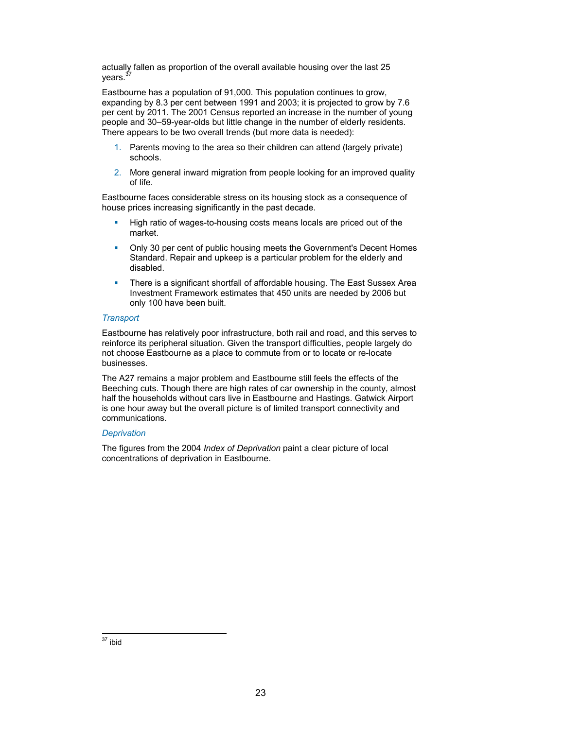actually fallen as proportion of the overall available housing over the last 25 years. $3$ 

Eastbourne has a population of 91,000. This population continues to grow, expanding by 8.3 per cent between 1991 and 2003; it is projected to grow by 7.6 per cent by 2011. The 2001 Census reported an increase in the number of young people and 30–59-year-olds but little change in the number of elderly residents. There appears to be two overall trends (but more data is needed):

- 1. Parents moving to the area so their children can attend (largely private) schools.
- 2. More general inward migration from people looking for an improved quality of life.

Eastbourne faces considerable stress on its housing stock as a consequence of house prices increasing significantly in the past decade.

- High ratio of wages-to-housing costs means locals are priced out of the market.
- Only 30 per cent of public housing meets the Government's Decent Homes Standard. Repair and upkeep is a particular problem for the elderly and disabled.
- **There is a significant shortfall of affordable housing. The East Sussex Area** Investment Framework estimates that 450 units are needed by 2006 but only 100 have been built.

#### *Transport*

Eastbourne has relatively poor infrastructure, both rail and road, and this serves to reinforce its peripheral situation. Given the transport difficulties, people largely do not choose Eastbourne as a place to commute from or to locate or re-locate businesses.

The A27 remains a major problem and Eastbourne still feels the effects of the Beeching cuts. Though there are high rates of car ownership in the county, almost half the households without cars live in Eastbourne and Hastings. Gatwick Airport is one hour away but the overall picture is of limited transport connectivity and communications.

#### *Deprivation*

The figures from the 2004 *Index of Deprivation* paint a clear picture of local concentrations of deprivation in Eastbourne.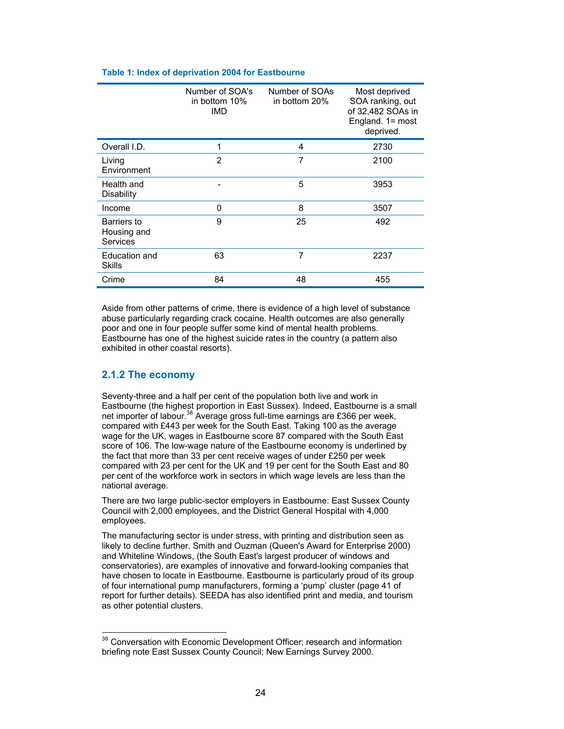| Table 1: Index of deprivation 2004 for Eastbourne |
|---------------------------------------------------|
|---------------------------------------------------|

|                                        | Number of SOA's<br>in bottom 10%<br>IMD | Number of SOAs<br>in bottom 20% | Most deprived<br>SOA ranking, out<br>of 32,482 SOAs in<br>England. 1= most<br>deprived. |
|----------------------------------------|-----------------------------------------|---------------------------------|-----------------------------------------------------------------------------------------|
| Overall I.D.                           | 1                                       | 4                               | 2730                                                                                    |
| Living<br>Environment                  | $\overline{2}$                          | $\overline{7}$                  | 2100                                                                                    |
| Health and<br><b>Disability</b>        |                                         | 5                               | 3953                                                                                    |
| Income                                 | 0                                       | 8                               | 3507                                                                                    |
| Barriers to<br>Housing and<br>Services | 9                                       | 25                              | 492                                                                                     |
| Education and<br>Skills                | 63                                      | 7                               | 2237                                                                                    |
| Crime                                  | 84                                      | 48                              | 455                                                                                     |

Aside from other patterns of crime, there is evidence of a high level of substance abuse particularly regarding crack cocaine. Health outcomes are also generally poor and one in four people suffer some kind of mental health problems. Eastbourne has one of the highest suicide rates in the country (a pattern also exhibited in other coastal resorts).

# **2.1.2 The economy**

 $\overline{a}$ 

Seventy-three and a half per cent of the population both live and work in Eastbourne (the highest proportion in East Sussex). Indeed, Eastbourne is a small net importer of labour.<sup>38</sup> Average gross full-time earnings are £366 per week, compared with £443 per week for the South East. Taking 100 as the average wage for the UK, wages in Eastbourne score 87 compared with the South East score of 106. The low-wage nature of the Eastbourne economy is underlined by the fact that more than 33 per cent receive wages of under £250 per week compared with 23 per cent for the UK and 19 per cent for the South East and 80 per cent of the workforce work in sectors in which wage levels are less than the national average.

There are two large public-sector employers in Eastbourne: East Sussex County Council with 2,000 employees, and the District General Hospital with 4,000 employees.

The manufacturing sector is under stress, with printing and distribution seen as likely to decline further. Smith and Ouzman (Queen's Award for Enterprise 2000) and Whiteline Windows, (the South East's largest producer of windows and conservatories), are examples of innovative and forward-looking companies that have chosen to locate in Eastbourne. Eastbourne is particularly proud of its group of four international pump manufacturers, forming a 'pump' cluster (page 41 of report for further details). SEEDA has also identified print and media, and tourism as other potential clusters.

<sup>&</sup>lt;sup>38</sup> Conversation with Economic Development Officer; research and information briefing note East Sussex County Council; New Earnings Survey 2000.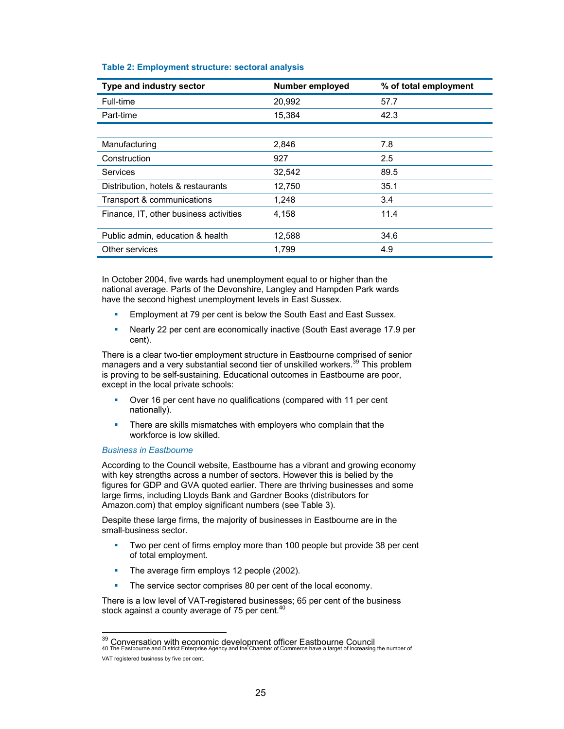| Type and industry sector               | Number employed | % of total employment |
|----------------------------------------|-----------------|-----------------------|
| Full-time                              | 20,992          | 57.7                  |
| Part-time                              | 15.384          | 42.3                  |
|                                        |                 |                       |
| Manufacturing                          | 2.846           | 7.8                   |
| Construction                           | 927             | 2.5                   |
| Services                               | 32,542          | 89.5                  |
| Distribution, hotels & restaurants     | 12,750          | 35.1                  |
| Transport & communications             | 1,248           | 3.4                   |
| Finance, IT, other business activities | 4.158           | 11.4                  |
| Public admin, education & health       | 12,588          | 34.6                  |
| Other services                         | 1.799           | 4.9                   |

#### **Table 2: Employment structure: sectoral analysis**

In October 2004, five wards had unemployment equal to or higher than the national average. Parts of the Devonshire, Langley and Hampden Park wards have the second highest unemployment levels in East Sussex.

- **Employment at 79 per cent is below the South East and East Sussex.**
- Nearly 22 per cent are economically inactive (South East average 17.9 per cent).

There is a clear two-tier employment structure in Eastbourne comprised of senior managers and a very substantial second tier of unskilled workers.<sup>39</sup> This problem is proving to be self-sustaining. Educational outcomes in Eastbourne are poor, except in the local private schools:

- **Diamage 16 per cent have no qualifications (compared with 11 per cent** nationally).
- **There are skills mismatches with employers who complain that the** workforce is low skilled.

### *Business in Eastbourne*

 $\overline{a}$ 

According to the Council website, Eastbourne has a vibrant and growing economy with key strengths across a number of sectors. However this is belied by the figures for GDP and GVA quoted earlier. There are thriving businesses and some large firms, including Lloyds Bank and Gardner Books (distributors for Amazon.com) that employ significant numbers (see Table 3).

Despite these large firms, the majority of businesses in Eastbourne are in the small-business sector.

- Two per cent of firms employ more than 100 people but provide 38 per cent of total employment.
- The average firm employs 12 people (2002).
- The service sector comprises 80 per cent of the local economy.

There is a low level of VAT-registered businesses; 65 per cent of the business stock against a county average of 75 per cent. $40$ 

<sup>&</sup>lt;sup>39</sup> Conversation with economic development officer Eastbourne Council<br>40 The Eastbourne and District Enterprise Agency and the Chamber of Commerce have a target of increasing the number of

VAT registered business by five per cent.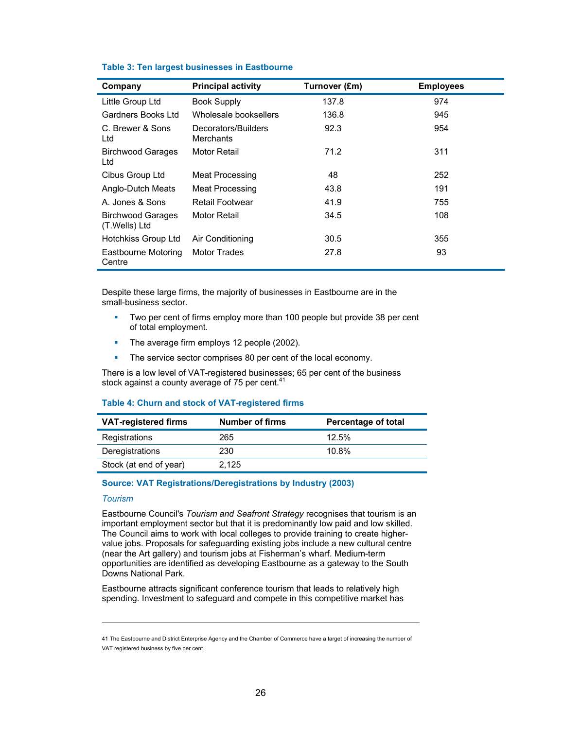| Company                                   | <b>Principal activity</b>        | Turnover (£m) | <b>Employees</b> |
|-------------------------------------------|----------------------------------|---------------|------------------|
| Little Group Ltd                          | <b>Book Supply</b>               | 137.8         | 974              |
| Gardners Books Ltd                        | Wholesale booksellers            | 136.8         | 945              |
| C. Brewer & Sons<br>Ltd                   | Decorators/Builders<br>Merchants | 92.3          | 954              |
| <b>Birchwood Garages</b><br>Ltd           | Motor Retail                     | 71.2          | 311              |
| Cibus Group Ltd                           | Meat Processing                  | 48            | 252              |
| Anglo-Dutch Meats                         | Meat Processing                  | 43.8          | 191              |
| A. Jones & Sons                           | Retail Footwear                  | 41.9          | 755              |
| <b>Birchwood Garages</b><br>(T.Wells) Ltd | Motor Retail                     | 34.5          | 108              |
| Hotchkiss Group Ltd                       | Air Conditioning                 | 30.5          | 355              |
| Eastbourne Motoring<br>Centre             | <b>Motor Trades</b>              | 27.8          | 93               |

#### **Table 3: Ten largest businesses in Eastbourne**

Despite these large firms, the majority of businesses in Eastbourne are in the small-business sector.

- **Two per cent of firms employ more than 100 people but provide 38 per cent** of total employment.
- The average firm employs 12 people (2002).
- The service sector comprises 80 per cent of the local economy.

There is a low level of VAT-registered businesses; 65 per cent of the business stock against a county average of 75 per cent. $41$ 

#### **Table 4: Churn and stock of VAT-registered firms**

| <b>VAT-registered firms</b> | <b>Number of firms</b> | Percentage of total |
|-----------------------------|------------------------|---------------------|
| Registrations               | 265                    | 12.5%               |
| Deregistrations             | 230                    | 10.8%               |
| Stock (at end of year)      | 2.125                  |                     |

#### **Source: VAT Registrations/Deregistrations by Industry (2003)**

#### *Tourism*

 $\overline{a}$ 

Eastbourne Council's *Tourism and Seafront Strategy* recognises that tourism is an important employment sector but that it is predominantly low paid and low skilled. The Council aims to work with local colleges to provide training to create highervalue jobs. Proposals for safeguarding existing jobs include a new cultural centre (near the Art gallery) and tourism jobs at Fisherman's wharf. Medium-term opportunities are identified as developing Eastbourne as a gateway to the South Downs National Park.

Eastbourne attracts significant conference tourism that leads to relatively high spending. Investment to safeguard and compete in this competitive market has

<sup>41</sup> The Eastbourne and District Enterprise Agency and the Chamber of Commerce have a target of increasing the number of VAT registered business by five per cent.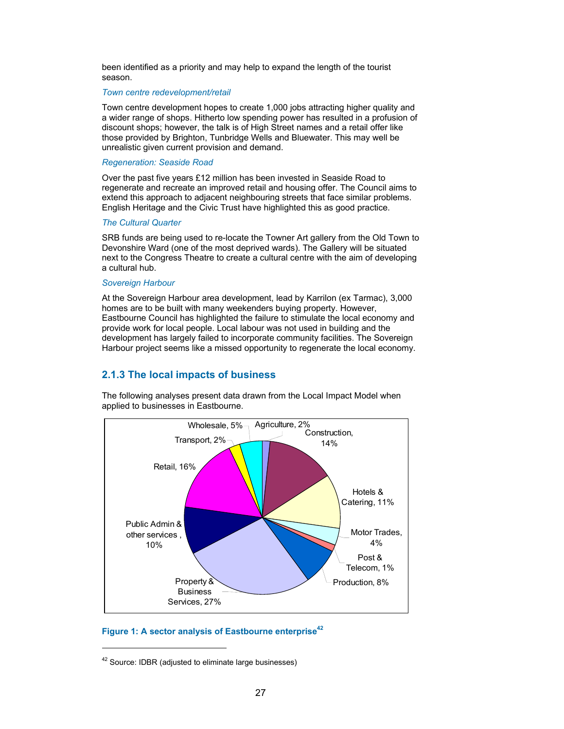been identified as a priority and may help to expand the length of the tourist season.

#### *Town centre redevelopment/retail*

Town centre development hopes to create 1,000 jobs attracting higher quality and a wider range of shops. Hitherto low spending power has resulted in a profusion of discount shops; however, the talk is of High Street names and a retail offer like those provided by Brighton, Tunbridge Wells and Bluewater. This may well be unrealistic given current provision and demand.

#### *Regeneration: Seaside Road*

Over the past five years £12 million has been invested in Seaside Road to regenerate and recreate an improved retail and housing offer. The Council aims to extend this approach to adjacent neighbouring streets that face similar problems. English Heritage and the Civic Trust have highlighted this as good practice.

#### *The Cultural Quarter*

SRB funds are being used to re-locate the Towner Art gallery from the Old Town to Devonshire Ward (one of the most deprived wards). The Gallery will be situated next to the Congress Theatre to create a cultural centre with the aim of developing a cultural hub.

#### *Sovereign Harbour*

At the Sovereign Harbour area development, lead by Karrilon (ex Tarmac), 3,000 homes are to be built with many weekenders buying property. However, Eastbourne Council has highlighted the failure to stimulate the local economy and provide work for local people. Local labour was not used in building and the development has largely failed to incorporate community facilities. The Sovereign Harbour project seems like a missed opportunity to regenerate the local economy.

## **2.1.3 The local impacts of business**

The following analyses present data drawn from the Local Impact Model when applied to businesses in Eastbourne.



## Figure 1: A sector analysis of Eastbourne enterprise<sup>42</sup>

 $\overline{a}$ 

<sup>&</sup>lt;sup>42</sup> Source: IDBR (adjusted to eliminate large businesses)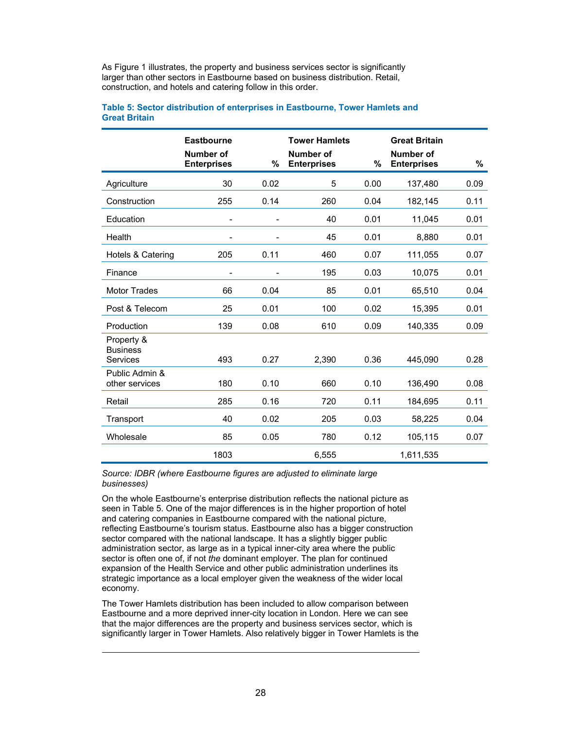As Figure 1 illustrates, the property and business services sector is significantly larger than other sectors in Eastbourne based on business distribution. Retail, construction, and hotels and catering follow in this order.

|                                           | <b>Eastbourne</b><br>Number of<br><b>Enterprises</b> | %                        | <b>Tower Hamlets</b><br>Number of<br><b>Enterprises</b> | %    | <b>Great Britain</b><br>Number of<br><b>Enterprises</b> | %    |
|-------------------------------------------|------------------------------------------------------|--------------------------|---------------------------------------------------------|------|---------------------------------------------------------|------|
| Agriculture                               | 30                                                   | 0.02                     | 5                                                       | 0.00 | 137,480                                                 | 0.09 |
| Construction                              | 255                                                  | 0.14                     | 260                                                     | 0.04 | 182,145                                                 | 0.11 |
| Education                                 | -                                                    | $\overline{\phantom{a}}$ | 40                                                      | 0.01 | 11,045                                                  | 0.01 |
| Health                                    | -                                                    |                          | 45                                                      | 0.01 | 8,880                                                   | 0.01 |
| Hotels & Catering                         | 205                                                  | 0.11                     | 460                                                     | 0.07 | 111,055                                                 | 0.07 |
| Finance                                   | $\overline{\phantom{a}}$                             |                          | 195                                                     | 0.03 | 10,075                                                  | 0.01 |
| <b>Motor Trades</b>                       | 66                                                   | 0.04                     | 85                                                      | 0.01 | 65,510                                                  | 0.04 |
| Post & Telecom                            | 25                                                   | 0.01                     | 100                                                     | 0.02 | 15,395                                                  | 0.01 |
| Production                                | 139                                                  | 0.08                     | 610                                                     | 0.09 | 140,335                                                 | 0.09 |
| Property &<br><b>Business</b><br>Services | 493                                                  | 0.27                     | 2,390                                                   | 0.36 | 445,090                                                 | 0.28 |
| Public Admin &<br>other services          | 180                                                  | 0.10                     | 660                                                     | 0.10 | 136,490                                                 | 0.08 |
| Retail                                    | 285                                                  | 0.16                     | 720                                                     | 0.11 | 184,695                                                 | 0.11 |
| Transport                                 | 40                                                   | 0.02                     | 205                                                     | 0.03 | 58,225                                                  | 0.04 |
| Wholesale                                 | 85                                                   | 0.05                     | 780                                                     | 0.12 | 105,115                                                 | 0.07 |
|                                           | 1803                                                 |                          | 6,555                                                   |      | 1,611,535                                               |      |

#### **Table 5: Sector distribution of enterprises in Eastbourne, Tower Hamlets and Great Britain**

#### *Source: IDBR (where Eastbourne figures are adjusted to eliminate large businesses)*

On the whole Eastbourne's enterprise distribution reflects the national picture as seen in Table 5. One of the major differences is in the higher proportion of hotel and catering companies in Eastbourne compared with the national picture, reflecting Eastbourne's tourism status. Eastbourne also has a bigger construction sector compared with the national landscape. It has a slightly bigger public administration sector, as large as in a typical inner-city area where the public sector is often one of, if not *the* dominant employer. The plan for continued expansion of the Health Service and other public administration underlines its strategic importance as a local employer given the weakness of the wider local economy.

The Tower Hamlets distribution has been included to allow comparison between Eastbourne and a more deprived inner-city location in London. Here we can see that the major differences are the property and business services sector, which is significantly larger in Tower Hamlets. Also relatively bigger in Tower Hamlets is the

 $\overline{a}$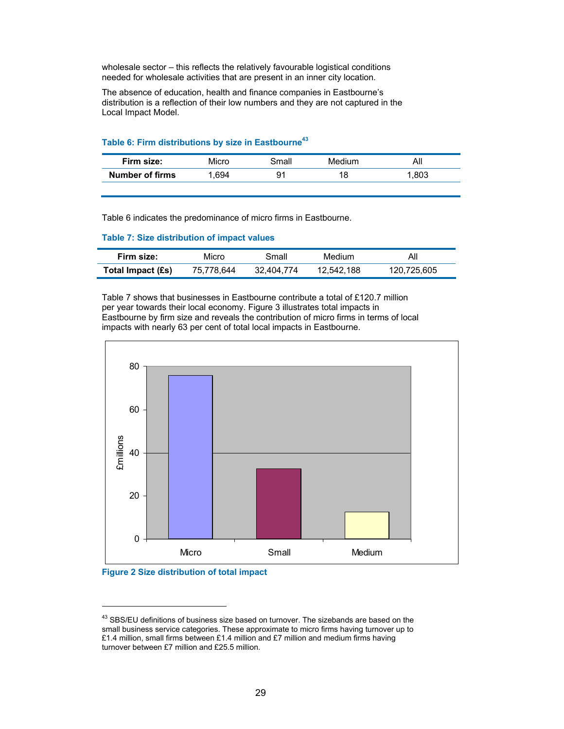wholesale sector – this reflects the relatively favourable logistical conditions needed for wholesale activities that are present in an inner city location.

The absence of education, health and finance companies in Eastbourne's distribution is a reflection of their low numbers and they are not captured in the Local Impact Model.

|  |  | Table 6: Firm distributions by size in Eastbourne <sup>43</sup> |
|--|--|-----------------------------------------------------------------|
|  |  |                                                                 |

| Firm size:             | Micro | 3mall | Medium | AI.  |
|------------------------|-------|-------|--------|------|
| <b>Number of firms</b> | .694  | -91   |        | .803 |

Table 6 indicates the predominance of micro firms in Eastbourne.

#### **Table 7: Size distribution of impact values**

| Firm size:        | Micro      | Small      | Medium     | Αll         |
|-------------------|------------|------------|------------|-------------|
| Total Impact (£s) | 75.778.644 | 32.404.774 | 12.542.188 | 120.725.605 |

Table 7 shows that businesses in Eastbourne contribute a total of £120.7 million per year towards their local economy. Figure 3 illustrates total impacts in Eastbourne by firm size and reveals the contribution of micro firms in terms of local impacts with nearly 63 per cent of total local impacts in Eastbourne.





l

<sup>&</sup>lt;sup>43</sup> SBS/EU definitions of business size based on turnover. The sizebands are based on the small business service categories. These approximate to micro firms having turnover up to £1.4 million, small firms between £1.4 million and £7 million and medium firms having turnover between £7 million and £25.5 million.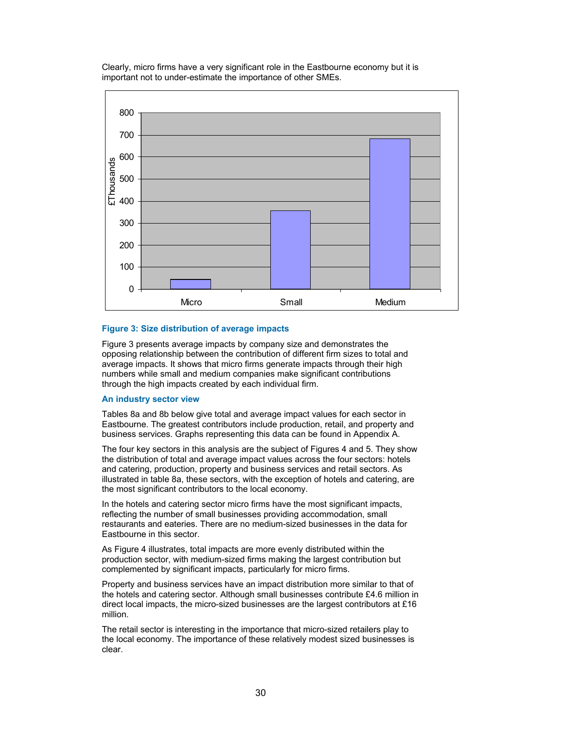Clearly, micro firms have a very significant role in the Eastbourne economy but it is important not to under-estimate the importance of other SMEs.



#### **Figure 3: Size distribution of average impacts**

Figure 3 presents average impacts by company size and demonstrates the opposing relationship between the contribution of different firm sizes to total and average impacts. It shows that micro firms generate impacts through their high numbers while small and medium companies make significant contributions through the high impacts created by each individual firm.

#### **An industry sector view**

Tables 8a and 8b below give total and average impact values for each sector in Eastbourne. The greatest contributors include production, retail, and property and business services. Graphs representing this data can be found in Appendix A.

The four key sectors in this analysis are the subject of Figures 4 and 5. They show the distribution of total and average impact values across the four sectors: hotels and catering, production, property and business services and retail sectors. As illustrated in table 8a, these sectors, with the exception of hotels and catering, are the most significant contributors to the local economy.

In the hotels and catering sector micro firms have the most significant impacts, reflecting the number of small businesses providing accommodation, small restaurants and eateries. There are no medium-sized businesses in the data for Eastbourne in this sector.

As Figure 4 illustrates, total impacts are more evenly distributed within the production sector, with medium-sized firms making the largest contribution but complemented by significant impacts, particularly for micro firms.

Property and business services have an impact distribution more similar to that of the hotels and catering sector. Although small businesses contribute £4.6 million in direct local impacts, the micro-sized businesses are the largest contributors at £16 million.

The retail sector is interesting in the importance that micro-sized retailers play to the local economy. The importance of these relatively modest sized businesses is clear.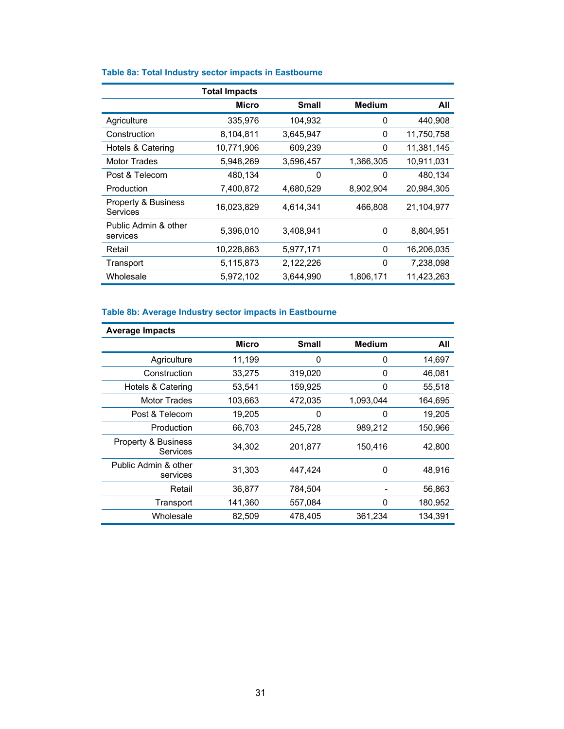|                                  | <b>Total Impacts</b> |              |               |            |
|----------------------------------|----------------------|--------------|---------------|------------|
|                                  | <b>Micro</b>         | <b>Small</b> | <b>Medium</b> | All        |
| Agriculture                      | 335,976              | 104,932      | 0             | 440.908    |
| Construction                     | 8,104,811            | 3,645,947    | 0             | 11,750,758 |
| Hotels & Catering                | 10,771,906           | 609,239      | 0             | 11,381,145 |
| <b>Motor Trades</b>              | 5,948,269            | 3,596,457    | 1,366,305     | 10,911,031 |
| Post & Telecom                   | 480,134              | 0            | 0             | 480,134    |
| Production                       | 7,400,872            | 4,680,529    | 8,902,904     | 20,984,305 |
| Property & Business<br>Services  | 16,023,829           | 4,614,341    | 466,808       | 21,104,977 |
| Public Admin & other<br>services | 5,396,010            | 3,408,941    | 0             | 8,804,951  |
| Retail                           | 10,228,863           | 5,977,171    | 0             | 16,206,035 |
| Transport                        | 5,115,873            | 2,122,226    | 0             | 7,238,098  |
| Wholesale                        | 5,972,102            | 3,644,990    | 1,806,171     | 11,423,263 |

# **Table 8b: Average Industry sector impacts in Eastbourne**

| <b>Average Impacts</b>                     |         |              |               |         |  |  |
|--------------------------------------------|---------|--------------|---------------|---------|--|--|
|                                            | Micro   | <b>Small</b> | <b>Medium</b> | All     |  |  |
| Agriculture                                | 11,199  | 0            | 0             | 14,697  |  |  |
| Construction                               | 33,275  | 319,020      | 0             | 46,081  |  |  |
| Hotels & Catering                          | 53,541  | 159.925      | 0             | 55,518  |  |  |
| Motor Trades                               | 103,663 | 472,035      | 1,093,044     | 164,695 |  |  |
| Post & Telecom                             | 19,205  | 0            | 0             | 19,205  |  |  |
| Production                                 | 66,703  | 245,728      | 989,212       | 150,966 |  |  |
| <b>Property &amp; Business</b><br>Services | 34,302  | 201,877      | 150,416       | 42.800  |  |  |
| Public Admin & other<br>services           | 31,303  | 447,424      | 0             | 48,916  |  |  |
| Retail                                     | 36,877  | 784,504      |               | 56,863  |  |  |
| Transport                                  | 141,360 | 557.084      | 0             | 180.952 |  |  |
| Wholesale                                  | 82,509  | 478,405      | 361,234       | 134,391 |  |  |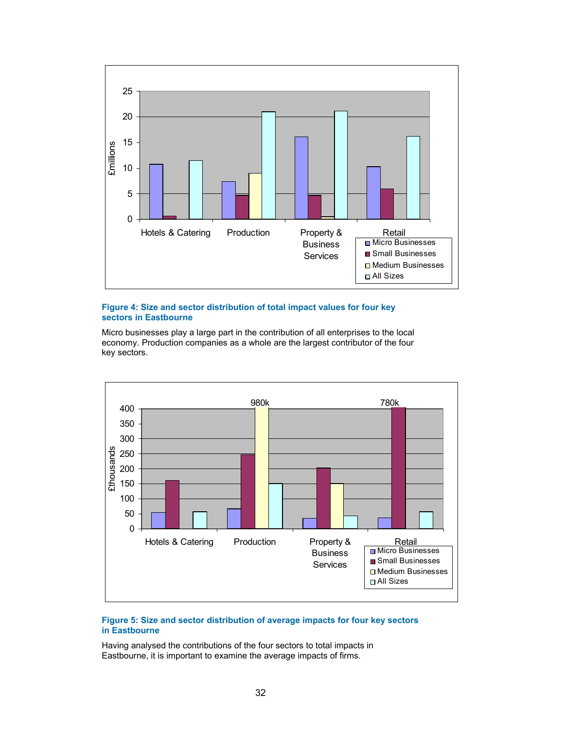

#### **Figure 4: Size and sector distribution of total impact values for four key sectors in Eastbourne**

Micro businesses play a large part in the contribution of all enterprises to the local economy. Production companies as a whole are the largest contributor of the four key sectors.



### **Figure 5: Size and sector distribution of average impacts for four key sectors in Eastbourne**

Having analysed the contributions of the four sectors to total impacts in Eastbourne, it is important to examine the average impacts of firms.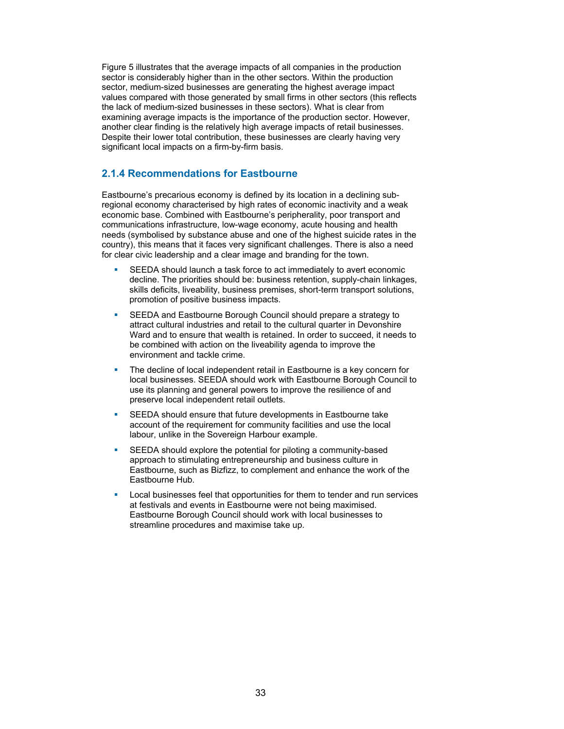Figure 5 illustrates that the average impacts of all companies in the production sector is considerably higher than in the other sectors. Within the production sector, medium-sized businesses are generating the highest average impact values compared with those generated by small firms in other sectors (this reflects the lack of medium-sized businesses in these sectors). What is clear from examining average impacts is the importance of the production sector. However, another clear finding is the relatively high average impacts of retail businesses. Despite their lower total contribution, these businesses are clearly having very significant local impacts on a firm-by-firm basis.

## **2.1.4 Recommendations for Eastbourne**

Eastbourne's precarious economy is defined by its location in a declining subregional economy characterised by high rates of economic inactivity and a weak economic base. Combined with Eastbourne's peripherality, poor transport and communications infrastructure, low-wage economy, acute housing and health needs (symbolised by substance abuse and one of the highest suicide rates in the country), this means that it faces very significant challenges. There is also a need for clear civic leadership and a clear image and branding for the town.

- SEEDA should launch a task force to act immediately to avert economic decline. The priorities should be: business retention, supply-chain linkages, skills deficits, liveability, business premises, short-term transport solutions, promotion of positive business impacts.
- **SEEDA and Eastbourne Borough Council should prepare a strategy to** attract cultural industries and retail to the cultural quarter in Devonshire Ward and to ensure that wealth is retained. In order to succeed, it needs to be combined with action on the liveability agenda to improve the environment and tackle crime.
- The decline of local independent retail in Eastbourne is a key concern for local businesses. SEEDA should work with Eastbourne Borough Council to use its planning and general powers to improve the resilience of and preserve local independent retail outlets.
- **SEEDA** should ensure that future developments in Eastbourne take account of the requirement for community facilities and use the local labour, unlike in the Sovereign Harbour example.
- SEEDA should explore the potential for piloting a community-based approach to stimulating entrepreneurship and business culture in Eastbourne, such as Bizfizz, to complement and enhance the work of the Eastbourne Hub.
- Local businesses feel that opportunities for them to tender and run services at festivals and events in Eastbourne were not being maximised. Eastbourne Borough Council should work with local businesses to streamline procedures and maximise take up.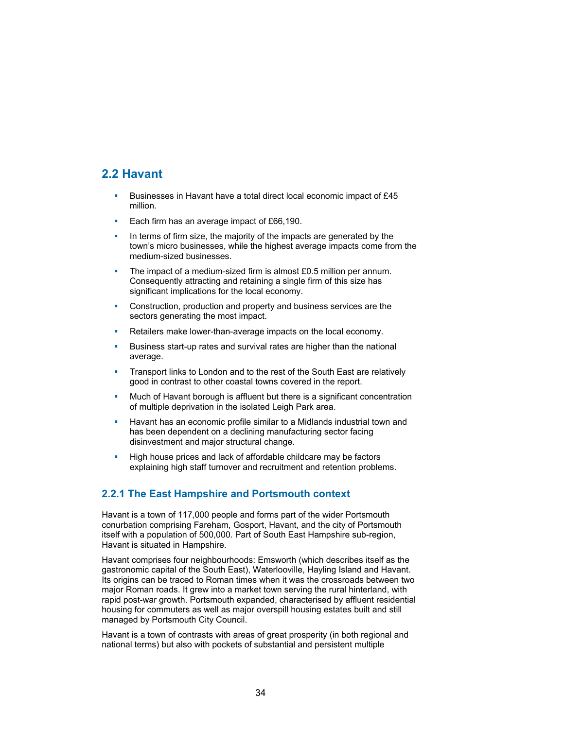# **2.2 Havant**

- Businesses in Havant have a total direct local economic impact of £45 million.
- Each firm has an average impact of  $£66,190$ .
- In terms of firm size, the majority of the impacts are generated by the town's micro businesses, while the highest average impacts come from the medium-sized businesses.
- The impact of a medium-sized firm is almost £0.5 million per annum. Consequently attracting and retaining a single firm of this size has significant implications for the local economy.
- Construction, production and property and business services are the sectors generating the most impact.
- Retailers make lower-than-average impacts on the local economy.
- Business start-up rates and survival rates are higher than the national average.
- Transport links to London and to the rest of the South East are relatively good in contrast to other coastal towns covered in the report.
- Much of Havant borough is affluent but there is a significant concentration of multiple deprivation in the isolated Leigh Park area.
- **Havant has an economic profile similar to a Midlands industrial town and** has been dependent on a declining manufacturing sector facing disinvestment and major structural change.
- **High house prices and lack of affordable childcare may be factors** explaining high staff turnover and recruitment and retention problems.

## **2.2.1 The East Hampshire and Portsmouth context**

Havant is a town of 117,000 people and forms part of the wider Portsmouth conurbation comprising Fareham, Gosport, Havant, and the city of Portsmouth itself with a population of 500,000. Part of South East Hampshire sub-region, Havant is situated in Hampshire.

Havant comprises four neighbourhoods: Emsworth (which describes itself as the gastronomic capital of the South East), Waterlooville, Hayling Island and Havant. Its origins can be traced to Roman times when it was the crossroads between two major Roman roads. It grew into a market town serving the rural hinterland, with rapid post-war growth. Portsmouth expanded, characterised by affluent residential housing for commuters as well as major overspill housing estates built and still managed by Portsmouth City Council.

Havant is a town of contrasts with areas of great prosperity (in both regional and national terms) but also with pockets of substantial and persistent multiple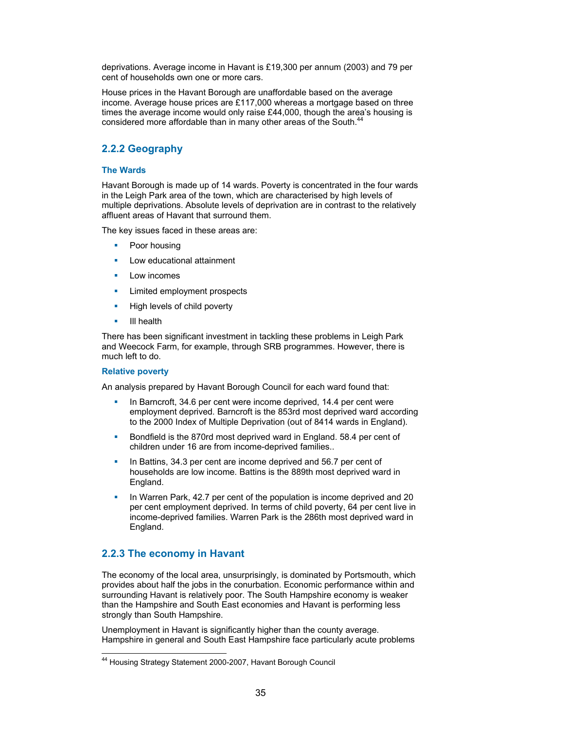deprivations. Average income in Havant is £19,300 per annum (2003) and 79 per cent of households own one or more cars.

House prices in the Havant Borough are unaffordable based on the average income. Average house prices are £117,000 whereas a mortgage based on three times the average income would only raise £44,000, though the area's housing is considered more affordable than in many other areas of the South.<sup>4</sup>

## **2.2.2 Geography**

#### **The Wards**

Havant Borough is made up of 14 wards. Poverty is concentrated in the four wards in the Leigh Park area of the town, which are characterised by high levels of multiple deprivations. Absolute levels of deprivation are in contrast to the relatively affluent areas of Havant that surround them.

The key issues faced in these areas are:

- Poor housing
- **Low educational attainment**
- $\blacksquare$  Low incomes
- **EXECUTE:** Limited employment prospects
- **High levels of child poverty**
- **III** health

There has been significant investment in tackling these problems in Leigh Park and Weecock Farm, for example, through SRB programmes. However, there is much left to do.

#### **Relative poverty**

An analysis prepared by Havant Borough Council for each ward found that:

- In Barncroft, 34.6 per cent were income deprived, 14.4 per cent were employment deprived. Barncroft is the 853rd most deprived ward according to the 2000 Index of Multiple Deprivation (out of 8414 wards in England).
- Bondfield is the 870rd most deprived ward in England. 58.4 per cent of children under 16 are from income-deprived families..
- In Battins, 34.3 per cent are income deprived and 56.7 per cent of households are low income. Battins is the 889th most deprived ward in England.
- In Warren Park, 42.7 per cent of the population is income deprived and 20 per cent employment deprived. In terms of child poverty, 64 per cent live in income-deprived families. Warren Park is the 286th most deprived ward in England.

## **2.2.3 The economy in Havant**

The economy of the local area, unsurprisingly, is dominated by Portsmouth, which provides about half the jobs in the conurbation. Economic performance within and surrounding Havant is relatively poor. The South Hampshire economy is weaker than the Hampshire and South East economies and Havant is performing less strongly than South Hampshire.

Unemployment in Havant is significantly higher than the county average. Hampshire in general and South East Hampshire face particularly acute problems

l 44 Housing Strategy Statement 2000-2007, Havant Borough Council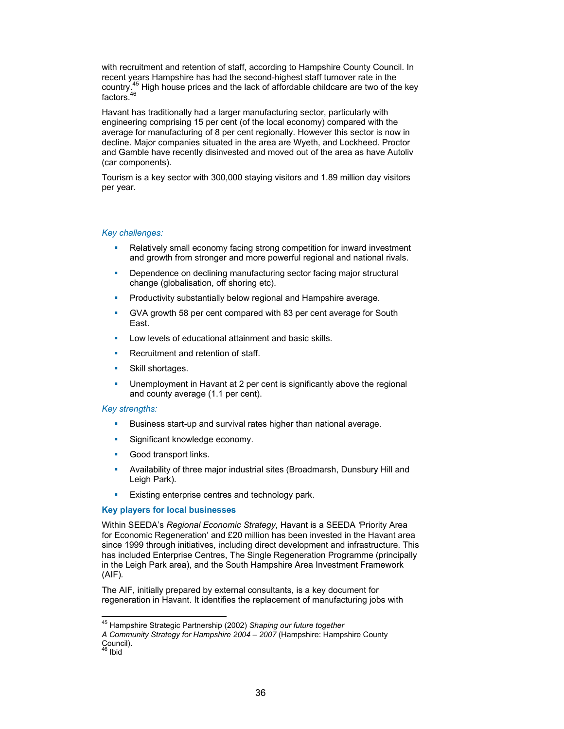with recruitment and retention of staff, according to Hampshire County Council. In recent years Hampshire has had the second-highest staff turnover rate in the country.<sup>45</sup> High house prices and the lack of affordable childcare are two of the key fortened<sup>46</sup> factors.

Havant has traditionally had a larger manufacturing sector, particularly with engineering comprising 15 per cent (of the local economy) compared with the average for manufacturing of 8 per cent regionally. However this sector is now in decline. Major companies situated in the area are Wyeth, and Lockheed. Proctor and Gamble have recently disinvested and moved out of the area as have Autoliv (car components).

Tourism is a key sector with 300,000 staying visitors and 1.89 million day visitors per year.

#### *Key challenges:*

- **Relatively small economy facing strong competition for inward investment** and growth from stronger and more powerful regional and national rivals.
- **•** Dependence on declining manufacturing sector facing major structural change (globalisation, off shoring etc).
- **Productivity substantially below regional and Hampshire average.**
- GVA growth 58 per cent compared with 83 per cent average for South East.
- Low levels of educational attainment and basic skills.
- **Recruitment and retention of staff.**
- **Skill shortages.**
- Unemployment in Havant at 2 per cent is significantly above the regional and county average (1.1 per cent).

#### *Key strengths:*

- Business start-up and survival rates higher than national average.
- **Significant knowledge economy.**
- **Good transport links.**
- Availability of three major industrial sites (Broadmarsh, Dunsbury Hill and Leigh Park).
- **Existing enterprise centres and technology park.**

#### **Key players for local businesses**

Within SEEDA's *Regional Economic Strategy,* Havant is a SEEDA *'*Priority Area for Economic Regeneration' and £20 million has been invested in the Havant area since 1999 through initiatives, including direct development and infrastructure. This has included Enterprise Centres, The Single Regeneration Programme (principally in the Leigh Park area), and the South Hampshire Area Investment Framework (AIF)*.* 

The AIF, initially prepared by external consultants, is a key document for regeneration in Havant. It identifies the replacement of manufacturing jobs with

 $\overline{a}$ 

<sup>45</sup> Hampshire Strategic Partnership (2002) *Shaping our future together* 

*A Community Strategy for Hampshire 2004 – 2007* (Hampshire: Hampshire County Council).<br><sup>46</sup> Ibid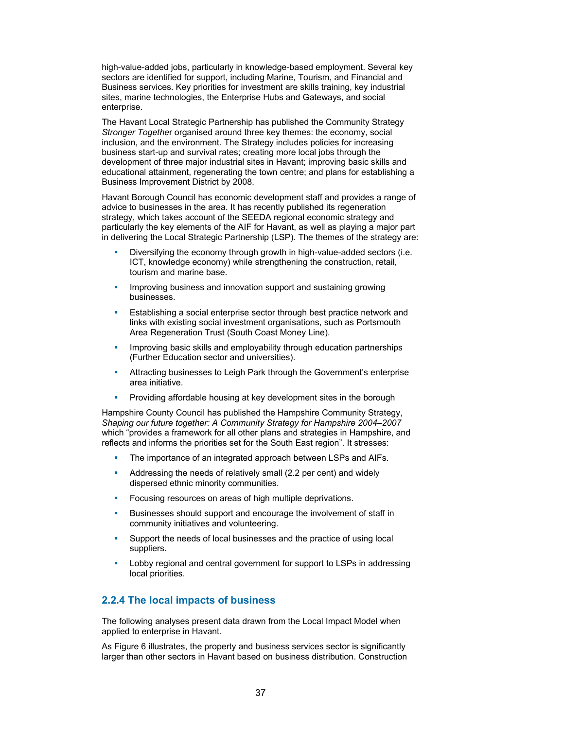high-value-added jobs, particularly in knowledge-based employment. Several key sectors are identified for support, including Marine, Tourism, and Financial and Business services. Key priorities for investment are skills training, key industrial sites, marine technologies, the Enterprise Hubs and Gateways, and social enterprise.

The Havant Local Strategic Partnership has published the Community Strategy *Stronger Togethe*r organised around three key themes: the economy, social inclusion, and the environment. The Strategy includes policies for increasing business start-up and survival rates; creating more local jobs through the development of three major industrial sites in Havant; improving basic skills and educational attainment, regenerating the town centre; and plans for establishing a Business Improvement District by 2008.

Havant Borough Council has economic development staff and provides a range of advice to businesses in the area. It has recently published its regeneration strategy, which takes account of the SEEDA regional economic strategy and particularly the key elements of the AIF for Havant, as well as playing a major part in delivering the Local Strategic Partnership (LSP). The themes of the strategy are:

- Diversifying the economy through growth in high-value-added sectors (i.e. ICT, knowledge economy) while strengthening the construction, retail, tourism and marine base.
- **IMPROVING business and innovation support and sustaining growing** businesses.
- **Establishing a social enterprise sector through best practice network and** links with existing social investment organisations, such as Portsmouth Area Regeneration Trust (South Coast Money Line).
- **IMPROVING basic skills and employability through education partnerships** (Further Education sector and universities).
- **Attracting businesses to Leigh Park through the Government's enterprise** area initiative.
- **Providing affordable housing at key development sites in the borough**

Hampshire County Council has published the Hampshire Community Strategy, *Shaping our future together: A Community Strategy for Hampshire 2004–2007* which "provides a framework for all other plans and strategies in Hampshire, and reflects and informs the priorities set for the South East region". It stresses:

- The importance of an integrated approach between LSPs and AIFs.
- Addressing the needs of relatively small (2.2 per cent) and widely dispersed ethnic minority communities.
- **Focusing resources on areas of high multiple deprivations.**
- Businesses should support and encourage the involvement of staff in community initiatives and volunteering.
- Support the needs of local businesses and the practice of using local suppliers.
- Lobby regional and central government for support to LSPs in addressing local priorities.

## **2.2.4 The local impacts of business**

The following analyses present data drawn from the Local Impact Model when applied to enterprise in Havant.

As Figure 6 illustrates, the property and business services sector is significantly larger than other sectors in Havant based on business distribution. Construction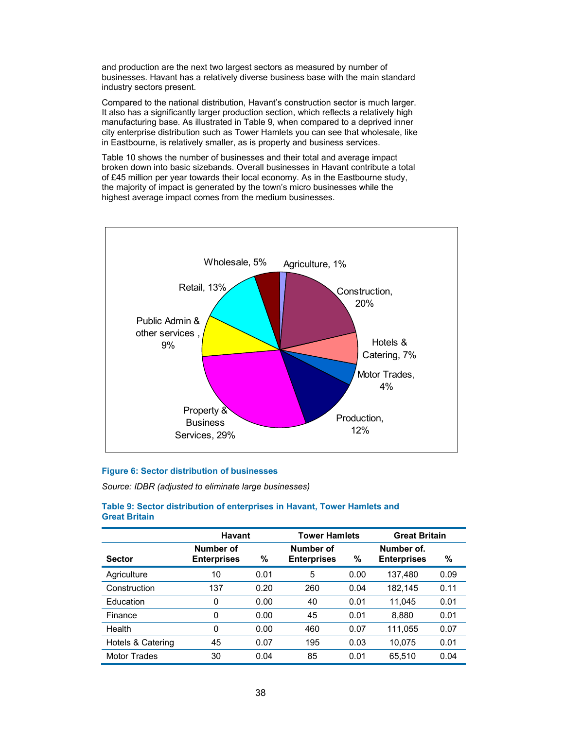and production are the next two largest sectors as measured by number of businesses. Havant has a relatively diverse business base with the main standard industry sectors present.

Compared to the national distribution, Havant's construction sector is much larger. It also has a significantly larger production section, which reflects a relatively high manufacturing base. As illustrated in Table 9, when compared to a deprived inner city enterprise distribution such as Tower Hamlets you can see that wholesale, like in Eastbourne, is relatively smaller, as is property and business services.

Table 10 shows the number of businesses and their total and average impact broken down into basic sizebands. Overall businesses in Havant contribute a total of £45 million per year towards their local economy. As in the Eastbourne study, the majority of impact is generated by the town's micro businesses while the highest average impact comes from the medium businesses.



#### **Figure 6: Sector distribution of businesses**

*Source: IDBR (adjusted to eliminate large businesses)* 

## **Table 9: Sector distribution of enterprises in Havant, Tower Hamlets and Great Britain**

|                     | <b>Havant</b>                   |      | <b>Tower Hamlets</b>            |      | <b>Great Britain</b>             |      |
|---------------------|---------------------------------|------|---------------------------------|------|----------------------------------|------|
| <b>Sector</b>       | Number of<br><b>Enterprises</b> | $\%$ | Number of<br><b>Enterprises</b> | $\%$ | Number of.<br><b>Enterprises</b> | %    |
| Agriculture         | 10                              | 0.01 | 5                               | 0.00 | 137,480                          | 0.09 |
| Construction        | 137                             | 0.20 | 260                             | 0.04 | 182,145                          | 0.11 |
| Education           | 0                               | 0.00 | 40                              | 0.01 | 11.045                           | 0.01 |
| Finance             | 0                               | 0.00 | 45                              | 0.01 | 8.880                            | 0.01 |
| Health              | 0                               | 0.00 | 460                             | 0.07 | 111,055                          | 0.07 |
| Hotels & Catering   | 45                              | 0.07 | 195                             | 0.03 | 10.075                           | 0.01 |
| <b>Motor Trades</b> | 30                              | 0.04 | 85                              | 0.01 | 65.510                           | 0.04 |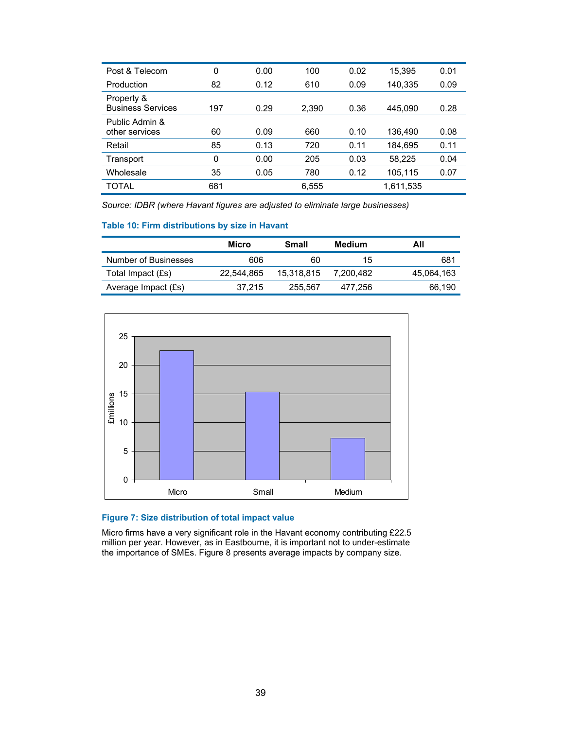| Post & Telecom                         | 0   | 0.00 | 100   | 0.02 | 15,395    | 0.01 |
|----------------------------------------|-----|------|-------|------|-----------|------|
| Production                             | 82  | 0.12 | 610   | 0.09 | 140,335   | 0.09 |
| Property &<br><b>Business Services</b> | 197 | 0.29 | 2,390 | 0.36 | 445.090   | 0.28 |
| Public Admin &<br>other services       | 60  | 0.09 | 660   | 0.10 | 136,490   | 0.08 |
| Retail                                 | 85  | 0.13 | 720   | 0.11 | 184,695   | 0.11 |
| Transport                              | 0   | 0.00 | 205   | 0.03 | 58,225    | 0.04 |
| Wholesale                              | 35  | 0.05 | 780   | 0.12 | 105,115   | 0.07 |
| TOTAL                                  | 681 |      | 6.555 |      | 1,611,535 |      |

*Source: IDBR (where Havant figures are adjusted to eliminate large businesses)* 

## **Table 10: Firm distributions by size in Havant**

|                      | Micro      | Small      | Medium    | All        |
|----------------------|------------|------------|-----------|------------|
| Number of Businesses | 606        | 60         | 15        | 681        |
| Total Impact (£s)    | 22,544,865 | 15.318.815 | 7.200.482 | 45.064.163 |
| Average Impact (£s)  | 37.215     | 255.567    | 477.256   | 66.190     |



# **Figure 7: Size distribution of total impact value**

Micro firms have a very significant role in the Havant economy contributing £22.5 million per year. However, as in Eastbourne, it is important not to under-estimate the importance of SMEs. Figure 8 presents average impacts by company size.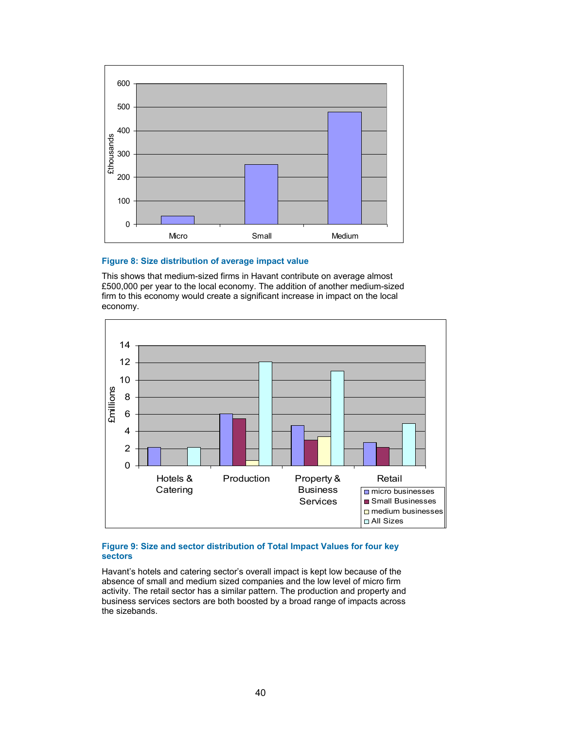

## **Figure 8: Size distribution of average impact value**

This shows that medium-sized firms in Havant contribute on average almost £500,000 per year to the local economy. The addition of another medium-sized firm to this economy would create a significant increase in impact on the local economy.



## **Figure 9: Size and sector distribution of Total Impact Values for four key sectors**

Havant's hotels and catering sector's overall impact is kept low because of the absence of small and medium sized companies and the low level of micro firm activity. The retail sector has a similar pattern. The production and property and business services sectors are both boosted by a broad range of impacts across the sizebands.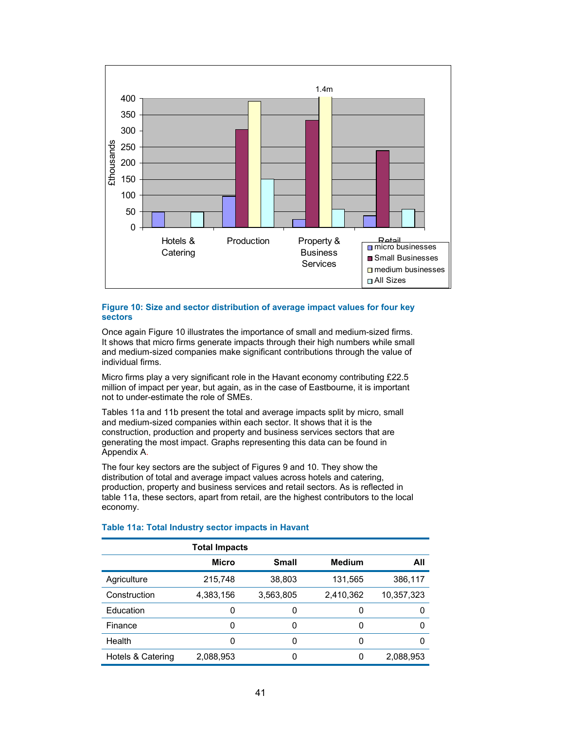

#### **Figure 10: Size and sector distribution of average impact values for four key sectors**

Once again Figure 10 illustrates the importance of small and medium-sized firms. It shows that micro firms generate impacts through their high numbers while small and medium-sized companies make significant contributions through the value of individual firms.

Micro firms play a very significant role in the Havant economy contributing £22.5 million of impact per year, but again, as in the case of Eastbourne, it is important not to under-estimate the role of SMEs.

Tables 11a and 11b present the total and average impacts split by micro, small and medium-sized companies within each sector. It shows that it is the construction, production and property and business services sectors that are generating the most impact. Graphs representing this data can be found in Appendix A.

The four key sectors are the subject of Figures 9 and 10. They show the distribution of total and average impact values across hotels and catering, production, property and business services and retail sectors. As is reflected in table 11a, these sectors, apart from retail, are the highest contributors to the local economy.

|                   | <b>Total Impacts</b> |              |               |            |
|-------------------|----------------------|--------------|---------------|------------|
|                   | Micro                | <b>Small</b> | <b>Medium</b> | All        |
| Agriculture       | 215,748              | 38,803       | 131,565       | 386,117    |
| Construction      | 4,383,156            | 3,563,805    | 2,410,362     | 10,357,323 |
| Education         | 0                    | 0            |               | 0          |
| Finance           | 0                    | 0            | 0             | 0          |
| Health            | 0                    | 0            | 0             | 0          |
| Hotels & Catering | 2,088,953            |              | 0             | 2,088,953  |

## **Table 11a: Total Industry sector impacts in Havant**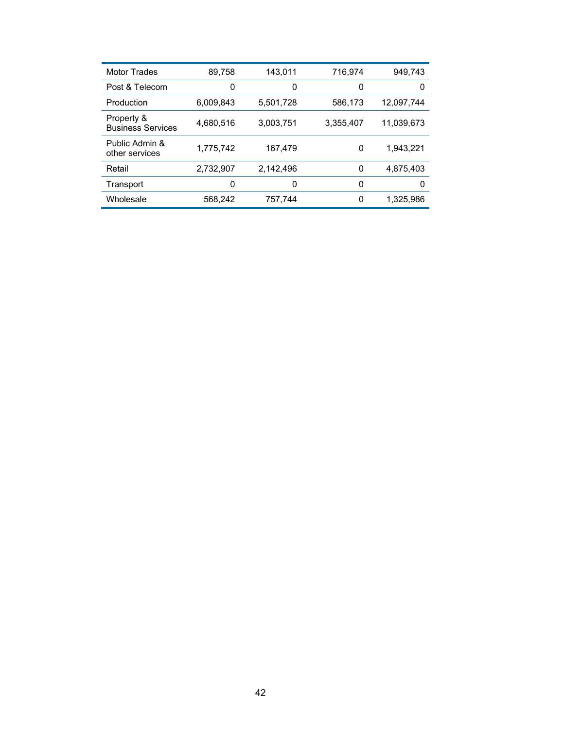| <b>Motor Trades</b>                    | 89,758    | 143.011   | 716.974   | 949.743    |
|----------------------------------------|-----------|-----------|-----------|------------|
| Post & Telecom                         | 0         | 0         | 0         | 0          |
| Production                             | 6.009.843 | 5,501,728 | 586,173   | 12.097.744 |
| Property &<br><b>Business Services</b> | 4,680,516 | 3,003,751 | 3,355,407 | 11,039,673 |
| Public Admin &<br>other services       | 1.775.742 | 167.479   | 0         | 1.943.221  |
| Retail                                 | 2.732.907 | 2.142.496 | 0         | 4.875.403  |
| Transport                              | 0         | 0         | 0         | 0          |
| Wholesale                              | 568,242   | 757.744   | 0         | 1,325,986  |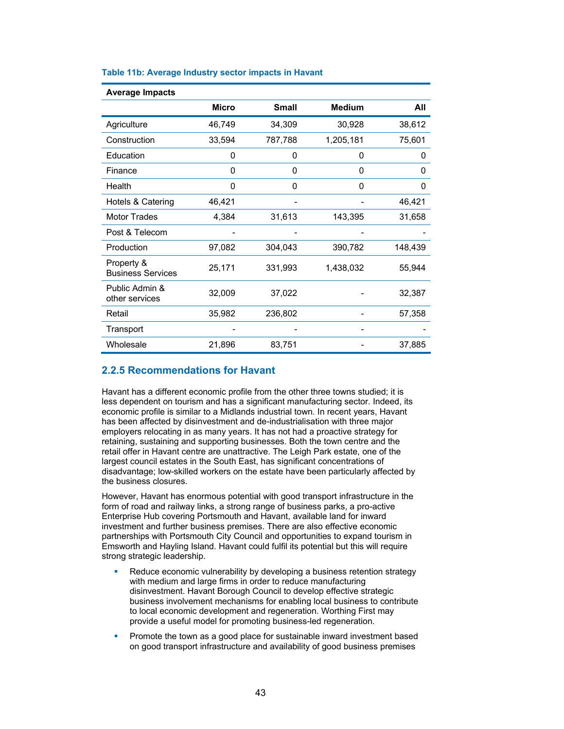| <b>Average Impacts</b>                 |        |              |               |         |
|----------------------------------------|--------|--------------|---------------|---------|
|                                        | Micro  | <b>Small</b> | <b>Medium</b> | All     |
| Agriculture                            | 46,749 | 34,309       | 30,928        | 38,612  |
| Construction                           | 33,594 | 787,788      | 1,205,181     | 75,601  |
| Education                              | 0      | 0            | 0             | 0       |
| Finance                                | 0      | 0            | 0             | 0       |
| Health                                 | 0      | 0            | 0             | 0       |
| Hotels & Catering                      | 46,421 |              |               | 46,421  |
| <b>Motor Trades</b>                    | 4,384  | 31,613       | 143,395       | 31,658  |
| Post & Telecom                         |        |              |               |         |
| Production                             | 97,082 | 304,043      | 390,782       | 148,439 |
| Property &<br><b>Business Services</b> | 25,171 | 331,993      | 1,438,032     | 55,944  |
| Public Admin &<br>other services       | 32,009 | 37,022       |               | 32,387  |
| Retail                                 | 35,982 | 236,802      |               | 57,358  |
| Transport                              |        |              |               |         |
| Wholesale                              | 21,896 | 83,751       |               | 37,885  |

### **Table 11b: Average Industry sector impacts in Havant**

## **2.2.5 Recommendations for Havant**

Havant has a different economic profile from the other three towns studied; it is less dependent on tourism and has a significant manufacturing sector. Indeed, its economic profile is similar to a Midlands industrial town. In recent years, Havant has been affected by disinvestment and de-industrialisation with three major employers relocating in as many years. It has not had a proactive strategy for retaining, sustaining and supporting businesses. Both the town centre and the retail offer in Havant centre are unattractive. The Leigh Park estate, one of the largest council estates in the South East, has significant concentrations of disadvantage; low-skilled workers on the estate have been particularly affected by the business closures.

However, Havant has enormous potential with good transport infrastructure in the form of road and railway links, a strong range of business parks, a pro-active Enterprise Hub covering Portsmouth and Havant, available land for inward investment and further business premises. There are also effective economic partnerships with Portsmouth City Council and opportunities to expand tourism in Emsworth and Hayling Island. Havant could fulfil its potential but this will require strong strategic leadership.

- Reduce economic vulnerability by developing a business retention strategy with medium and large firms in order to reduce manufacturing disinvestment. Havant Borough Council to develop effective strategic business involvement mechanisms for enabling local business to contribute to local economic development and regeneration. Worthing First may provide a useful model for promoting business-led regeneration.
- **Promote the town as a good place for sustainable inward investment based** on good transport infrastructure and availability of good business premises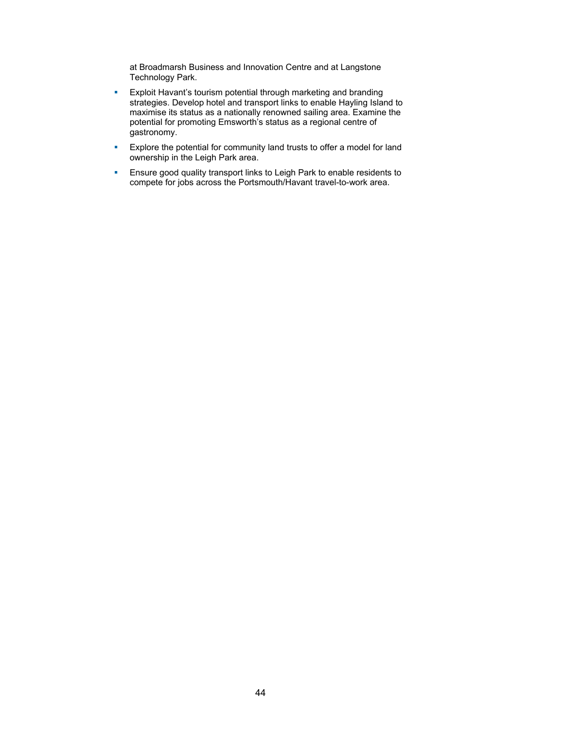at Broadmarsh Business and Innovation Centre and at Langstone Technology Park.

- **Exploit Havant's tourism potential through marketing and branding** strategies. Develop hotel and transport links to enable Hayling Island to maximise its status as a nationally renowned sailing area. Examine the potential for promoting Emsworth's status as a regional centre of gastronomy.
- **Explore the potential for community land trusts to offer a model for land** ownership in the Leigh Park area.
- **Ensure good quality transport links to Leigh Park to enable residents to** compete for jobs across the Portsmouth/Havant travel-to-work area.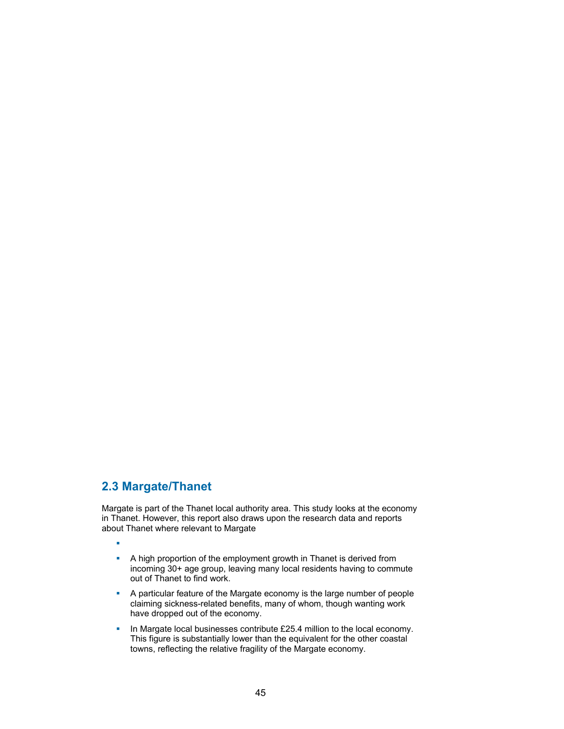# **2.3 Margate/Thanet**

Margate is part of the Thanet local authority area. This study looks at the economy in Thanet. However, this report also draws upon the research data and reports about Thanet where relevant to Margate

à.

- A high proportion of the employment growth in Thanet is derived from incoming 30+ age group, leaving many local residents having to commute out of Thanet to find work.
- A particular feature of the Margate economy is the large number of people claiming sickness-related benefits, many of whom, though wanting work have dropped out of the economy.
- In Margate local businesses contribute £25.4 million to the local economy. This figure is substantially lower than the equivalent for the other coastal towns, reflecting the relative fragility of the Margate economy.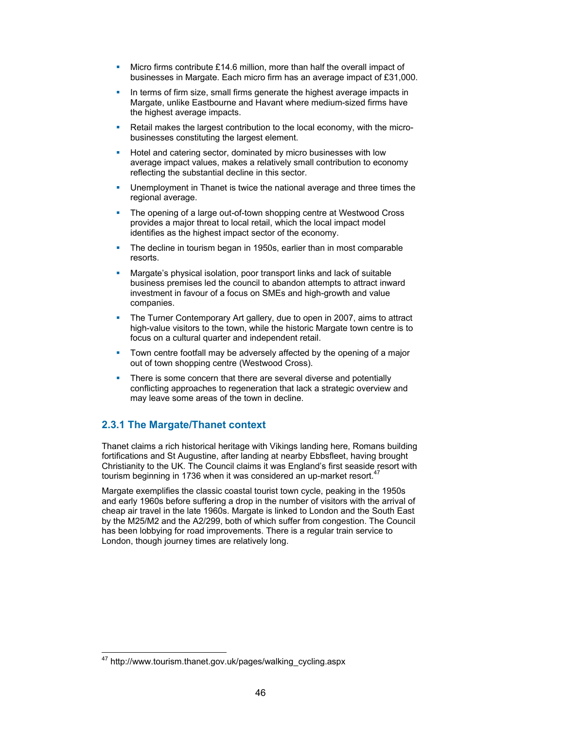- **Micro firms contribute £14.6 million, more than half the overall impact of** businesses in Margate. Each micro firm has an average impact of £31,000.
- In terms of firm size, small firms generate the highest average impacts in Margate, unlike Eastbourne and Havant where medium-sized firms have the highest average impacts.
- Retail makes the largest contribution to the local economy, with the microbusinesses constituting the largest element.
- Hotel and catering sector, dominated by micro businesses with low average impact values, makes a relatively small contribution to economy reflecting the substantial decline in this sector.
- Unemployment in Thanet is twice the national average and three times the regional average.
- The opening of a large out-of-town shopping centre at Westwood Cross provides a major threat to local retail, which the local impact model identifies as the highest impact sector of the economy.
- The decline in tourism began in 1950s, earlier than in most comparable resorts.
- Margate's physical isolation, poor transport links and lack of suitable business premises led the council to abandon attempts to attract inward investment in favour of a focus on SMEs and high-growth and value companies.
- The Turner Contemporary Art gallery, due to open in 2007, aims to attract high-value visitors to the town, while the historic Margate town centre is to focus on a cultural quarter and independent retail.
- Town centre footfall may be adversely affected by the opening of a major out of town shopping centre (Westwood Cross).
- There is some concern that there are several diverse and potentially conflicting approaches to regeneration that lack a strategic overview and may leave some areas of the town in decline.

# **2.3.1 The Margate/Thanet context**

Thanet claims a rich historical heritage with Vikings landing here, Romans building fortifications and St Augustine, after landing at nearby Ebbsfleet, having brought Christianity to the UK. The Council claims it was England's first seaside resort with tourism beginning in 1736 when it was considered an up-market resort.<sup>47</sup>

Margate exemplifies the classic coastal tourist town cycle, peaking in the 1950s and early 1960s before suffering a drop in the number of visitors with the arrival of cheap air travel in the late 1960s. Margate is linked to London and the South East by the M25/M2 and the A2/299, both of which suffer from congestion. The Council has been lobbying for road improvements. There is a regular train service to London, though journey times are relatively long.

 $\overline{a}$ 

<sup>&</sup>lt;sup>47</sup> http://www.tourism.thanet.gov.uk/pages/walking\_cycling.aspx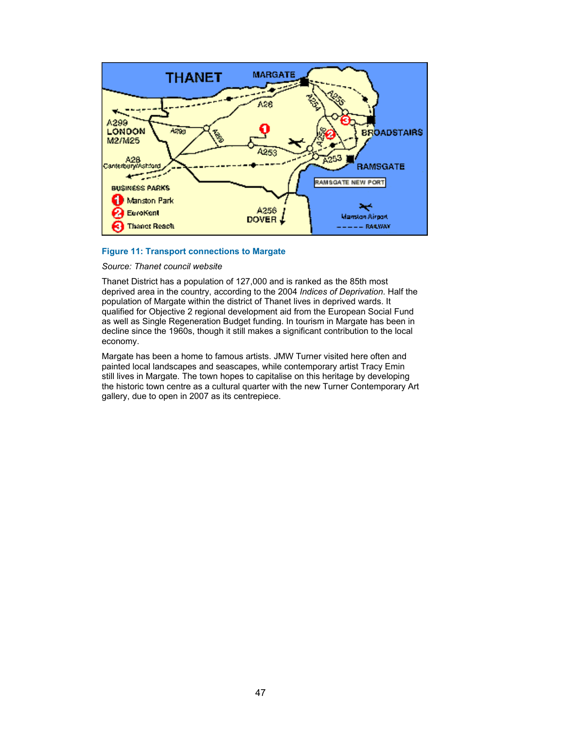

## **Figure 11: Transport connections to Margate**

### *Source: Thanet council website*

Thanet District has a population of 127,000 and is ranked as the 85th most deprived area in the country, according to the 2004 *Indices of Deprivation*. Half the population of Margate within the district of Thanet lives in deprived wards. It qualified for Objective 2 regional development aid from the European Social Fund as well as Single Regeneration Budget funding. In tourism in Margate has been in decline since the 1960s, though it still makes a significant contribution to the local economy.

Margate has been a home to famous artists. JMW Turner visited here often and painted local landscapes and seascapes, while contemporary artist Tracy Emin still lives in Margate. The town hopes to capitalise on this heritage by developing the historic town centre as a cultural quarter with the new Turner Contemporary Art gallery, due to open in 2007 as its centrepiece.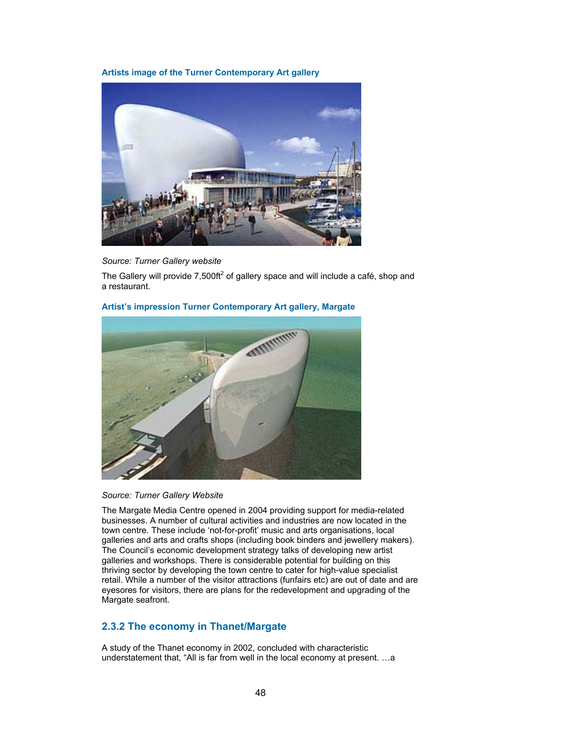## **Artists image of the Turner Contemporary Art gallery**



## *Source: Turner Gallery website*

The Gallery will provide 7,500ft<sup>2</sup> of gallery space and will include a café, shop and a restaurant.

#### **Artist's impression Turner Contemporary Art gallery, Margate**





The Margate Media Centre opened in 2004 providing support for media-related businesses. A number of cultural activities and industries are now located in the town centre. These include 'not-for-profit' music and arts organisations, local galleries and arts and crafts shops (including book binders and jewellery makers). The Council's economic development strategy talks of developing new artist galleries and workshops. There is considerable potential for building on this thriving sector by developing the town centre to cater for high-value specialist retail. While a number of the visitor attractions (funfairs etc) are out of date and are eyesores for visitors, there are plans for the redevelopment and upgrading of the Margate seafront.

## **2.3.2 The economy in Thanet/Margate**

A study of the Thanet economy in 2002, concluded with characteristic understatement that, "All is far from well in the local economy at present. …a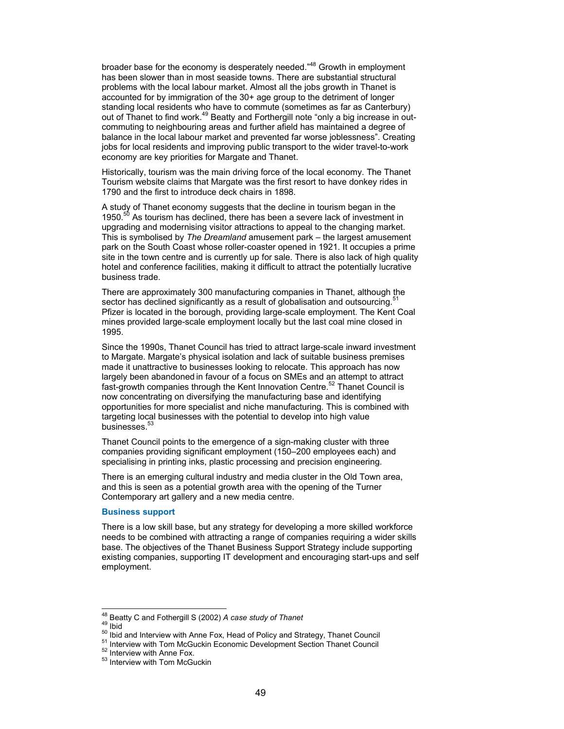broader base for the economy is desperately needed."<sup>48</sup> Growth in employment has been slower than in most seaside towns. There are substantial structural problems with the local labour market. Almost all the jobs growth in Thanet is accounted for by immigration of the 30+ age group to the detriment of longer standing local residents who have to commute (sometimes as far as Canterbury) out of Thanet to find work.49 Beatty and Forthergill note "only a big increase in outcommuting to neighbouring areas and further afield has maintained a degree of balance in the local labour market and prevented far worse joblessness". Creating jobs for local residents and improving public transport to the wider travel-to-work economy are key priorities for Margate and Thanet.

Historically, tourism was the main driving force of the local economy. The Thanet Tourism website claims that Margate was the first resort to have donkey rides in 1790 and the first to introduce deck chairs in 1898.

A study of Thanet economy suggests that the decline in tourism began in the 1950. $50$  As tourism has declined, there has been a severe lack of investment in upgrading and modernising visitor attractions to appeal to the changing market. This is symbolised by *The Dreamland* amusement park – the largest amusement park on the South Coast whose roller-coaster opened in 1921. It occupies a prime site in the town centre and is currently up for sale. There is also lack of high quality hotel and conference facilities, making it difficult to attract the potentially lucrative business trade.

There are approximately 300 manufacturing companies in Thanet, although the sector has declined significantly as a result of globalisation and outsourcing. Pfizer is located in the borough, providing large-scale employment. The Kent Coal mines provided large-scale employment locally but the last coal mine closed in 1995.

Since the 1990s, Thanet Council has tried to attract large-scale inward investment to Margate. Margate's physical isolation and lack of suitable business premises made it unattractive to businesses looking to relocate. This approach has now largely been abandoned in favour of a focus on SMEs and an attempt to attract fast-growth companies through the Kent Innovation Centre.<sup>52</sup> Thanet Council is now concentrating on diversifying the manufacturing base and identifying opportunities for more specialist and niche manufacturing. This is combined with targeting local businesses with the potential to develop into high value businesses.<sup>53</sup>

Thanet Council points to the emergence of a sign-making cluster with three companies providing significant employment (150–200 employees each) and specialising in printing inks, plastic processing and precision engineering.

There is an emerging cultural industry and media cluster in the Old Town area, and this is seen as a potential growth area with the opening of the Turner Contemporary art gallery and a new media centre.

#### **Business support**

There is a low skill base, but any strategy for developing a more skilled workforce needs to be combined with attracting a range of companies requiring a wider skills base. The objectives of the Thanet Business Support Strategy include supporting existing companies, supporting IT development and encouraging start-ups and self employment.

<sup>&</sup>lt;sup>48</sup> Beatty C and Fothergill S (2002) A case study of Thanet

<sup>49</sup> bid<br>  $\frac{49}{100}$  bid<br>  $\frac{50}{100}$  bid and Interview with Anne Fox, Head of Policy and Strategy, Thanet Council<br>  $\frac{52}{100}$  Interview with Anne Fox.<br>  $\frac{52}{100}$  Interview with Anne Fox.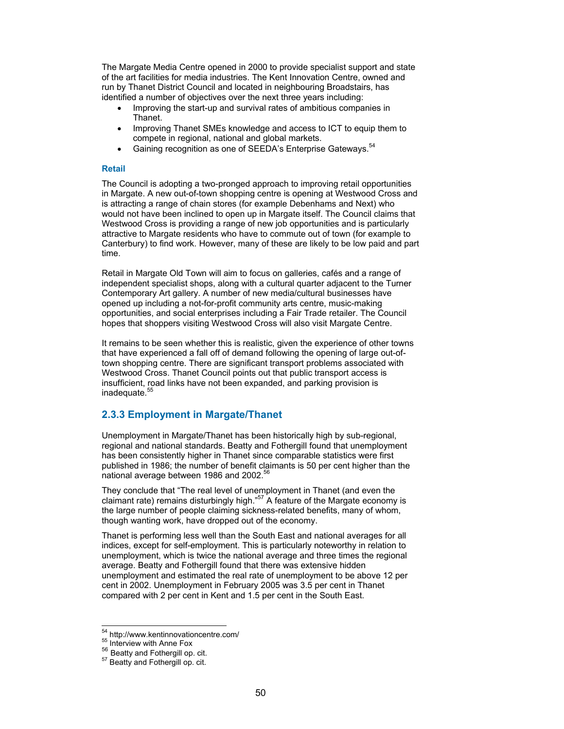The Margate Media Centre opened in 2000 to provide specialist support and state of the art facilities for media industries. The Kent Innovation Centre, owned and run by Thanet District Council and located in neighbouring Broadstairs, has identified a number of objectives over the next three years including:

- Improving the start-up and survival rates of ambitious companies in Thanet.
- Improving Thanet SMEs knowledge and access to ICT to equip them to compete in regional, national and global markets.
- Gaining recognition as one of SEEDA's Enterprise Gateways.<sup>54</sup>

#### **Retail**

The Council is adopting a two-pronged approach to improving retail opportunities in Margate. A new out-of-town shopping centre is opening at Westwood Cross and is attracting a range of chain stores (for example Debenhams and Next) who would not have been inclined to open up in Margate itself. The Council claims that Westwood Cross is providing a range of new job opportunities and is particularly attractive to Margate residents who have to commute out of town (for example to Canterbury) to find work. However, many of these are likely to be low paid and part time.

Retail in Margate Old Town will aim to focus on galleries, cafés and a range of independent specialist shops, along with a cultural quarter adjacent to the Turner Contemporary Art gallery. A number of new media/cultural businesses have opened up including a not-for-profit community arts centre, music-making opportunities, and social enterprises including a Fair Trade retailer. The Council hopes that shoppers visiting Westwood Cross will also visit Margate Centre.

It remains to be seen whether this is realistic, given the experience of other towns that have experienced a fall off of demand following the opening of large out-oftown shopping centre. There are significant transport problems associated with Westwood Cross. Thanet Council points out that public transport access is insufficient, road links have not been expanded, and parking provision is inadequate.<sup>55</sup>

## **2.3.3 Employment in Margate/Thanet**

Unemployment in Margate/Thanet has been historically high by sub-regional, regional and national standards. Beatty and Fothergill found that unemployment has been consistently higher in Thanet since comparable statistics were first published in 1986; the number of benefit claimants is 50 per cent higher than the national average between 1986 and 2002.<sup>56</sup>

They conclude that "The real level of unemployment in Thanet (and even the claimant rate) remains disturbingly high."<sup>57</sup> A feature of the Margate economy is the large number of people claiming sickness-related benefits, many of whom, though wanting work, have dropped out of the economy.

Thanet is performing less well than the South East and national averages for all indices, except for self-employment. This is particularly noteworthy in relation to unemployment, which is twice the national average and three times the regional average. Beatty and Fothergill found that there was extensive hidden unemployment and estimated the real rate of unemployment to be above 12 per cent in 2002. Unemployment in February 2005 was 3.5 per cent in Thanet compared with 2 per cent in Kent and 1.5 per cent in the South East.

 $\overline{a}$ 

<sup>&</sup>lt;sup>54</sup> http://www.kentinnovationcentre.com/<br><sup>55</sup> Interview with Anne Fox<br><sup>56</sup> Beatty and Fothergill op. cit.<br><sup>57</sup> Beatty and Fothergill op. cit.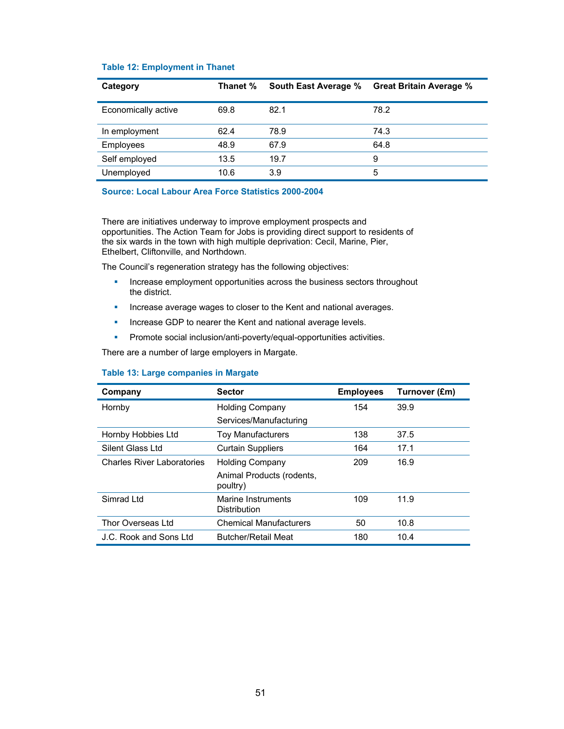| Category            | Thanet % | <b>South East Average %</b> | <b>Great Britain Average %</b> |
|---------------------|----------|-----------------------------|--------------------------------|
| Economically active | 69.8     | 82.1                        | 78.2                           |
| In employment       | 62.4     | 78.9                        | 74.3                           |
| Employees           | 48.9     | 67.9                        | 64.8                           |
| Self employed       | 13.5     | 19.7                        | 9                              |
| Unemployed          | 10.6     | 3.9                         | 5                              |

## **Table 12: Employment in Thanet**

#### **Source: Local Labour Area Force Statistics 2000-2004**

There are initiatives underway to improve employment prospects and opportunities. The Action Team for Jobs is providing direct support to residents of the six wards in the town with high multiple deprivation: Cecil, Marine, Pier, Ethelbert, Cliftonville, and Northdown.

The Council's regeneration strategy has the following objectives:

- **Increase employment opportunities across the business sectors throughout** the district.
- **Increase average wages to closer to the Kent and national averages.**
- **Increase GDP to nearer the Kent and national average levels.**
- **Promote social inclusion/anti-poverty/equal-opportunities activities.**

There are a number of large employers in Margate.

| Company                           | <b>Sector</b>                             | <b>Employees</b> | Turnover (£m) |
|-----------------------------------|-------------------------------------------|------------------|---------------|
| Hornby                            | <b>Holding Company</b>                    | 154              | 39.9          |
|                                   | Services/Manufacturing                    |                  |               |
| Hornby Hobbies Ltd                | <b>Toy Manufacturers</b>                  | 138              | 37.5          |
| Silent Glass Ltd                  | <b>Curtain Suppliers</b>                  | 164              | 17.1          |
| <b>Charles River Laboratories</b> | <b>Holding Company</b>                    | 209              | 16.9          |
|                                   | Animal Products (rodents,<br>poultry)     |                  |               |
| Simrad Ltd                        | Marine Instruments<br><b>Distribution</b> | 109              | 11.9          |
| Thor Overseas Ltd                 | <b>Chemical Manufacturers</b>             | 50               | 10.8          |
| J.C. Rook and Sons Ltd            | <b>Butcher/Retail Meat</b>                | 180              | 10.4          |

## **Table 13: Large companies in Margate**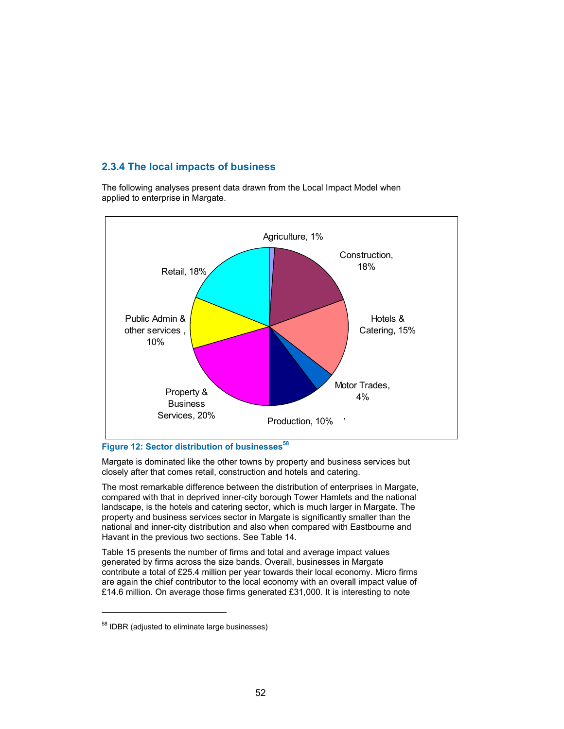# **2.3.4 The local impacts of business**

The following analyses present data drawn from the Local Impact Model when applied to enterprise in Margate.



# Figure 12: Sector distribution of businesses<sup>58</sup>

Margate is dominated like the other towns by property and business services but closely after that comes retail, construction and hotels and catering.

The most remarkable difference between the distribution of enterprises in Margate, compared with that in deprived inner-city borough Tower Hamlets and the national landscape, is the hotels and catering sector, which is much larger in Margate. The property and business services sector in Margate is significantly smaller than the national and inner-city distribution and also when compared with Eastbourne and Havant in the previous two sections. See Table 14.

Table 15 presents the number of firms and total and average impact values generated by firms across the size bands. Overall, businesses in Margate contribute a total of £25.4 million per year towards their local economy. Micro firms are again the chief contributor to the local economy with an overall impact value of £14.6 million. On average those firms generated £31,000. It is interesting to note

l

<sup>&</sup>lt;sup>58</sup> IDBR (adjusted to eliminate large businesses)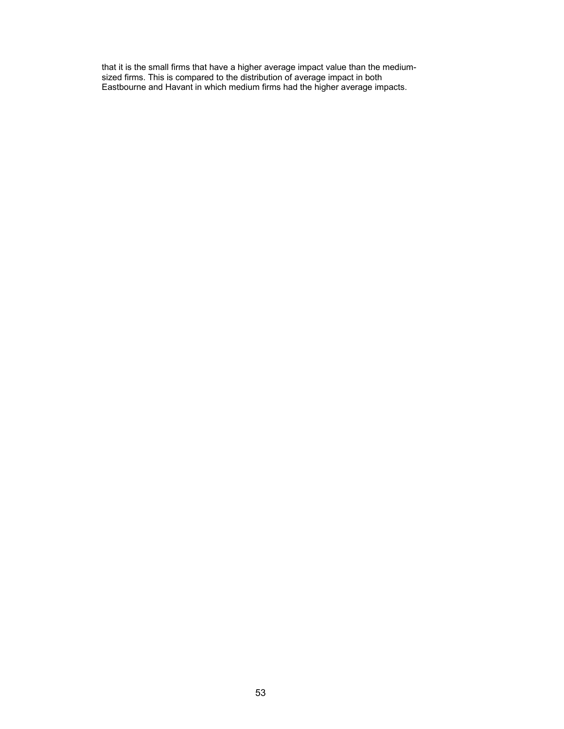that it is the small firms that have a higher average impact value than the mediumsized firms. This is compared to the distribution of average impact in both Eastbourne and Havant in which medium firms had the higher average impacts.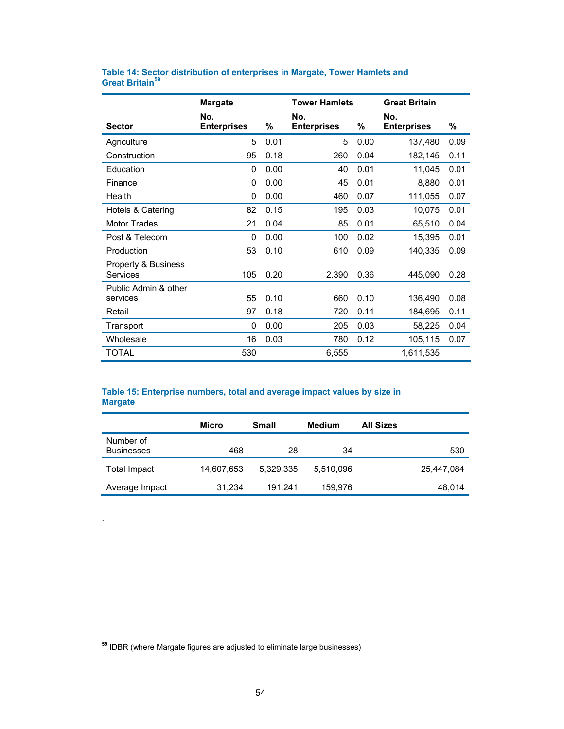|                                        | <b>Margate</b>            |      | <b>Tower Hamlets</b>      |      | <b>Great Britain</b>      |      |
|----------------------------------------|---------------------------|------|---------------------------|------|---------------------------|------|
| <b>Sector</b>                          | No.<br><b>Enterprises</b> | %    | No.<br><b>Enterprises</b> | %    | No.<br><b>Enterprises</b> | %    |
| Agriculture                            | 5                         | 0.01 | 5                         | 0.00 | 137,480                   | 0.09 |
| Construction                           | 95                        | 0.18 | 260                       | 0.04 | 182,145                   | 0.11 |
| Education                              | 0                         | 0.00 | 40                        | 0.01 | 11,045                    | 0.01 |
| Finance                                | 0                         | 0.00 | 45                        | 0.01 | 8,880                     | 0.01 |
| Health                                 | 0                         | 0.00 | 460                       | 0.07 | 111,055                   | 0.07 |
| Hotels & Catering                      | 82                        | 0.15 | 195                       | 0.03 | 10,075                    | 0.01 |
| <b>Motor Trades</b>                    | 21                        | 0.04 | 85                        | 0.01 | 65,510                    | 0.04 |
| Post & Telecom                         | $\Omega$                  | 0.00 | 100                       | 0.02 | 15,395                    | 0.01 |
| Production                             | 53                        | 0.10 | 610                       | 0.09 | 140,335                   | 0.09 |
| Property & Business<br><b>Services</b> | 105                       | 0.20 | 2,390                     | 0.36 | 445,090                   | 0.28 |
| Public Admin & other<br>services       | 55                        | 0.10 | 660                       | 0.10 | 136,490                   | 0.08 |
| Retail                                 | 97                        | 0.18 | 720                       | 0.11 | 184,695                   | 0.11 |
| Transport                              | 0                         | 0.00 | 205                       | 0.03 | 58,225                    | 0.04 |
| Wholesale                              | 16                        | 0.03 | 780                       | 0.12 | 105,115                   | 0.07 |
| TOTAL                                  | 530                       |      | 6,555                     |      | 1,611,535                 |      |

## **Table 14: Sector distribution of enterprises in Margate, Tower Hamlets and Great Britain<sup>59</sup>**

## **Table 15: Enterprise numbers, total and average impact values by size in Margate**

|                                | Micro      | Small     | Medium    | <b>All Sizes</b> |
|--------------------------------|------------|-----------|-----------|------------------|
| Number of<br><b>Businesses</b> | 468        | 28        | 34        | 530              |
| Total Impact                   | 14,607,653 | 5.329.335 | 5,510,096 | 25,447,084       |
| Average Impact                 | 31,234     | 191.241   | 159,976   | 48,014           |

.

 $\overline{a}$ 

**<sup>59</sup>** IDBR (where Margate figures are adjusted to eliminate large businesses)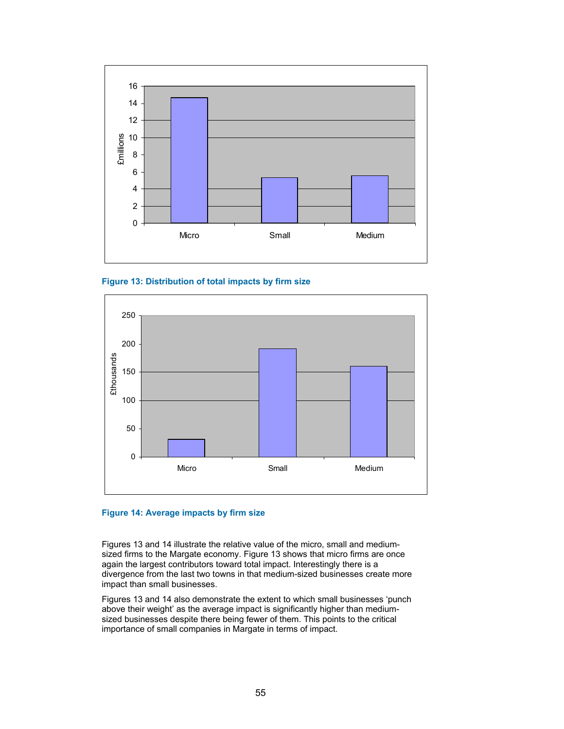





## **Figure 14: Average impacts by firm size**

Figures 13 and 14 illustrate the relative value of the micro, small and mediumsized firms to the Margate economy. Figure 13 shows that micro firms are once again the largest contributors toward total impact. Interestingly there is a divergence from the last two towns in that medium-sized businesses create more impact than small businesses.

Figures 13 and 14 also demonstrate the extent to which small businesses 'punch above their weight' as the average impact is significantly higher than mediumsized businesses despite there being fewer of them. This points to the critical importance of small companies in Margate in terms of impact.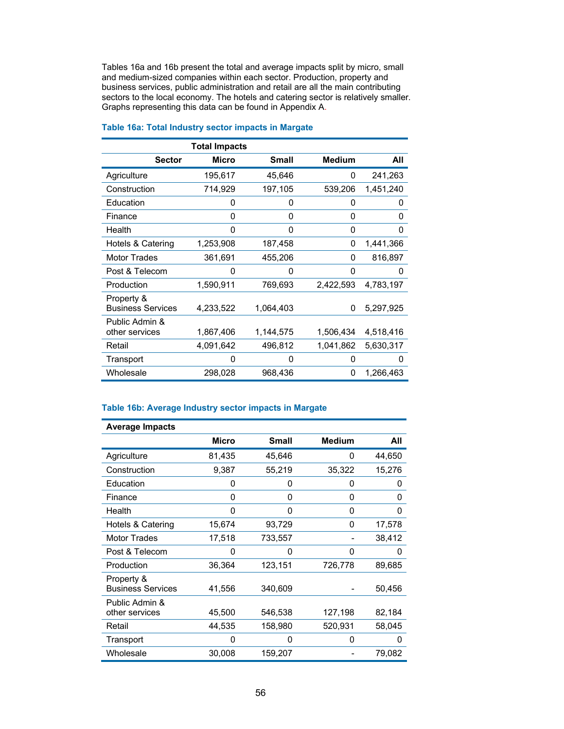Tables 16a and 16b present the total and average impacts split by micro, small and medium-sized companies within each sector. Production, property and business services, public administration and retail are all the main contributing sectors to the local economy. The hotels and catering sector is relatively smaller. Graphs representing this data can be found in Appendix A.

|                                        | <b>Total Impacts</b> |              |               |           |
|----------------------------------------|----------------------|--------------|---------------|-----------|
| <b>Sector</b>                          | Micro                | <b>Small</b> | <b>Medium</b> | All       |
| Agriculture                            | 195,617              | 45,646       | 0             | 241,263   |
| Construction                           | 714,929              | 197,105      | 539,206       | 1,451,240 |
| Education                              | 0                    | 0            | 0             | 0         |
| Finance                                | 0                    | 0            | 0             | 0         |
| Health                                 | 0                    | 0            | 0             | 0         |
| Hotels & Catering                      | 1,253,908            | 187,458      | 0             | 1,441,366 |
| <b>Motor Trades</b>                    | 361,691              | 455,206      | 0             | 816,897   |
| Post & Telecom                         | 0                    | 0            | 0             | O         |
| Production                             | 1,590,911            | 769,693      | 2,422,593     | 4,783,197 |
| Property &<br><b>Business Services</b> | 4,233,522            | 1,064,403    | 0             | 5,297,925 |
| Public Admin &<br>other services       | 1,867,406            | 1,144,575    | 1,506,434     | 4,518,416 |
| Retail                                 | 4,091,642            | 496,812      | 1,041,862     | 5,630,317 |
| Transport                              | 0                    | 0            | 0             | O         |
| Wholesale                              | 298,028              | 968,436      | 0             | 1,266,463 |

## **Table 16a: Total Industry sector impacts in Margate**

## **Table 16b: Average Industry sector impacts in Margate**

| <b>Average Impacts</b>                 |              |              |               |        |
|----------------------------------------|--------------|--------------|---------------|--------|
|                                        | <b>Micro</b> | <b>Small</b> | <b>Medium</b> | All    |
| Agriculture                            | 81,435       | 45,646       | 0             | 44,650 |
| Construction                           | 9,387        | 55,219       | 35,322        | 15,276 |
| Education                              | 0            | 0            | 0             | 0      |
| Finance                                | 0            | 0            | 0             | 0      |
| Health                                 | 0            | 0            | 0             | 0      |
| Hotels & Catering                      | 15,674       | 93,729       | 0             | 17,578 |
| <b>Motor Trades</b>                    | 17,518       | 733,557      |               | 38,412 |
| Post & Telecom                         | 0            | 0            | 0             | O      |
| Production                             | 36,364       | 123,151      | 726,778       | 89,685 |
| Property &<br><b>Business Services</b> | 41,556       | 340,609      |               | 50,456 |
| Public Admin &<br>other services       | 45,500       | 546,538      | 127,198       | 82,184 |
| Retail                                 | 44,535       | 158,980      | 520,931       | 58,045 |
| Transport                              | 0            | 0            | 0             | O      |
| Wholesale                              | 30,008       | 159,207      |               | 79,082 |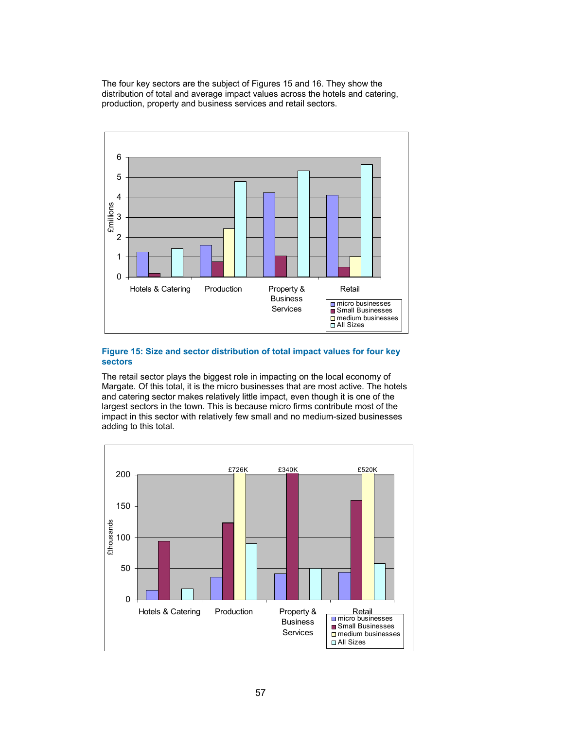The four key sectors are the subject of Figures 15 and 16. They show the distribution of total and average impact values across the hotels and catering, production, property and business services and retail sectors.



### **Figure 15: Size and sector distribution of total impact values for four key sectors**

The retail sector plays the biggest role in impacting on the local economy of Margate. Of this total, it is the micro businesses that are most active. The hotels and catering sector makes relatively little impact, even though it is one of the largest sectors in the town. This is because micro firms contribute most of the impact in this sector with relatively few small and no medium-sized businesses adding to this total.

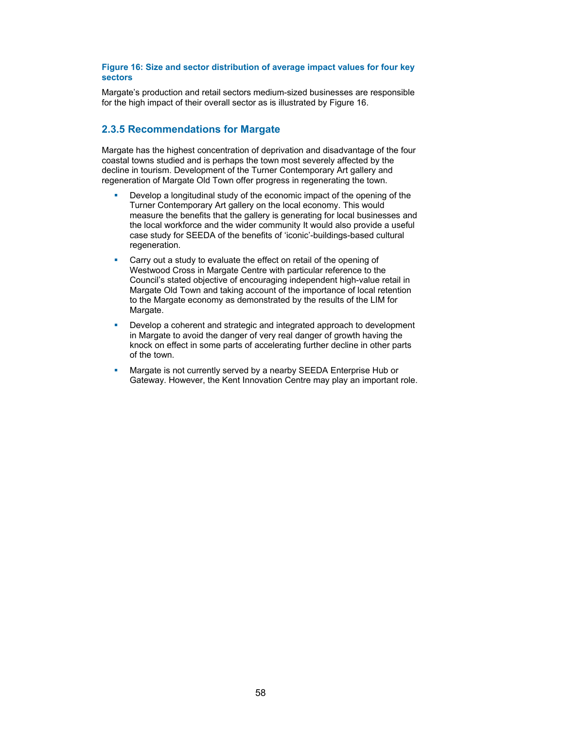#### **Figure 16: Size and sector distribution of average impact values for four key sectors**

Margate's production and retail sectors medium-sized businesses are responsible for the high impact of their overall sector as is illustrated by Figure 16.

# **2.3.5 Recommendations for Margate**

Margate has the highest concentration of deprivation and disadvantage of the four coastal towns studied and is perhaps the town most severely affected by the decline in tourism. Development of the Turner Contemporary Art gallery and regeneration of Margate Old Town offer progress in regenerating the town.

- **•** Develop a longitudinal study of the economic impact of the opening of the Turner Contemporary Art gallery on the local economy. This would measure the benefits that the gallery is generating for local businesses and the local workforce and the wider community It would also provide a useful case study for SEEDA of the benefits of 'iconic'-buildings-based cultural regeneration.
- Carry out a study to evaluate the effect on retail of the opening of Westwood Cross in Margate Centre with particular reference to the Council's stated objective of encouraging independent high-value retail in Margate Old Town and taking account of the importance of local retention to the Margate economy as demonstrated by the results of the LIM for Margate.
- Develop a coherent and strategic and integrated approach to development in Margate to avoid the danger of very real danger of growth having the knock on effect in some parts of accelerating further decline in other parts of the town.
- **Margate is not currently served by a nearby SEEDA Enterprise Hub or** Gateway. However, the Kent Innovation Centre may play an important role.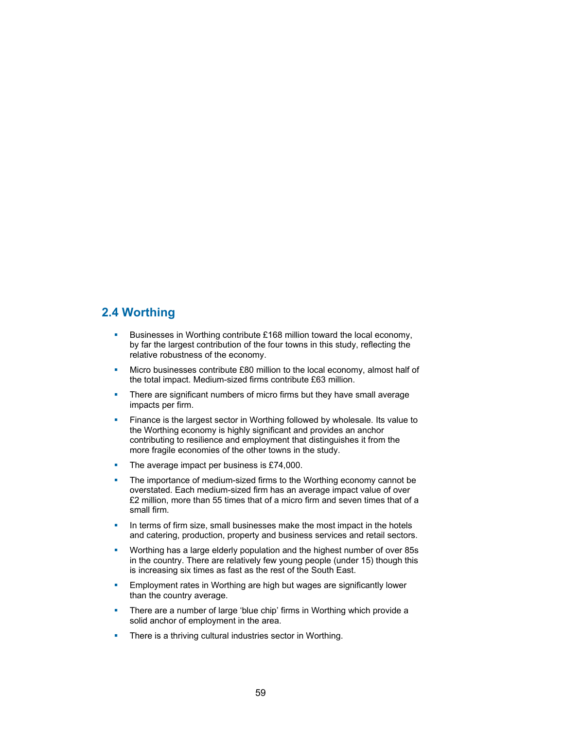# **2.4 Worthing**

- Businesses in Worthing contribute £168 million toward the local economy, by far the largest contribution of the four towns in this study, reflecting the relative robustness of the economy.
- **Micro businesses contribute £80 million to the local economy, almost half of** the total impact. Medium-sized firms contribute £63 million.
- **There are significant numbers of micro firms but they have small average** impacts per firm.
- **Finance is the largest sector in Worthing followed by wholesale. Its value to** the Worthing economy is highly significant and provides an anchor contributing to resilience and employment that distinguishes it from the more fragile economies of the other towns in the study.
- The average impact per business is £74,000.
- The importance of medium-sized firms to the Worthing economy cannot be overstated. Each medium-sized firm has an average impact value of over £2 million, more than 55 times that of a micro firm and seven times that of a small firm.
- In terms of firm size, small businesses make the most impact in the hotels and catering, production, property and business services and retail sectors.
- **Worthing has a large elderly population and the highest number of over 85s** in the country. There are relatively few young people (under 15) though this is increasing six times as fast as the rest of the South East.
- **Employment rates in Worthing are high but wages are significantly lower** than the country average.
- There are a number of large 'blue chip' firms in Worthing which provide a solid anchor of employment in the area.
- **There is a thriving cultural industries sector in Worthing.**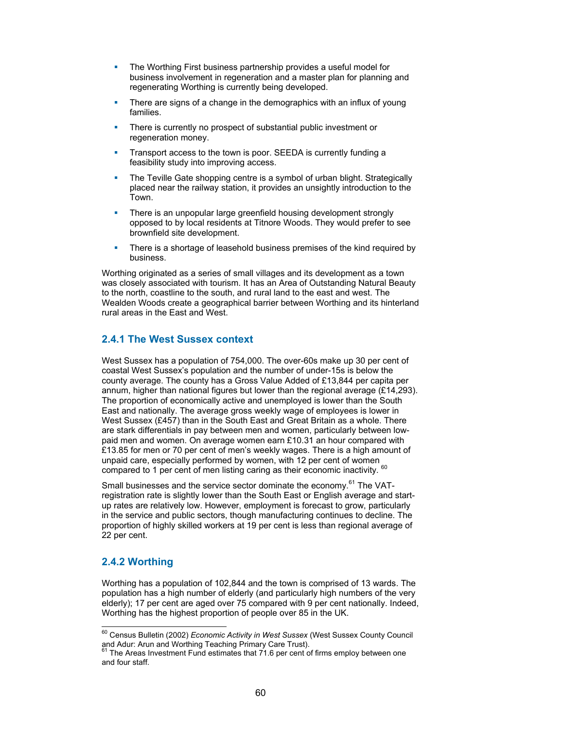- **The Worthing First business partnership provides a useful model for** business involvement in regeneration and a master plan for planning and regenerating Worthing is currently being developed.
- There are signs of a change in the demographics with an influx of young families.
- **There is currently no prospect of substantial public investment or** regeneration money.
- Transport access to the town is poor. SEEDA is currently funding a feasibility study into improving access.
- The Teville Gate shopping centre is a symbol of urban blight. Strategically placed near the railway station, it provides an unsightly introduction to the Town.
- There is an unpopular large greenfield housing development strongly opposed to by local residents at Titnore Woods. They would prefer to see brownfield site development.
- There is a shortage of leasehold business premises of the kind required by business.

Worthing originated as a series of small villages and its development as a town was closely associated with tourism. It has an Area of Outstanding Natural Beauty to the north, coastline to the south, and rural land to the east and west. The Wealden Woods create a geographical barrier between Worthing and its hinterland rural areas in the East and West.

## **2.4.1 The West Sussex context**

West Sussex has a population of 754,000. The over-60s make up 30 per cent of coastal West Sussex's population and the number of under-15s is below the county average. The county has a Gross Value Added of £13,844 per capita per annum, higher than national figures but lower than the regional average (£14,293). The proportion of economically active and unemployed is lower than the South East and nationally. The average gross weekly wage of employees is lower in West Sussex (£457) than in the South East and Great Britain as a whole. There are stark differentials in pay between men and women, particularly between lowpaid men and women. On average women earn £10.31 an hour compared with £13.85 for men or 70 per cent of men's weekly wages. There is a high amount of unpaid care, especially performed by women, with 12 per cent of women compared to 1 per cent of men listing caring as their economic inactivity. 60

Small businesses and the service sector dominate the economy.<sup>61</sup> The VATregistration rate is slightly lower than the South East or English average and startup rates are relatively low. However, employment is forecast to grow, particularly in the service and public sectors, though manufacturing continues to decline. The proportion of highly skilled workers at 19 per cent is less than regional average of 22 per cent.

# **2.4.2 Worthing**

Worthing has a population of 102,844 and the town is comprised of 13 wards. The population has a high number of elderly (and particularly high numbers of the very elderly); 17 per cent are aged over 75 compared with 9 per cent nationally. Indeed, Worthing has the highest proportion of people over 85 in the UK.

l 60 Census Bulletin (2002) *Economic Activity in West Sussex* (West Sussex County Council and Adur: Arun and Worthing Teaching Primary Care Trust).

 $61$  The Areas Investment Fund estimates that 71.6 per cent of firms employ between one and four staff.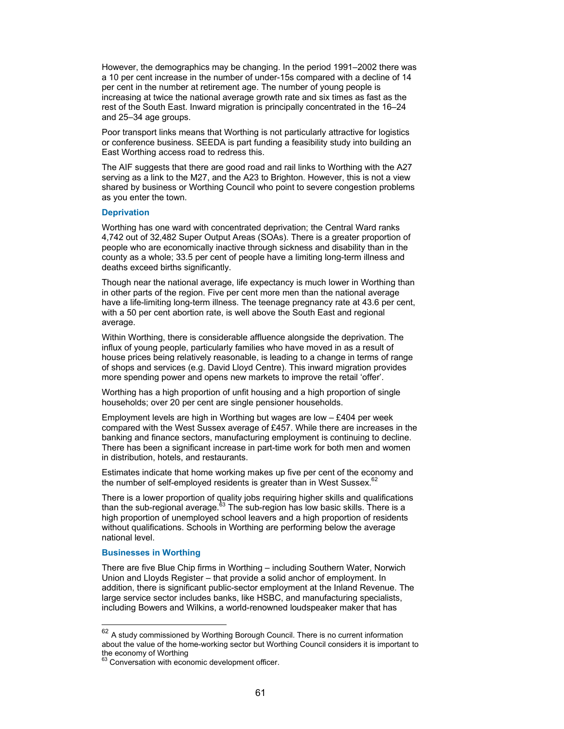However, the demographics may be changing. In the period 1991–2002 there was a 10 per cent increase in the number of under-15s compared with a decline of 14 per cent in the number at retirement age. The number of young people is increasing at twice the national average growth rate and six times as fast as the rest of the South East. Inward migration is principally concentrated in the 16–24 and 25–34 age groups.

Poor transport links means that Worthing is not particularly attractive for logistics or conference business. SEEDA is part funding a feasibility study into building an East Worthing access road to redress this.

The AIF suggests that there are good road and rail links to Worthing with the A27 serving as a link to the M27, and the A23 to Brighton. However, this is not a view shared by business or Worthing Council who point to severe congestion problems as you enter the town.

#### **Deprivation**

Worthing has one ward with concentrated deprivation; the Central Ward ranks 4,742 out of 32,482 Super Output Areas (SOAs). There is a greater proportion of people who are economically inactive through sickness and disability than in the county as a whole; 33.5 per cent of people have a limiting long-term illness and deaths exceed births significantly.

Though near the national average, life expectancy is much lower in Worthing than in other parts of the region. Five per cent more men than the national average have a life-limiting long-term illness. The teenage pregnancy rate at 43.6 per cent, with a 50 per cent abortion rate, is well above the South East and regional average.

Within Worthing, there is considerable affluence alongside the deprivation. The influx of young people, particularly families who have moved in as a result of house prices being relatively reasonable, is leading to a change in terms of range of shops and services (e.g. David Lloyd Centre). This inward migration provides more spending power and opens new markets to improve the retail 'offer'.

Worthing has a high proportion of unfit housing and a high proportion of single households; over 20 per cent are single pensioner households.

Employment levels are high in Worthing but wages are low – £404 per week compared with the West Sussex average of £457. While there are increases in the banking and finance sectors, manufacturing employment is continuing to decline. There has been a significant increase in part-time work for both men and women in distribution, hotels, and restaurants.

Estimates indicate that home working makes up five per cent of the economy and the number of self-employed residents is greater than in West Sussex. $6$ 

There is a lower proportion of quality jobs requiring higher skills and qualifications than the sub-regional average. $63$  The sub-region has low basic skills. There is a high proportion of unemployed school leavers and a high proportion of residents without qualifications. Schools in Worthing are performing below the average national level.

#### **Businesses in Worthing**

 $\overline{a}$ 

There are five Blue Chip firms in Worthing – including Southern Water, Norwich Union and Lloyds Register – that provide a solid anchor of employment. In addition, there is significant public-sector employment at the Inland Revenue. The large service sector includes banks, like HSBC, and manufacturing specialists, including Bowers and Wilkins, a world-renowned loudspeaker maker that has

 $62$  A study commissioned by Worthing Borough Council. There is no current information about the value of the home-working sector but Worthing Council considers it is important to the economy of Worthing

 $63$  Conversation with economic development officer.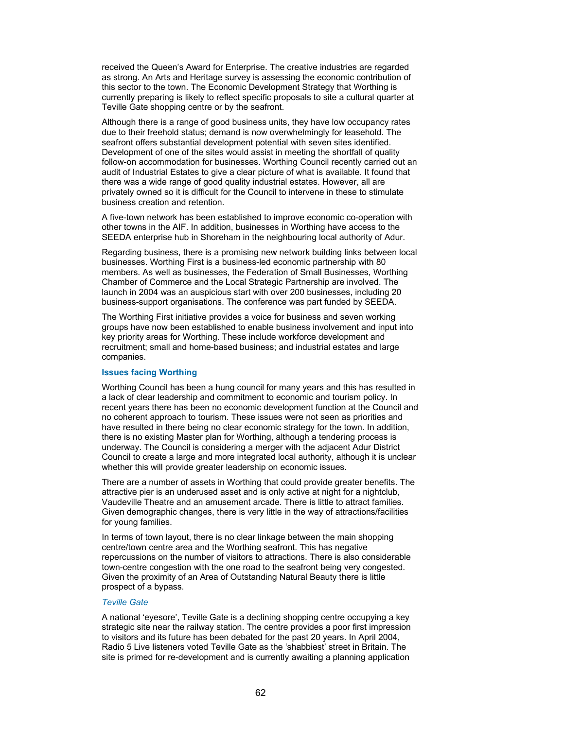received the Queen's Award for Enterprise. The creative industries are regarded as strong. An Arts and Heritage survey is assessing the economic contribution of this sector to the town. The Economic Development Strategy that Worthing is currently preparing is likely to reflect specific proposals to site a cultural quarter at Teville Gate shopping centre or by the seafront.

Although there is a range of good business units, they have low occupancy rates due to their freehold status; demand is now overwhelmingly for leasehold. The seafront offers substantial development potential with seven sites identified. Development of one of the sites would assist in meeting the shortfall of quality follow-on accommodation for businesses. Worthing Council recently carried out an audit of Industrial Estates to give a clear picture of what is available. It found that there was a wide range of good quality industrial estates. However, all are privately owned so it is difficult for the Council to intervene in these to stimulate business creation and retention.

A five-town network has been established to improve economic co-operation with other towns in the AIF. In addition, businesses in Worthing have access to the SEEDA enterprise hub in Shoreham in the neighbouring local authority of Adur.

Regarding business, there is a promising new network building links between local businesses. Worthing First is a business-led economic partnership with 80 members. As well as businesses, the Federation of Small Businesses, Worthing Chamber of Commerce and the Local Strategic Partnership are involved. The launch in 2004 was an auspicious start with over 200 businesses, including 20 business-support organisations. The conference was part funded by SEEDA.

The Worthing First initiative provides a voice for business and seven working groups have now been established to enable business involvement and input into key priority areas for Worthing. These include workforce development and recruitment; small and home-based business; and industrial estates and large companies.

#### **Issues facing Worthing**

Worthing Council has been a hung council for many years and this has resulted in a lack of clear leadership and commitment to economic and tourism policy. In recent years there has been no economic development function at the Council and no coherent approach to tourism. These issues were not seen as priorities and have resulted in there being no clear economic strategy for the town. In addition, there is no existing Master plan for Worthing, although a tendering process is underway. The Council is considering a merger with the adjacent Adur District Council to create a large and more integrated local authority, although it is unclear whether this will provide greater leadership on economic issues.

There are a number of assets in Worthing that could provide greater benefits. The attractive pier is an underused asset and is only active at night for a nightclub, Vaudeville Theatre and an amusement arcade. There is little to attract families. Given demographic changes, there is very little in the way of attractions/facilities for young families.

In terms of town layout, there is no clear linkage between the main shopping centre/town centre area and the Worthing seafront. This has negative repercussions on the number of visitors to attractions. There is also considerable town-centre congestion with the one road to the seafront being very congested. Given the proximity of an Area of Outstanding Natural Beauty there is little prospect of a bypass.

#### *Teville Gate*

A national 'eyesore', Teville Gate is a declining shopping centre occupying a key strategic site near the railway station. The centre provides a poor first impression to visitors and its future has been debated for the past 20 years. In April 2004, Radio 5 Live listeners voted Teville Gate as the 'shabbiest' street in Britain. The site is primed for re-development and is currently awaiting a planning application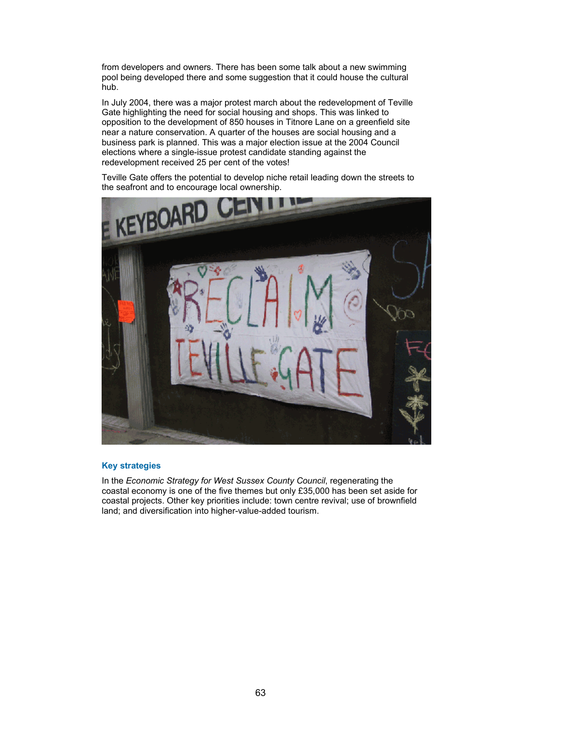from developers and owners. There has been some talk about a new swimming pool being developed there and some suggestion that it could house the cultural hub.

In July 2004, there was a major protest march about the redevelopment of Teville Gate highlighting the need for social housing and shops. This was linked to opposition to the development of 850 houses in Titnore Lane on a greenfield site near a nature conservation. A quarter of the houses are social housing and a business park is planned. This was a major election issue at the 2004 Council elections where a single-issue protest candidate standing against the redevelopment received 25 per cent of the votes!

Teville Gate offers the potential to develop niche retail leading down the streets to the seafront and to encourage local ownership.



### **Key strategies**

In the *Economic Strategy for West Sussex County Council*, regenerating the coastal economy is one of the five themes but only £35,000 has been set aside for coastal projects. Other key priorities include: town centre revival; use of brownfield land; and diversification into higher-value-added tourism.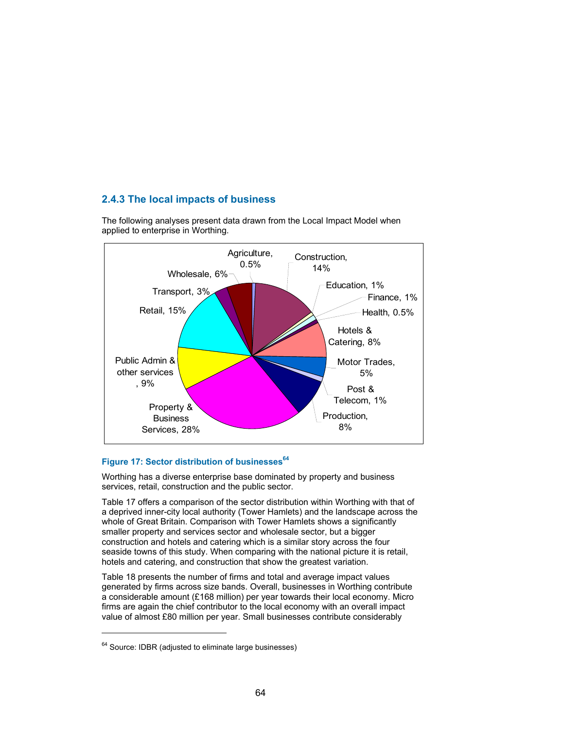# **2.4.3 The local impacts of business**



The following analyses present data drawn from the Local Impact Model when applied to enterprise in Worthing.

## Figure 17: Sector distribution of businesses<sup>64</sup>

Worthing has a diverse enterprise base dominated by property and business services, retail, construction and the public sector.

Table 17 offers a comparison of the sector distribution within Worthing with that of a deprived inner-city local authority (Tower Hamlets) and the landscape across the whole of Great Britain. Comparison with Tower Hamlets shows a significantly smaller property and services sector and wholesale sector, but a bigger construction and hotels and catering which is a similar story across the four seaside towns of this study. When comparing with the national picture it is retail, hotels and catering, and construction that show the greatest variation.

Table 18 presents the number of firms and total and average impact values generated by firms across size bands. Overall, businesses in Worthing contribute a considerable amount (£168 million) per year towards their local economy. Micro firms are again the chief contributor to the local economy with an overall impact value of almost £80 million per year. Small businesses contribute considerably

 $\overline{a}$ 

 $64$  Source: IDBR (adjusted to eliminate large businesses)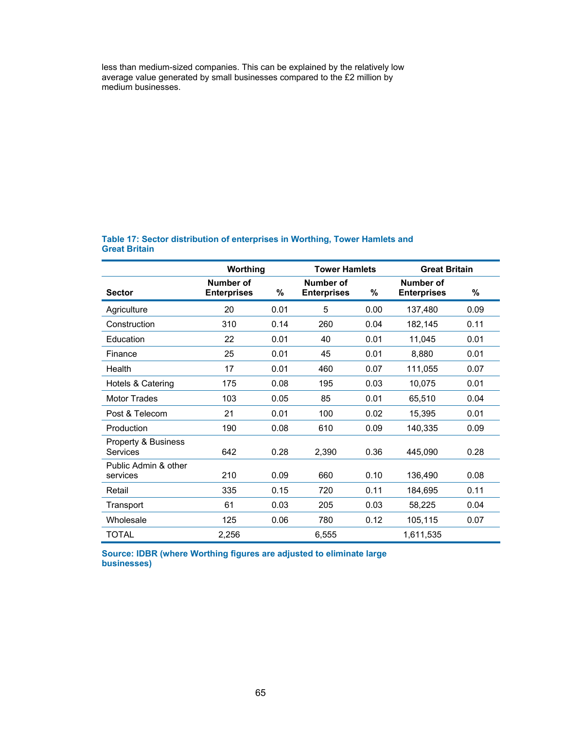less than medium-sized companies. This can be explained by the relatively low average value generated by small businesses compared to the £2 million by medium businesses.

|                                  | Worthing                        |      | <b>Tower Hamlets</b>            |      | <b>Great Britain</b>            |      |
|----------------------------------|---------------------------------|------|---------------------------------|------|---------------------------------|------|
| <b>Sector</b>                    | Number of<br><b>Enterprises</b> | %    | Number of<br><b>Enterprises</b> | %    | Number of<br><b>Enterprises</b> | %    |
| Agriculture                      | 20                              | 0.01 | 5                               | 0.00 | 137,480                         | 0.09 |
| Construction                     | 310                             | 0.14 | 260                             | 0.04 | 182,145                         | 0.11 |
| Education                        | 22                              | 0.01 | 40                              | 0.01 | 11,045                          | 0.01 |
| Finance                          | 25                              | 0.01 | 45                              | 0.01 | 8,880                           | 0.01 |
| Health                           | 17                              | 0.01 | 460                             | 0.07 | 111,055                         | 0.07 |
| Hotels & Catering                | 175                             | 0.08 | 195                             | 0.03 | 10,075                          | 0.01 |
| <b>Motor Trades</b>              | 103                             | 0.05 | 85                              | 0.01 | 65,510                          | 0.04 |
| Post & Telecom                   | 21                              | 0.01 | 100                             | 0.02 | 15,395                          | 0.01 |
| Production                       | 190                             | 0.08 | 610                             | 0.09 | 140,335                         | 0.09 |
| Property & Business<br>Services  | 642                             | 0.28 | 2,390                           | 0.36 | 445,090                         | 0.28 |
| Public Admin & other<br>services | 210                             | 0.09 | 660                             | 0.10 | 136,490                         | 0.08 |
| Retail                           | 335                             | 0.15 | 720                             | 0.11 | 184,695                         | 0.11 |
| Transport                        | 61                              | 0.03 | 205                             | 0.03 | 58,225                          | 0.04 |
| Wholesale                        | 125                             | 0.06 | 780                             | 0.12 | 105,115                         | 0.07 |
| TOTAL                            | 2,256                           |      | 6,555                           |      | 1,611,535                       |      |

## **Table 17: Sector distribution of enterprises in Worthing, Tower Hamlets and Great Britain**

**Source: IDBR (where Worthing figures are adjusted to eliminate large businesses)**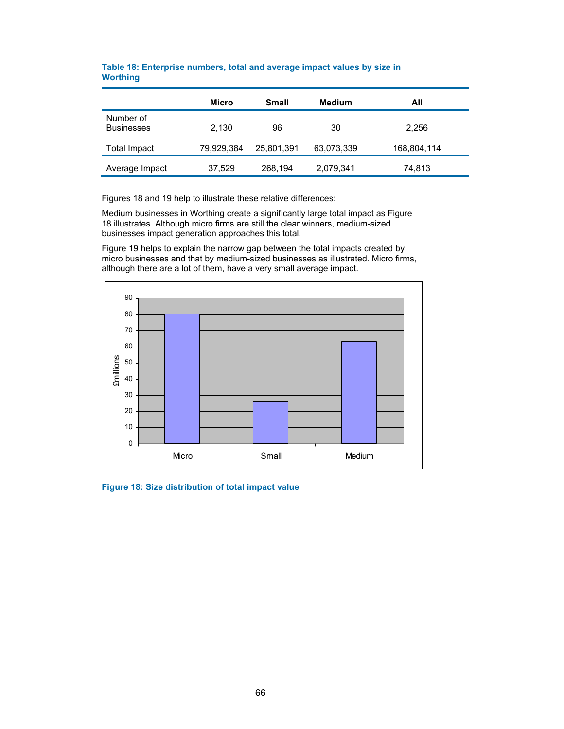|                                | <b>Micro</b> | <b>Small</b> | Medium     | All         |
|--------------------------------|--------------|--------------|------------|-------------|
| Number of<br><b>Businesses</b> | 2,130        | 96           | 30         | 2,256       |
| Total Impact                   | 79,929,384   | 25,801,391   | 63,073,339 | 168,804,114 |
| Average Impact                 | 37,529       | 268,194      | 2,079,341  | 74,813      |

## **Table 18: Enterprise numbers, total and average impact values by size in Worthing**

Figures 18 and 19 help to illustrate these relative differences:

Medium businesses in Worthing create a significantly large total impact as Figure 18 illustrates. Although micro firms are still the clear winners, medium-sized businesses impact generation approaches this total.

Figure 19 helps to explain the narrow gap between the total impacts created by micro businesses and that by medium-sized businesses as illustrated. Micro firms, although there are a lot of them, have a very small average impact.



**Figure 18: Size distribution of total impact value**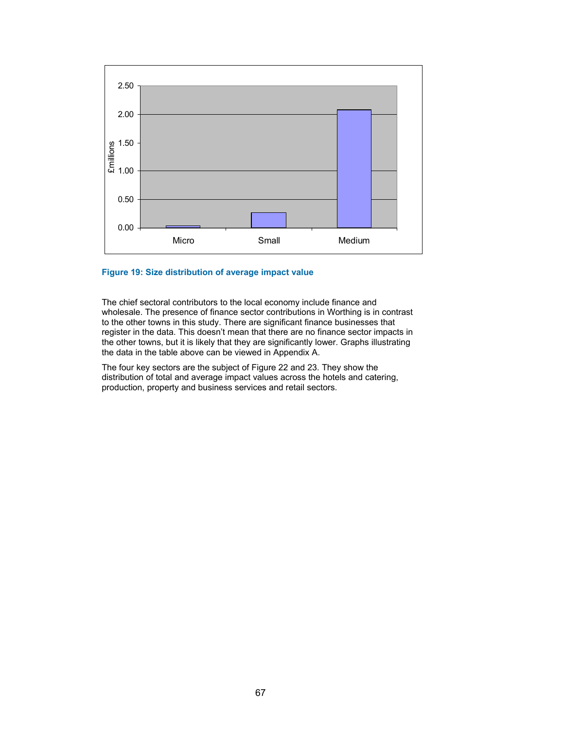

#### **Figure 19: Size distribution of average impact value**

The chief sectoral contributors to the local economy include finance and wholesale. The presence of finance sector contributions in Worthing is in contrast to the other towns in this study. There are significant finance businesses that register in the data. This doesn't mean that there are no finance sector impacts in the other towns, but it is likely that they are significantly lower. Graphs illustrating the data in the table above can be viewed in Appendix A.

The four key sectors are the subject of Figure 22 and 23. They show the distribution of total and average impact values across the hotels and catering, production, property and business services and retail sectors.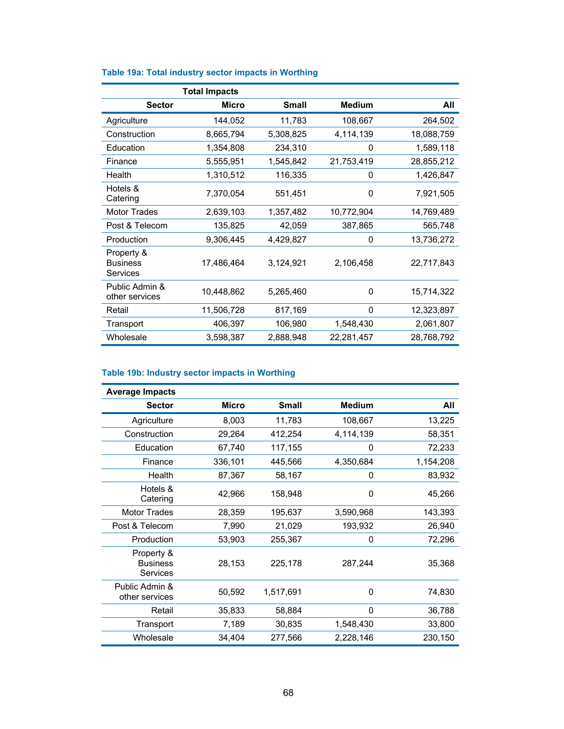|                                           | <b>Total Impacts</b> |              |               |            |
|-------------------------------------------|----------------------|--------------|---------------|------------|
| <b>Sector</b>                             | Micro                | <b>Small</b> | <b>Medium</b> | All        |
| Agriculture                               | 144,052              | 11,783       | 108,667       | 264,502    |
| Construction                              | 8,665,794            | 5,308,825    | 4,114,139     | 18,088,759 |
| Education                                 | 1,354,808            | 234,310      | 0             | 1,589,118  |
| Finance                                   | 5,555,951            | 1,545,842    | 21,753,419    | 28,855,212 |
| Health                                    | 1,310,512            | 116,335      | 0             | 1,426,847  |
| Hotels &<br>Catering                      | 7,370,054            | 551,451      | 0             | 7,921,505  |
| Motor Trades                              | 2,639,103            | 1,357,482    | 10,772,904    | 14,769,489 |
| Post & Telecom                            | 135,825              | 42,059       | 387,865       | 565,748    |
| Production                                | 9,306,445            | 4,429,827    | 0             | 13,736,272 |
| Property &<br><b>Business</b><br>Services | 17,486,464           | 3,124,921    | 2,106,458     | 22,717,843 |
| Public Admin &<br>other services          | 10,448,862           | 5,265,460    | 0             | 15,714,322 |
| Retail                                    | 11,506,728           | 817,169      | 0             | 12,323,897 |
| Transport                                 | 406,397              | 106,980      | 1,548,430     | 2,061,807  |
| Wholesale                                 | 3,598,387            | 2,888,948    | 22,281,457    | 28,768,792 |

# **Table 19a: Total industry sector impacts in Worthing**

## **Table 19b: Industry sector impacts in Worthing**

| <b>Average Impacts</b>                    |         |              |               |           |
|-------------------------------------------|---------|--------------|---------------|-----------|
| <b>Sector</b>                             | Micro   | <b>Small</b> | <b>Medium</b> | All       |
| Agriculture                               | 8,003   | 11,783       | 108,667       | 13,225    |
| Construction                              | 29,264  | 412,254      | 4,114,139     | 58,351    |
| Education                                 | 67,740  | 117,155      | 0             | 72,233    |
| Finance                                   | 336,101 | 445,566      | 4,350,684     | 1,154,208 |
| Health                                    | 87,367  | 58,167       | 0             | 83,932    |
| Hotels &<br>Catering                      | 42,966  | 158,948      | 0             | 45,266    |
| <b>Motor Trades</b>                       | 28,359  | 195,637      | 3,590,968     | 143,393   |
| Post & Telecom                            | 7,990   | 21,029       | 193,932       | 26,940    |
| Production                                | 53,903  | 255,367      | 0             | 72,296    |
| Property &<br><b>Business</b><br>Services | 28,153  | 225,178      | 287,244       | 35,368    |
| Public Admin &<br>other services          | 50,592  | 1,517,691    | 0             | 74,830    |
| Retail                                    | 35,833  | 58,884       | 0             | 36,788    |
| Transport                                 | 7,189   | 30,835       | 1,548,430     | 33,800    |
| Wholesale                                 | 34,404  | 277,566      | 2,228,146     | 230,150   |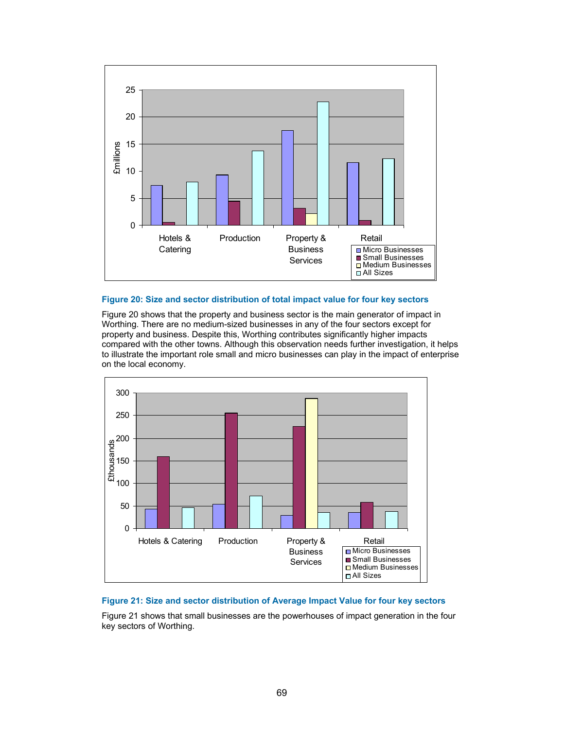

#### **Figure 20: Size and sector distribution of total impact value for four key sectors**

Figure 20 shows that the property and business sector is the main generator of impact in Worthing. There are no medium-sized businesses in any of the four sectors except for property and business. Despite this, Worthing contributes significantly higher impacts compared with the other towns. Although this observation needs further investigation, it helps to illustrate the important role small and micro businesses can play in the impact of enterprise on the local economy.



### **Figure 21: Size and sector distribution of Average Impact Value for four key sectors**

Figure 21 shows that small businesses are the powerhouses of impact generation in the four key sectors of Worthing.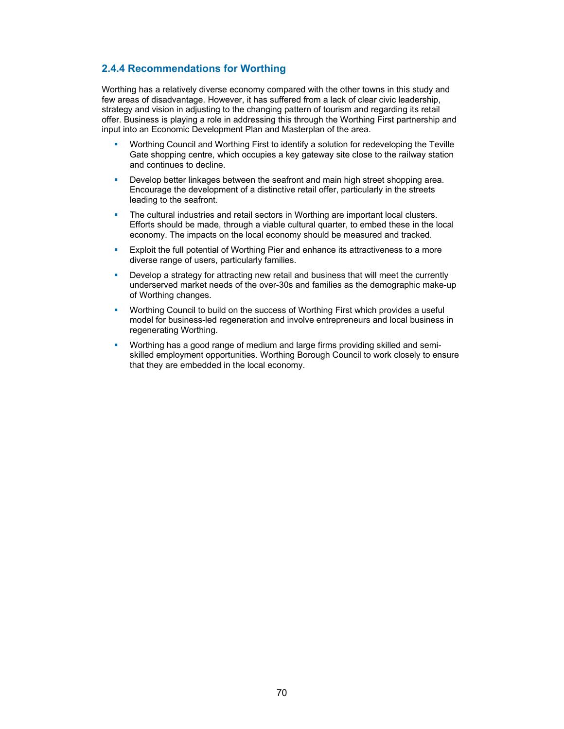# **2.4.4 Recommendations for Worthing**

Worthing has a relatively diverse economy compared with the other towns in this study and few areas of disadvantage. However, it has suffered from a lack of clear civic leadership, strategy and vision in adjusting to the changing pattern of tourism and regarding its retail offer. Business is playing a role in addressing this through the Worthing First partnership and input into an Economic Development Plan and Masterplan of the area.

- Worthing Council and Worthing First to identify a solution for redeveloping the Teville Gate shopping centre, which occupies a key gateway site close to the railway station and continues to decline.
- Develop better linkages between the seafront and main high street shopping area. Encourage the development of a distinctive retail offer, particularly in the streets leading to the seafront.
- **The cultural industries and retail sectors in Worthing are important local clusters.** Efforts should be made, through a viable cultural quarter, to embed these in the local economy. The impacts on the local economy should be measured and tracked.
- Exploit the full potential of Worthing Pier and enhance its attractiveness to a more diverse range of users, particularly families.
- Develop a strategy for attracting new retail and business that will meet the currently underserved market needs of the over-30s and families as the demographic make-up of Worthing changes.
- Worthing Council to build on the success of Worthing First which provides a useful model for business-led regeneration and involve entrepreneurs and local business in regenerating Worthing.
- Worthing has a good range of medium and large firms providing skilled and semiskilled employment opportunities. Worthing Borough Council to work closely to ensure that they are embedded in the local economy.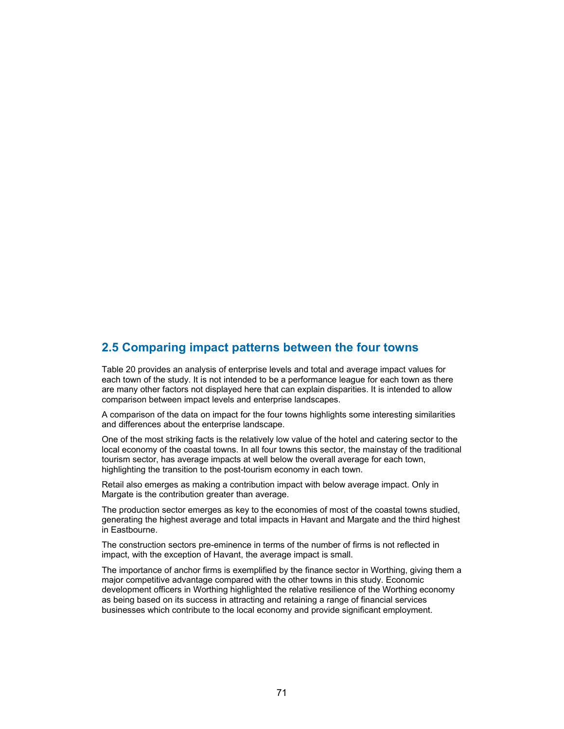# **2.5 Comparing impact patterns between the four towns**

Table 20 provides an analysis of enterprise levels and total and average impact values for each town of the study. It is not intended to be a performance league for each town as there are many other factors not displayed here that can explain disparities. It is intended to allow comparison between impact levels and enterprise landscapes.

A comparison of the data on impact for the four towns highlights some interesting similarities and differences about the enterprise landscape.

One of the most striking facts is the relatively low value of the hotel and catering sector to the local economy of the coastal towns. In all four towns this sector, the mainstay of the traditional tourism sector, has average impacts at well below the overall average for each town, highlighting the transition to the post-tourism economy in each town.

Retail also emerges as making a contribution impact with below average impact. Only in Margate is the contribution greater than average.

The production sector emerges as key to the economies of most of the coastal towns studied, generating the highest average and total impacts in Havant and Margate and the third highest in Eastbourne.

The construction sectors pre-eminence in terms of the number of firms is not reflected in impact, with the exception of Havant, the average impact is small.

The importance of anchor firms is exemplified by the finance sector in Worthing, giving them a major competitive advantage compared with the other towns in this study. Economic development officers in Worthing highlighted the relative resilience of the Worthing economy as being based on its success in attracting and retaining a range of financial services businesses which contribute to the local economy and provide significant employment.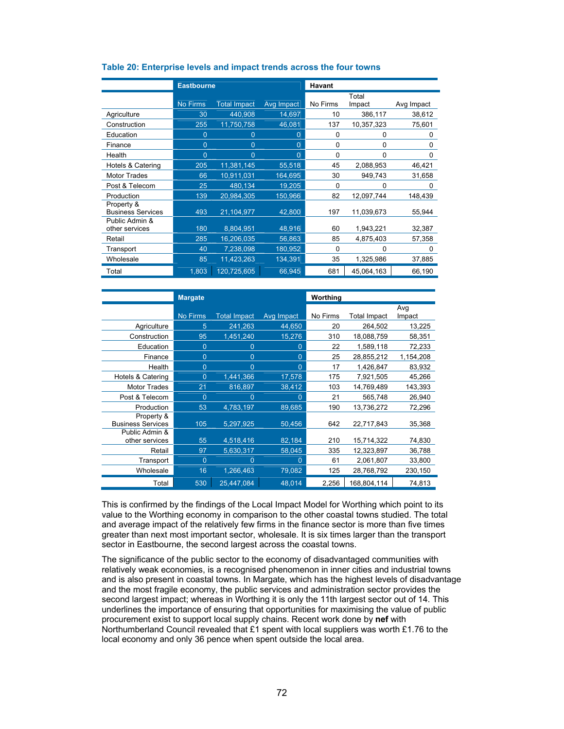|                                        | <b>Eastbourne</b> |                     |                | <b>Havant</b> |                 |            |
|----------------------------------------|-------------------|---------------------|----------------|---------------|-----------------|------------|
|                                        | No Firms          | <b>Total Impact</b> | Avg Impact     | No Firms      | Total<br>Impact | Avg Impact |
| Agriculture                            | 30                | 440,908             | 14,697         | 10            | 386,117         | 38,612     |
| Construction                           | 255               | 11,750,758          | 46,081         | 137           | 10,357,323      | 75,601     |
| Education                              | 0                 | 0                   | 0              | 0             | 0               | 0          |
| Finance                                | $\mathbf 0$       | 0                   | 0              | 0             | 0               | 0          |
| Health                                 | $\mathbf{0}$      | $\overline{0}$      | $\overline{0}$ | 0             | 0               | 0          |
| Hotels & Catering                      | 205               | 11,381,145          | 55,518         | 45            | 2,088,953       | 46,421     |
| <b>Motor Trades</b>                    | 66                | 10,911,031          | 164,695        | 30            | 949,743         | 31,658     |
| Post & Telecom                         | 25                | 480,134             | 19,205         | 0             | 0               | 0          |
| Production                             | 139               | 20,984,305          | 150,966        | 82            | 12,097,744      | 148,439    |
| Property &<br><b>Business Services</b> | 493               | 21,104,977          | 42,800         | 197           | 11,039,673      | 55,944     |
| Public Admin &<br>other services       | 180               | 8,804,951           | 48,916         | 60            | 1,943,221       | 32,387     |
| Retail                                 | 285               | 16,206,035          | 56,863         | 85            | 4,875,403       | 57,358     |
| Transport                              | 40                | 7,238,098           | 180,952        | 0             | 0               | 0          |
| Wholesale                              | 85                | 11,423,263          | 134,391        | 35            | 1,325,986       | 37,885     |
| Total                                  | 1,803             | 120,725,605         | 66,945         | 681           | 45,064,163      | 66,190     |

#### **Table 20: Enterprise levels and impact trends across the four towns**

|                                        | <b>Margate</b>  |                     | Worthing       |          |                     |           |
|----------------------------------------|-----------------|---------------------|----------------|----------|---------------------|-----------|
|                                        |                 |                     |                |          |                     | Avg       |
|                                        | <b>No Firms</b> | <b>Total Impact</b> | Avg Impact     | No Firms | <b>Total Impact</b> | Impact    |
| Agriculture                            | 5               | 241,263             | 44,650         | 20       | 264,502             | 13,225    |
| Construction                           | 95              | 1,451,240           | 15,276         | 310      | 18,088,759          | 58,351    |
| Education                              | $\overline{0}$  | $\Omega$            | $\mathbf{0}$   | 22       | 1,589,118           | 72,233    |
| Finance                                | $\overline{0}$  | $\Omega$            | 0              | 25       | 28,855,212          | 1,154,208 |
| Health                                 | $\overline{0}$  | $\Omega$            | $\mathbf{0}$   | 17       | 1,426,847           | 83,932    |
| Hotels & Catering                      | $\Omega$        | 1,441,366           | 17,578         | 175      | 7,921,505           | 45,266    |
| <b>Motor Trades</b>                    | 21              | 816,897             | 38,412         | 103      | 14,769,489          | 143,393   |
| Post & Telecom                         | $\overline{0}$  | $\Omega$            | 0              | 21       | 565,748             | 26,940    |
| Production                             | 53              | 4,783,197           | 89,685         | 190      | 13,736,272          | 72,296    |
| Property &<br><b>Business Services</b> | 105             | 5,297,925           | 50,456         | 642      | 22,717,843          | 35,368    |
| Public Admin &<br>other services       | 55              | 4,518,416           | 82,184         | 210      | 15,714,322          | 74,830    |
| Retail                                 | 97              | 5,630,317           | 58,045         | 335      | 12,323,897          | 36,788    |
| Transport                              | $\overline{0}$  | $\Omega$            | $\overline{0}$ | 61       | 2,061,807           | 33,800    |
| Wholesale                              | 16              | 1,266,463           | 79,082         | 125      | 28,768,792          | 230,150   |
| Total                                  | 530             | 25,447,084          | 48,014         | 2,256    | 168,804,114         | 74,813    |

This is confirmed by the findings of the Local Impact Model for Worthing which point to its value to the Worthing economy in comparison to the other coastal towns studied. The total and average impact of the relatively few firms in the finance sector is more than five times greater than next most important sector, wholesale. It is six times larger than the transport sector in Eastbourne, the second largest across the coastal towns.

The significance of the public sector to the economy of disadvantaged communities with relatively weak economies, is a recognised phenomenon in inner cities and industrial towns and is also present in coastal towns. In Margate, which has the highest levels of disadvantage and the most fragile economy, the public services and administration sector provides the second largest impact; whereas in Worthing it is only the 11th largest sector out of 14. This underlines the importance of ensuring that opportunities for maximising the value of public procurement exist to support local supply chains. Recent work done by **nef** with Northumberland Council revealed that £1 spent with local suppliers was worth £1.76 to the local economy and only 36 pence when spent outside the local area.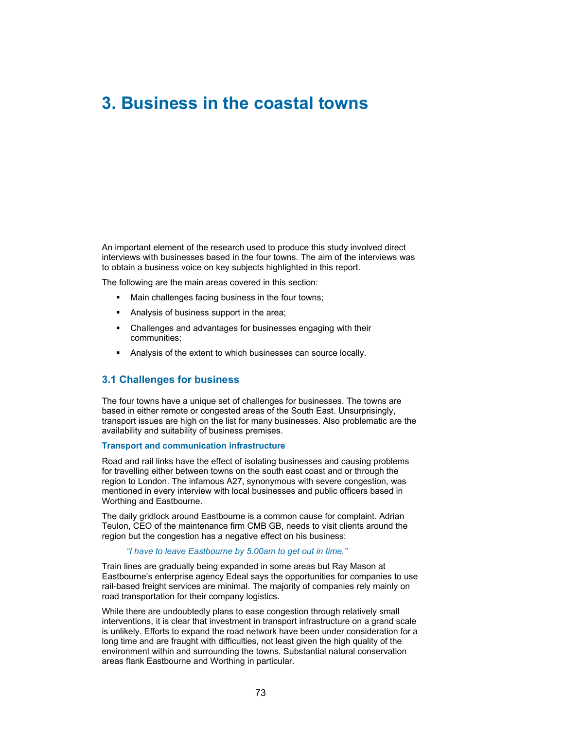# **3. Business in the coastal towns**

An important element of the research used to produce this study involved direct interviews with businesses based in the four towns. The aim of the interviews was to obtain a business voice on key subjects highlighted in this report.

The following are the main areas covered in this section:

- **Main challenges facing business in the four towns;**
- Analysis of business support in the area;
- Challenges and advantages for businesses engaging with their communities;
- Analysis of the extent to which businesses can source locally.

## **3.1 Challenges for business**

The four towns have a unique set of challenges for businesses. The towns are based in either remote or congested areas of the South East. Unsurprisingly, transport issues are high on the list for many businesses. Also problematic are the availability and suitability of business premises.

### **Transport and communication infrastructure**

Road and rail links have the effect of isolating businesses and causing problems for travelling either between towns on the south east coast and or through the region to London. The infamous A27, synonymous with severe congestion, was mentioned in every interview with local businesses and public officers based in Worthing and Eastbourne.

The daily gridlock around Eastbourne is a common cause for complaint. Adrian Teulon, CEO of the maintenance firm CMB GB, needs to visit clients around the region but the congestion has a negative effect on his business:

### *"I have to leave Eastbourne by 5.00am to get out in time."*

Train lines are gradually being expanded in some areas but Ray Mason at Eastbourne's enterprise agency Edeal says the opportunities for companies to use rail-based freight services are minimal. The majority of companies rely mainly on road transportation for their company logistics.

While there are undoubtedly plans to ease congestion through relatively small interventions, it is clear that investment in transport infrastructure on a grand scale is unlikely. Efforts to expand the road network have been under consideration for a long time and are fraught with difficulties, not least given the high quality of the environment within and surrounding the towns. Substantial natural conservation areas flank Eastbourne and Worthing in particular.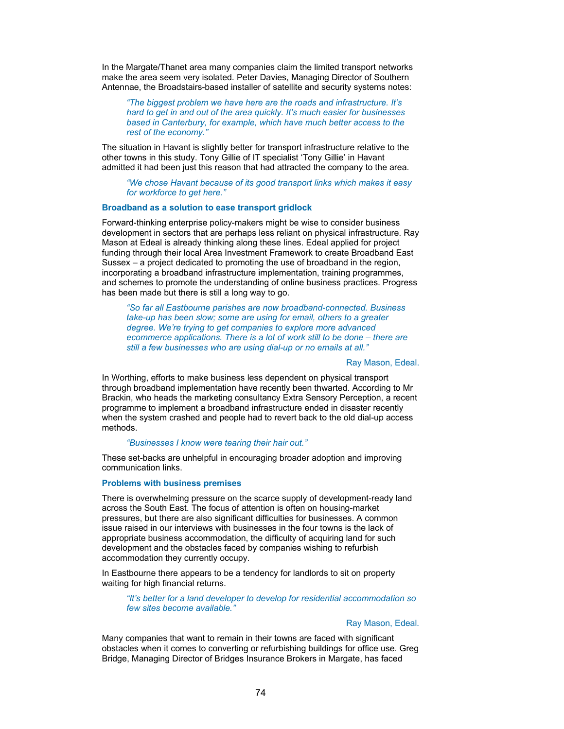In the Margate/Thanet area many companies claim the limited transport networks make the area seem very isolated. Peter Davies, Managing Director of Southern Antennae, the Broadstairs-based installer of satellite and security systems notes:

*"The biggest problem we have here are the roads and infrastructure. It's hard to get in and out of the area quickly. It's much easier for businesses based in Canterbury, for example, which have much better access to the rest of the economy."* 

The situation in Havant is slightly better for transport infrastructure relative to the other towns in this study. Tony Gillie of IT specialist 'Tony Gillie' in Havant admitted it had been just this reason that had attracted the company to the area.

*"We chose Havant because of its good transport links which makes it easy for workforce to get here."* 

## **Broadband as a solution to ease transport gridlock**

Forward-thinking enterprise policy-makers might be wise to consider business development in sectors that are perhaps less reliant on physical infrastructure. Ray Mason at Edeal is already thinking along these lines. Edeal applied for project funding through their local Area Investment Framework to create Broadband East Sussex – a project dedicated to promoting the use of broadband in the region, incorporating a broadband infrastructure implementation, training programmes, and schemes to promote the understanding of online business practices. Progress has been made but there is still a long way to go.

*"So far all Eastbourne parishes are now broadband-connected. Business take-up has been slow; some are using for email, others to a greater degree. We're trying to get companies to explore more advanced ecommerce applications. There is a lot of work still to be done – there are still a few businesses who are using dial-up or no emails at all."* 

#### Ray Mason, Edeal.

In Worthing, efforts to make business less dependent on physical transport through broadband implementation have recently been thwarted. According to Mr Brackin, who heads the marketing consultancy Extra Sensory Perception, a recent programme to implement a broadband infrastructure ended in disaster recently when the system crashed and people had to revert back to the old dial-up access methods.

#### *"Businesses I know were tearing their hair out."*

These set-backs are unhelpful in encouraging broader adoption and improving communication links.

#### **Problems with business premises**

There is overwhelming pressure on the scarce supply of development-ready land across the South East. The focus of attention is often on housing-market pressures, but there are also significant difficulties for businesses. A common issue raised in our interviews with businesses in the four towns is the lack of appropriate business accommodation, the difficulty of acquiring land for such development and the obstacles faced by companies wishing to refurbish accommodation they currently occupy.

In Eastbourne there appears to be a tendency for landlords to sit on property waiting for high financial returns.

*"It's better for a land developer to develop for residential accommodation so few sites become available."* 

Ray Mason, Edeal*.* 

Many companies that want to remain in their towns are faced with significant obstacles when it comes to converting or refurbishing buildings for office use. Greg Bridge, Managing Director of Bridges Insurance Brokers in Margate, has faced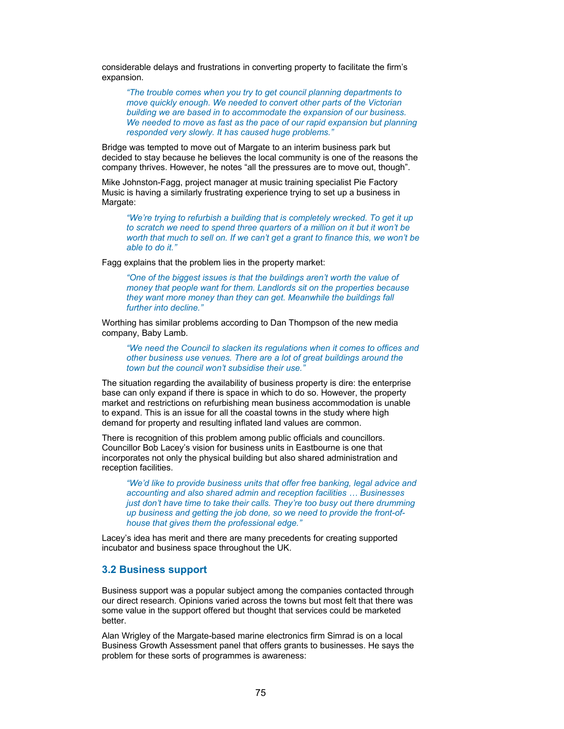considerable delays and frustrations in converting property to facilitate the firm's expansion.

*"The trouble comes when you try to get council planning departments to move quickly enough. We needed to convert other parts of the Victorian building we are based in to accommodate the expansion of our business. We needed to move as fast as the pace of our rapid expansion but planning responded very slowly. It has caused huge problems."* 

Bridge was tempted to move out of Margate to an interim business park but decided to stay because he believes the local community is one of the reasons the company thrives. However, he notes "all the pressures are to move out, though".

Mike Johnston-Fagg, project manager at music training specialist Pie Factory Music is having a similarly frustrating experience trying to set up a business in Margate:

*"We're trying to refurbish a building that is completely wrecked. To get it up to scratch we need to spend three quarters of a million on it but it won't be worth that much to sell on. If we can't get a grant to finance this, we won't be able to do it."* 

Fagg explains that the problem lies in the property market:

*"One of the biggest issues is that the buildings aren't worth the value of money that people want for them. Landlords sit on the properties because they want more money than they can get. Meanwhile the buildings fall further into decline."* 

Worthing has similar problems according to Dan Thompson of the new media company, Baby Lamb.

*"We need the Council to slacken its regulations when it comes to offices and other business use venues. There are a lot of great buildings around the town but the council won't subsidise their use."* 

The situation regarding the availability of business property is dire: the enterprise base can only expand if there is space in which to do so. However, the property market and restrictions on refurbishing mean business accommodation is unable to expand. This is an issue for all the coastal towns in the study where high demand for property and resulting inflated land values are common.

There is recognition of this problem among public officials and councillors. Councillor Bob Lacey's vision for business units in Eastbourne is one that incorporates not only the physical building but also shared administration and reception facilities.

*"We'd like to provide business units that offer free banking, legal advice and accounting and also shared admin and reception facilities … Businesses just don't have time to take their calls. They're too busy out there drumming up business and getting the job done, so we need to provide the front-ofhouse that gives them the professional edge."* 

Lacey's idea has merit and there are many precedents for creating supported incubator and business space throughout the UK.

## **3.2 Business support**

Business support was a popular subject among the companies contacted through our direct research. Opinions varied across the towns but most felt that there was some value in the support offered but thought that services could be marketed better.

Alan Wrigley of the Margate-based marine electronics firm Simrad is on a local Business Growth Assessment panel that offers grants to businesses. He says the problem for these sorts of programmes is awareness: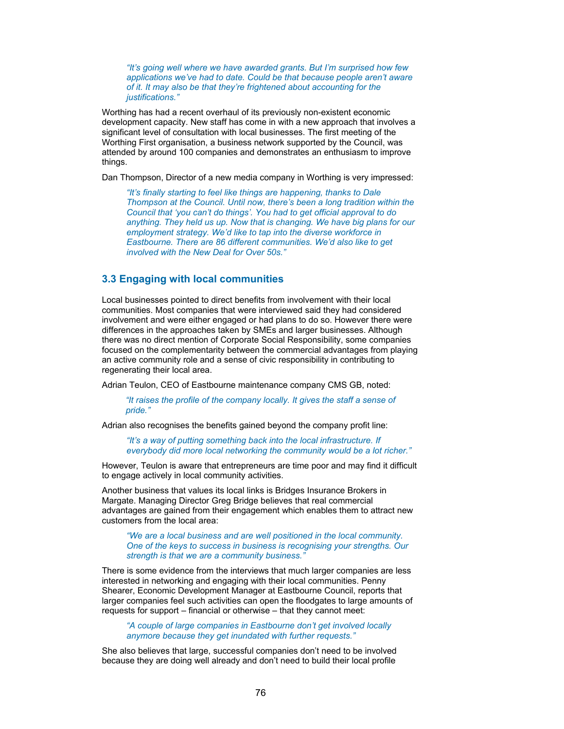*"It's going well where we have awarded grants. But I'm surprised how few applications we've had to date. Could be that because people aren't aware of it. It may also be that they're frightened about accounting for the justifications."* 

Worthing has had a recent overhaul of its previously non-existent economic development capacity. New staff has come in with a new approach that involves a significant level of consultation with local businesses. The first meeting of the Worthing First organisation, a business network supported by the Council, was attended by around 100 companies and demonstrates an enthusiasm to improve things.

Dan Thompson, Director of a new media company in Worthing is very impressed:

*"It's finally starting to feel like things are happening, thanks to Dale Thompson at the Council. Until now, there's been a long tradition within the Council that 'you can't do things'. You had to get official approval to do anything. They held us up. Now that is changing. We have big plans for our employment strategy. We'd like to tap into the diverse workforce in Eastbourne. There are 86 different communities. We'd also like to get involved with the New Deal for Over 50s."* 

# **3.3 Engaging with local communities**

Local businesses pointed to direct benefits from involvement with their local communities. Most companies that were interviewed said they had considered involvement and were either engaged or had plans to do so. However there were differences in the approaches taken by SMEs and larger businesses. Although there was no direct mention of Corporate Social Responsibility, some companies focused on the complementarity between the commercial advantages from playing an active community role and a sense of civic responsibility in contributing to regenerating their local area.

Adrian Teulon, CEO of Eastbourne maintenance company CMS GB, noted:

*"It raises the profile of the company locally. It gives the staff a sense of pride."* 

Adrian also recognises the benefits gained beyond the company profit line:

*"It's a way of putting something back into the local infrastructure. If everybody did more local networking the community would be a lot richer."* 

However, Teulon is aware that entrepreneurs are time poor and may find it difficult to engage actively in local community activities.

Another business that values its local links is Bridges Insurance Brokers in Margate. Managing Director Greg Bridge believes that real commercial advantages are gained from their engagement which enables them to attract new customers from the local area:

*"We are a local business and are well positioned in the local community. One of the keys to success in business is recognising your strengths. Our strength is that we are a community business."* 

There is some evidence from the interviews that much larger companies are less interested in networking and engaging with their local communities. Penny Shearer, Economic Development Manager at Eastbourne Council, reports that larger companies feel such activities can open the floodgates to large amounts of requests for support – financial or otherwise – that they cannot meet:

*"A couple of large companies in Eastbourne don't get involved locally anymore because they get inundated with further requests."* 

She also believes that large, successful companies don't need to be involved because they are doing well already and don't need to build their local profile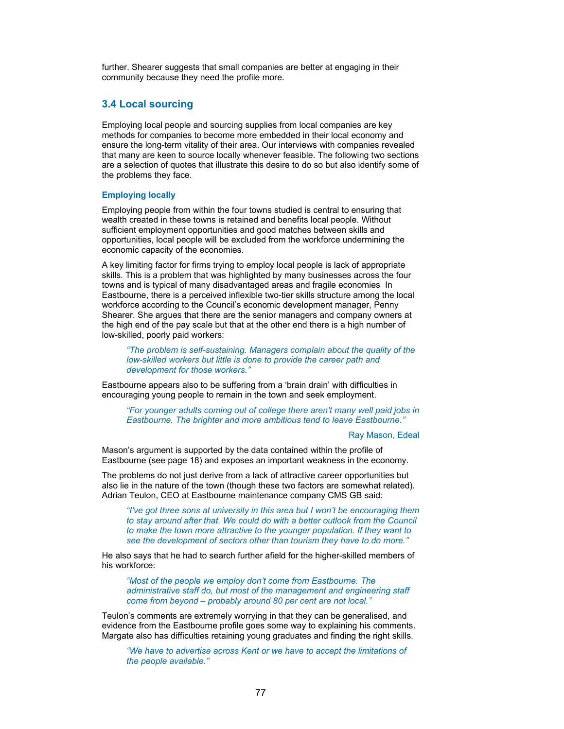further. Shearer suggests that small companies are better at engaging in their community because they need the profile more.

## **3.4 Local sourcing**

Employing local people and sourcing supplies from local companies are key methods for companies to become more embedded in their local economy and ensure the long-term vitality of their area. Our interviews with companies revealed that many are keen to source locally whenever feasible. The following two sections are a selection of quotes that illustrate this desire to do so but also identify some of the problems they face.

#### **Employing locally**

Employing people from within the four towns studied is central to ensuring that wealth created in these towns is retained and benefits local people. Without sufficient employment opportunities and good matches between skills and opportunities, local people will be excluded from the workforce undermining the economic capacity of the economies.

A key limiting factor for firms trying to employ local people is lack of appropriate skills. This is a problem that was highlighted by many businesses across the four towns and is typical of many disadvantaged areas and fragile economies In Eastbourne, there is a perceived inflexible two-tier skills structure among the local workforce according to the Council's economic development manager, Penny Shearer. She argues that there are the senior managers and company owners at the high end of the pay scale but that at the other end there is a high number of low-skilled, poorly paid workers:

*"The problem is self-sustaining. Managers complain about the quality of the low-skilled workers but little is done to provide the career path and development for those workers."* 

Eastbourne appears also to be suffering from a 'brain drain' with difficulties in encouraging young people to remain in the town and seek employment.

*"For younger adults coming out of college there aren't many well paid jobs in Eastbourne. The brighter and more ambitious tend to leave Eastbourne."* 

Ray Mason, Edeal

Mason's argument is supported by the data contained within the profile of Eastbourne (see page 18) and exposes an important weakness in the economy.

The problems do not just derive from a lack of attractive career opportunities but also lie in the nature of the town (though these two factors are somewhat related). Adrian Teulon, CEO at Eastbourne maintenance company CMS GB said:

*"I've got three sons at university in this area but I won't be encouraging them to stay around after that. We could do with a better outlook from the Council to make the town more attractive to the younger population. If they want to see the development of sectors other than tourism they have to do more."* 

He also says that he had to search further afield for the higher-skilled members of his workforce:

*"Most of the people we employ don't come from Eastbourne. The administrative staff do, but most of the management and engineering staff come from beyond – probably around 80 per cent are not local."* 

Teulon's comments are extremely worrying in that they can be generalised, and evidence from the Eastbourne profile goes some way to explaining his comments. Margate also has difficulties retaining young graduates and finding the right skills.

*"We have to advertise across Kent or we have to accept the limitations of the people available."*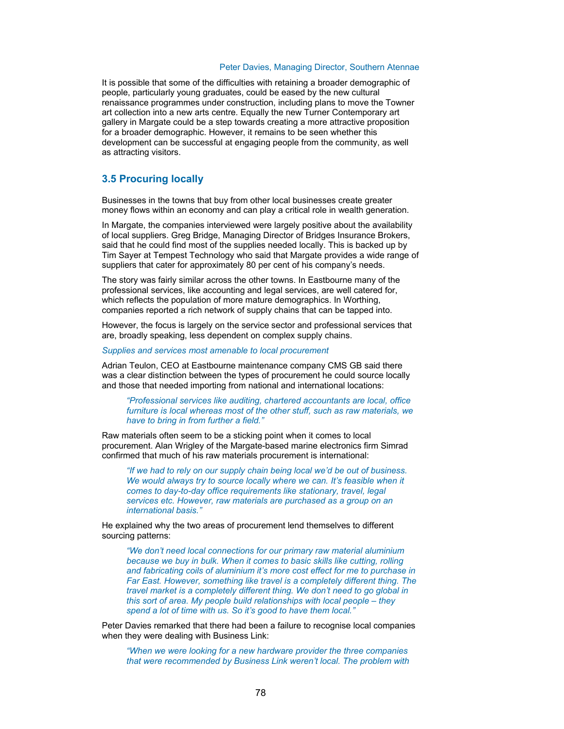#### Peter Davies, Managing Director, Southern Atennae

It is possible that some of the difficulties with retaining a broader demographic of people, particularly young graduates, could be eased by the new cultural renaissance programmes under construction, including plans to move the Towner art collection into a new arts centre. Equally the new Turner Contemporary art gallery in Margate could be a step towards creating a more attractive proposition for a broader demographic. However, it remains to be seen whether this development can be successful at engaging people from the community, as well as attracting visitors.

# **3.5 Procuring locally**

Businesses in the towns that buy from other local businesses create greater money flows within an economy and can play a critical role in wealth generation.

In Margate, the companies interviewed were largely positive about the availability of local suppliers. Greg Bridge, Managing Director of Bridges Insurance Brokers, said that he could find most of the supplies needed locally. This is backed up by Tim Sayer at Tempest Technology who said that Margate provides a wide range of suppliers that cater for approximately 80 per cent of his company's needs.

The story was fairly similar across the other towns. In Eastbourne many of the professional services, like accounting and legal services, are well catered for, which reflects the population of more mature demographics. In Worthing, companies reported a rich network of supply chains that can be tapped into.

However, the focus is largely on the service sector and professional services that are, broadly speaking, less dependent on complex supply chains.

*Supplies and services most amenable to local procurement* 

Adrian Teulon, CEO at Eastbourne maintenance company CMS GB said there was a clear distinction between the types of procurement he could source locally and those that needed importing from national and international locations:

*"Professional services like auditing, chartered accountants are local, office furniture is local whereas most of the other stuff, such as raw materials, we have to bring in from further a field."* 

Raw materials often seem to be a sticking point when it comes to local procurement. Alan Wrigley of the Margate-based marine electronics firm Simrad confirmed that much of his raw materials procurement is international:

*"If we had to rely on our supply chain being local we'd be out of business. We would always try to source locally where we can. It's feasible when it comes to day-to-day office requirements like stationary, travel, legal services etc. However, raw materials are purchased as a group on an international basis."* 

He explained why the two areas of procurement lend themselves to different sourcing patterns:

*"We don't need local connections for our primary raw material aluminium because we buy in bulk. When it comes to basic skills like cutting, rolling and fabricating coils of aluminium it's more cost effect for me to purchase in Far East. However, something like travel is a completely different thing. The travel market is a completely different thing. We don't need to go global in this sort of area. My people build relationships with local people – they spend a lot of time with us. So it's good to have them local."* 

Peter Davies remarked that there had been a failure to recognise local companies when they were dealing with Business Link:

*"When we were looking for a new hardware provider the three companies that were recommended by Business Link weren't local. The problem with*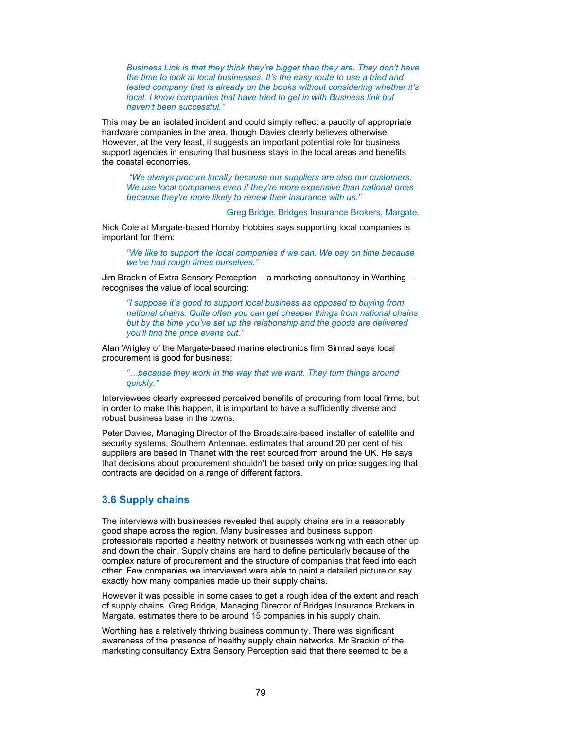*Business Link is that they think they're bigger than they are. They don't have the time to look at local businesses. It's the easy route to use a tried and tested company that is already on the books without considering whether it's local. I know companies that have tried to get in with Business link but haven't been successful."* 

This may be an isolated incident and could simply reflect a paucity of appropriate hardware companies in the area, though Davies clearly believes otherwise. However, at the very least, it suggests an important potential role for business support agencies in ensuring that business stays in the local areas and benefits the coastal economies.

 *"We always procure locally because our suppliers are also our customers. We use local companies even if they're more expensive than national ones because they're more likely to renew their insurance with us."* 

Greg Bridge, Bridges Insurance Brokers, Margate*.* 

Nick Cole at Margate-based Hornby Hobbies says supporting local companies is important for them:

*"We like to support the local companies if we can. We pay on time because we've had rough times ourselves."* 

Jim Brackin of Extra Sensory Perception – a marketing consultancy in Worthing – recognises the value of local sourcing:

*"I suppose it's good to support local business as opposed to buying from national chains. Quite often you can get cheaper things from national chains but by the time you've set up the relationship and the goods are delivered you'll find the price evens out."* 

Alan Wrigley of the Margate-based marine electronics firm Simrad says local procurement is good for business:

*"…because they work in the way that we want. They turn things around quickly."* 

Interviewees clearly expressed perceived benefits of procuring from local firms, but in order to make this happen, it is important to have a sufficiently diverse and robust business base in the towns.

Peter Davies, Managing Director of the Broadstairs-based installer of satellite and security systems, Southern Antennae, estimates that around 20 per cent of his suppliers are based in Thanet with the rest sourced from around the UK. He says that decisions about procurement shouldn't be based only on price suggesting that contracts are decided on a range of different factors.

## **3.6 Supply chains**

The interviews with businesses revealed that supply chains are in a reasonably good shape across the region. Many businesses and business support professionals reported a healthy network of businesses working with each other up and down the chain. Supply chains are hard to define particularly because of the complex nature of procurement and the structure of companies that feed into each other. Few companies we interviewed were able to paint a detailed picture or say exactly how many companies made up their supply chains.

However it was possible in some cases to get a rough idea of the extent and reach of supply chains. Greg Bridge, Managing Director of Bridges Insurance Brokers in Margate, estimates there to be around 15 companies in his supply chain.

Worthing has a relatively thriving business community. There was significant awareness of the presence of healthy supply chain networks. Mr Brackin of the marketing consultancy Extra Sensory Perception said that there seemed to be a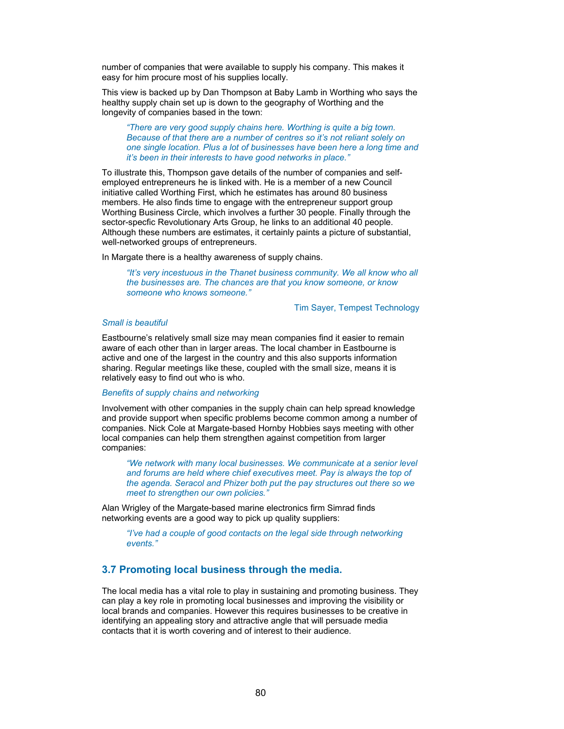number of companies that were available to supply his company. This makes it easy for him procure most of his supplies locally.

This view is backed up by Dan Thompson at Baby Lamb in Worthing who says the healthy supply chain set up is down to the geography of Worthing and the longevity of companies based in the town:

*"There are very good supply chains here. Worthing is quite a big town. Because of that there are a number of centres so it's not reliant solely on one single location. Plus a lot of businesses have been here a long time and it's been in their interests to have good networks in place."* 

To illustrate this, Thompson gave details of the number of companies and selfemployed entrepreneurs he is linked with. He is a member of a new Council initiative called Worthing First, which he estimates has around 80 business members. He also finds time to engage with the entrepreneur support group Worthing Business Circle, which involves a further 30 people. Finally through the sector-specfic Revolutionary Arts Group, he links to an additional 40 people. Although these numbers are estimates, it certainly paints a picture of substantial, well-networked groups of entrepreneurs.

In Margate there is a healthy awareness of supply chains.

*"It's very incestuous in the Thanet business community. We all know who all the businesses are. The chances are that you know someone, or know someone who knows someone."* 

Tim Sayer, Tempest Technology

#### *Small is beautiful*

Eastbourne's relatively small size may mean companies find it easier to remain aware of each other than in larger areas. The local chamber in Eastbourne is active and one of the largest in the country and this also supports information sharing. Regular meetings like these, coupled with the small size, means it is relatively easy to find out who is who.

#### *Benefits of supply chains and networking*

Involvement with other companies in the supply chain can help spread knowledge and provide support when specific problems become common among a number of companies. Nick Cole at Margate-based Hornby Hobbies says meeting with other local companies can help them strengthen against competition from larger companies:

*"We network with many local businesses. We communicate at a senior level and forums are held where chief executives meet. Pay is always the top of the agenda. Seracol and Phizer both put the pay structures out there so we meet to strengthen our own policies."* 

Alan Wrigley of the Margate-based marine electronics firm Simrad finds networking events are a good way to pick up quality suppliers:

*"I've had a couple of good contacts on the legal side through networking events."* 

## **3.7 Promoting local business through the media.**

The local media has a vital role to play in sustaining and promoting business. They can play a key role in promoting local businesses and improving the visibility or local brands and companies. However this requires businesses to be creative in identifying an appealing story and attractive angle that will persuade media contacts that it is worth covering and of interest to their audience.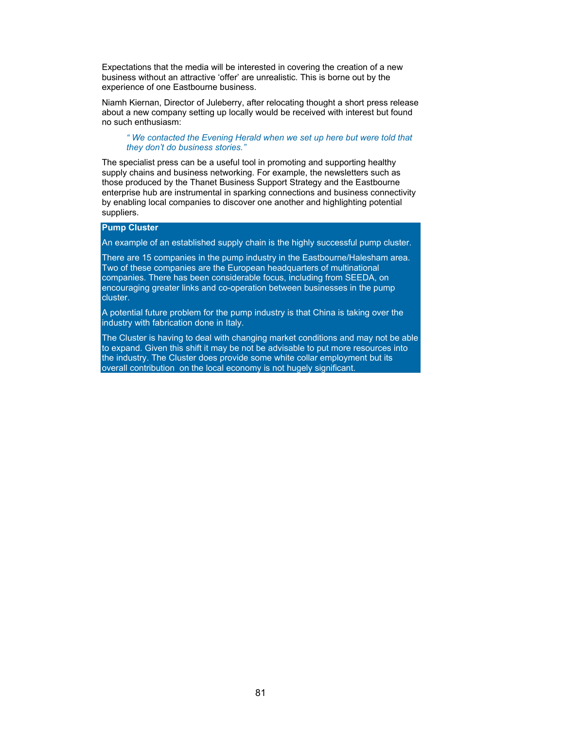Expectations that the media will be interested in covering the creation of a new business without an attractive 'offer' are unrealistic. This is borne out by the experience of one Eastbourne business.

Niamh Kiernan, Director of Juleberry, after relocating thought a short press release about a new company setting up locally would be received with interest but found no such enthusiasm:

*" We contacted the Evening Herald when we set up here but were told that they don't do business stories."* 

The specialist press can be a useful tool in promoting and supporting healthy supply chains and business networking. For example, the newsletters such as those produced by the Thanet Business Support Strategy and the Eastbourne enterprise hub are instrumental in sparking connections and business connectivity by enabling local companies to discover one another and highlighting potential suppliers.

## **Pump Cluster**

An example of an established supply chain is the highly successful pump cluster.

There are 15 companies in the pump industry in the Eastbourne/Halesham area. Two of these companies are the European headquarters of multinational companies. There has been considerable focus, including from SEEDA, on encouraging greater links and co-operation between businesses in the pump cluster.

A potential future problem for the pump industry is that China is taking over the industry with fabrication done in Italy.

The Cluster is having to deal with changing market conditions and may not be able to expand. Given this shift it may be not be advisable to put more resources into the industry. The Cluster does provide some white collar employment but its overall contribution on the local economy is not hugely significant.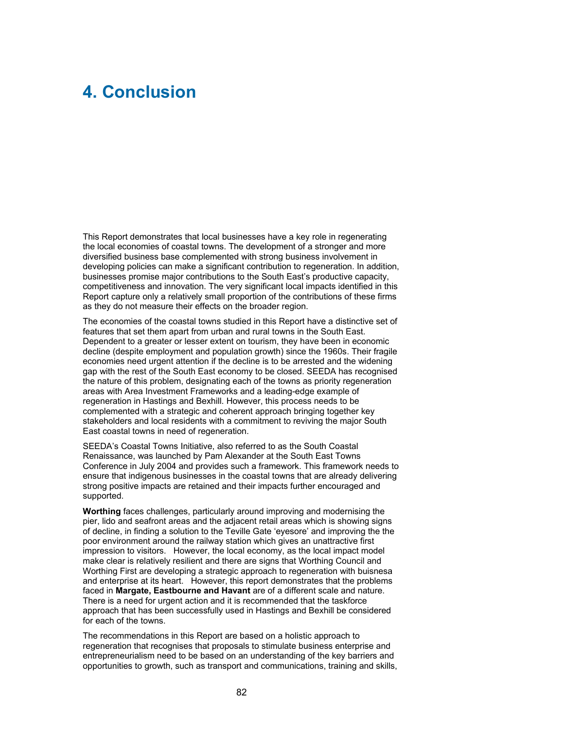# **4. Conclusion**

This Report demonstrates that local businesses have a key role in regenerating the local economies of coastal towns. The development of a stronger and more diversified business base complemented with strong business involvement in developing policies can make a significant contribution to regeneration. In addition, businesses promise major contributions to the South East's productive capacity, competitiveness and innovation. The very significant local impacts identified in this Report capture only a relatively small proportion of the contributions of these firms as they do not measure their effects on the broader region.

The economies of the coastal towns studied in this Report have a distinctive set of features that set them apart from urban and rural towns in the South East. Dependent to a greater or lesser extent on tourism, they have been in economic decline (despite employment and population growth) since the 1960s. Their fragile economies need urgent attention if the decline is to be arrested and the widening gap with the rest of the South East economy to be closed. SEEDA has recognised the nature of this problem, designating each of the towns as priority regeneration areas with Area Investment Frameworks and a leading-edge example of regeneration in Hastings and Bexhill. However, this process needs to be complemented with a strategic and coherent approach bringing together key stakeholders and local residents with a commitment to reviving the major South East coastal towns in need of regeneration.

SEEDA's Coastal Towns Initiative, also referred to as the South Coastal Renaissance, was launched by Pam Alexander at the South East Towns Conference in July 2004 and provides such a framework. This framework needs to ensure that indigenous businesses in the coastal towns that are already delivering strong positive impacts are retained and their impacts further encouraged and supported.

**Worthing** faces challenges, particularly around improving and modernising the pier, lido and seafront areas and the adjacent retail areas which is showing signs of decline, in finding a solution to the Teville Gate 'eyesore' and improving the the poor environment around the railway station which gives an unattractive first impression to visitors. However, the local economy, as the local impact model make clear is relatively resilient and there are signs that Worthing Council and Worthing First are developing a strategic approach to regeneration with buisnesa and enterprise at its heart. However, this report demonstrates that the problems faced in **Margate, Eastbourne and Havant** are of a different scale and nature. There is a need for urgent action and it is recommended that the taskforce approach that has been successfully used in Hastings and Bexhill be considered for each of the towns.

The recommendations in this Report are based on a holistic approach to regeneration that recognises that proposals to stimulate business enterprise and entrepreneurialism need to be based on an understanding of the key barriers and opportunities to growth, such as transport and communications, training and skills,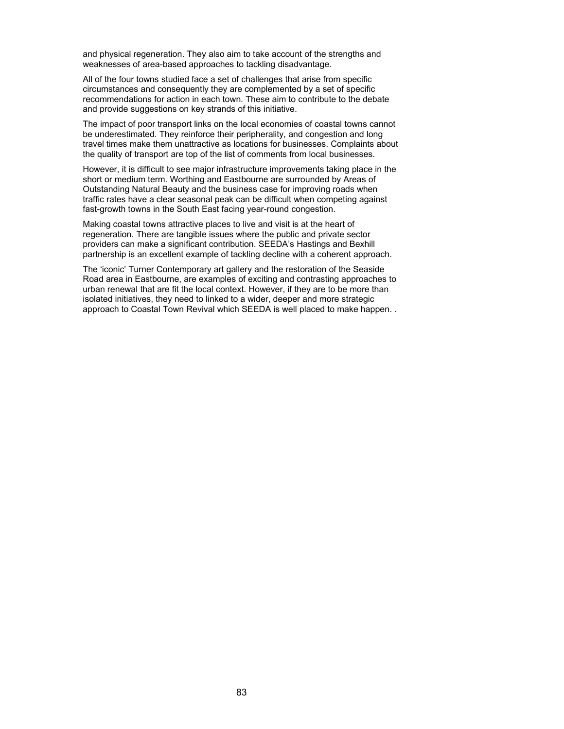and physical regeneration. They also aim to take account of the strengths and weaknesses of area-based approaches to tackling disadvantage.

All of the four towns studied face a set of challenges that arise from specific circumstances and consequently they are complemented by a set of specific recommendations for action in each town. These aim to contribute to the debate and provide suggestions on key strands of this initiative.

The impact of poor transport links on the local economies of coastal towns cannot be underestimated. They reinforce their peripherality, and congestion and long travel times make them unattractive as locations for businesses. Complaints about the quality of transport are top of the list of comments from local businesses.

However, it is difficult to see major infrastructure improvements taking place in the short or medium term. Worthing and Eastbourne are surrounded by Areas of Outstanding Natural Beauty and the business case for improving roads when traffic rates have a clear seasonal peak can be difficult when competing against fast-growth towns in the South East facing year-round congestion.

Making coastal towns attractive places to live and visit is at the heart of regeneration. There are tangible issues where the public and private sector providers can make a significant contribution. SEEDA's Hastings and Bexhill partnership is an excellent example of tackling decline with a coherent approach.

The 'iconic' Turner Contemporary art gallery and the restoration of the Seaside Road area in Eastbourne, are examples of exciting and contrasting approaches to urban renewal that are fit the local context. However, if they are to be more than isolated initiatives, they need to linked to a wider, deeper and more strategic approach to Coastal Town Revival which SEEDA is well placed to make happen. .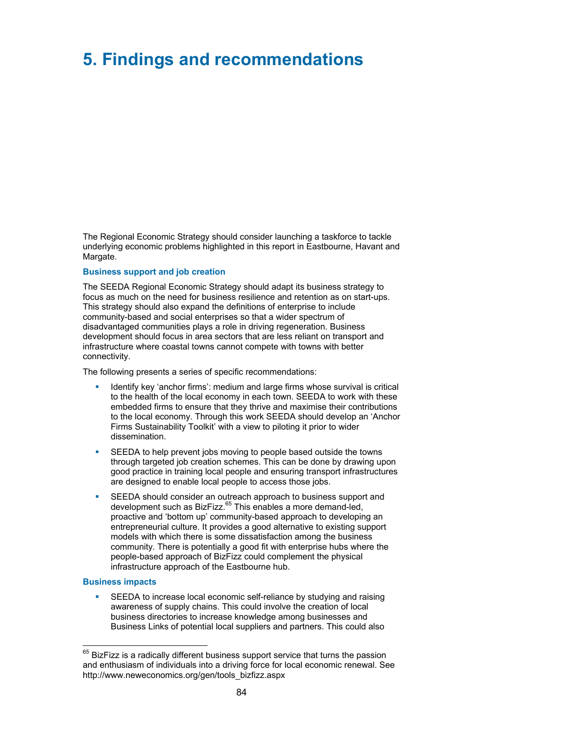# **5. Findings and recommendations**

The Regional Economic Strategy should consider launching a taskforce to tackle underlying economic problems highlighted in this report in Eastbourne, Havant and Margate.

#### **Business support and job creation**

The SEEDA Regional Economic Strategy should adapt its business strategy to focus as much on the need for business resilience and retention as on start-ups. This strategy should also expand the definitions of enterprise to include community-based and social enterprises so that a wider spectrum of disadvantaged communities plays a role in driving regeneration. Business development should focus in area sectors that are less reliant on transport and infrastructure where coastal towns cannot compete with towns with better connectivity.

The following presents a series of specific recommendations:

- Identify key 'anchor firms': medium and large firms whose survival is critical to the health of the local economy in each town. SEEDA to work with these embedded firms to ensure that they thrive and maximise their contributions to the local economy. Through this work SEEDA should develop an 'Anchor Firms Sustainability Toolkit' with a view to piloting it prior to wider dissemination.
- SEEDA to help prevent jobs moving to people based outside the towns through targeted job creation schemes. This can be done by drawing upon good practice in training local people and ensuring transport infrastructures are designed to enable local people to access those jobs.
- SEEDA should consider an outreach approach to business support and development such as BizFizz.<sup>65</sup> This enables a more demand-led, proactive and 'bottom up' community-based approach to developing an entrepreneurial culture. It provides a good alternative to existing support models with which there is some dissatisfaction among the business community. There is potentially a good fit with enterprise hubs where the people-based approach of BizFizz could complement the physical infrastructure approach of the Eastbourne hub.

### **Business impacts**

 SEEDA to increase local economic self-reliance by studying and raising awareness of supply chains. This could involve the creation of local business directories to increase knowledge among businesses and Business Links of potential local suppliers and partners. This could also

l  $<sup>65</sup>$  BizFizz is a radically different business support service that turns the passion</sup> and enthusiasm of individuals into a driving force for local economic renewal. See http://www.neweconomics.org/gen/tools\_bizfizz.aspx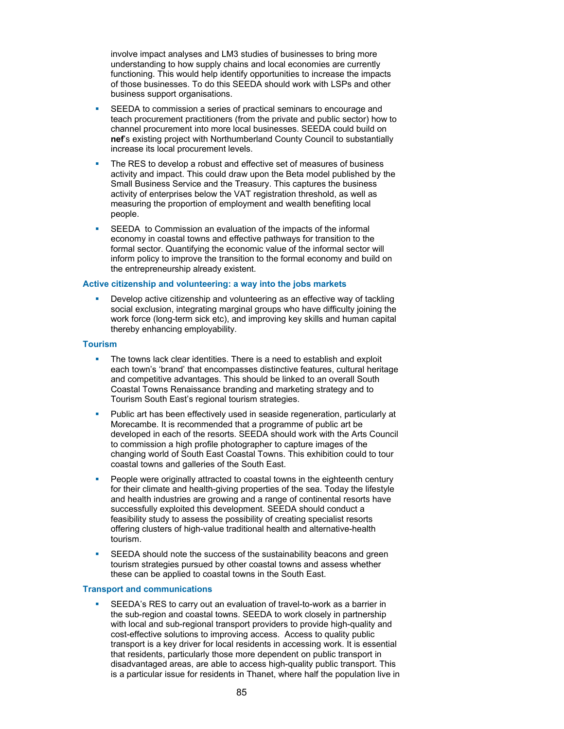involve impact analyses and LM3 studies of businesses to bring more understanding to how supply chains and local economies are currently functioning. This would help identify opportunities to increase the impacts of those businesses. To do this SEEDA should work with LSPs and other business support organisations.

- SEEDA to commission a series of practical seminars to encourage and teach procurement practitioners (from the private and public sector) how to channel procurement into more local businesses. SEEDA could build on **nef**'s existing project with Northumberland County Council to substantially increase its local procurement levels.
- The RES to develop a robust and effective set of measures of business activity and impact. This could draw upon the Beta model published by the Small Business Service and the Treasury. This captures the business activity of enterprises below the VAT registration threshold, as well as measuring the proportion of employment and wealth benefiting local people.
- SEEDA to Commission an evaluation of the impacts of the informal economy in coastal towns and effective pathways for transition to the formal sector. Quantifying the economic value of the informal sector will inform policy to improve the transition to the formal economy and build on the entrepreneurship already existent.

### **Active citizenship and volunteering: a way into the jobs markets**

 Develop active citizenship and volunteering as an effective way of tackling social exclusion, integrating marginal groups who have difficulty joining the work force (long-term sick etc), and improving key skills and human capital thereby enhancing employability.

### **Tourism**

- The towns lack clear identities. There is a need to establish and exploit each town's 'brand' that encompasses distinctive features, cultural heritage and competitive advantages. This should be linked to an overall South Coastal Towns Renaissance branding and marketing strategy and to Tourism South East's regional tourism strategies.
- **Public art has been effectively used in seaside regeneration, particularly at** Morecambe. It is recommended that a programme of public art be developed in each of the resorts. SEEDA should work with the Arts Council to commission a high profile photographer to capture images of the changing world of South East Coastal Towns. This exhibition could to tour coastal towns and galleries of the South East.
- People were originally attracted to coastal towns in the eighteenth century for their climate and health-giving properties of the sea. Today the lifestyle and health industries are growing and a range of continental resorts have successfully exploited this development. SEEDA should conduct a feasibility study to assess the possibility of creating specialist resorts offering clusters of high-value traditional health and alternative-health tourism.
- SEEDA should note the success of the sustainability beacons and green tourism strategies pursued by other coastal towns and assess whether these can be applied to coastal towns in the South East.

### **Transport and communications**

 SEEDA's RES to carry out an evaluation of travel-to-work as a barrier in the sub-region and coastal towns. SEEDA to work closely in partnership with local and sub-regional transport providers to provide high-quality and cost-effective solutions to improving access. Access to quality public transport is a key driver for local residents in accessing work. It is essential that residents, particularly those more dependent on public transport in disadvantaged areas, are able to access high-quality public transport. This is a particular issue for residents in Thanet, where half the population live in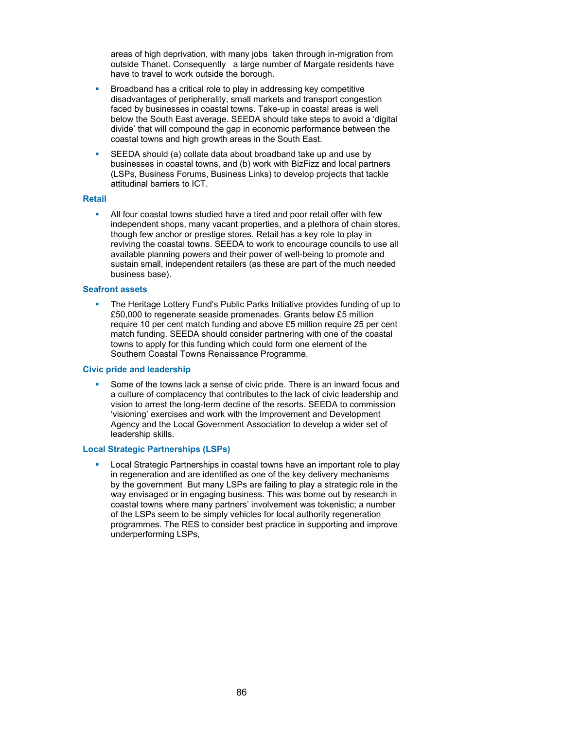areas of high deprivation, with many jobs taken through in-migration from outside Thanet. Consequently a large number of Margate residents have have to travel to work outside the borough.

- Broadband has a critical role to play in addressing key competitive disadvantages of peripherality, small markets and transport congestion faced by businesses in coastal towns. Take-up in coastal areas is well below the South East average. SEEDA should take steps to avoid a 'digital divide' that will compound the gap in economic performance between the coastal towns and high growth areas in the South East.
- SEEDA should (a) collate data about broadband take up and use by businesses in coastal towns, and (b) work with BizFizz and local partners (LSPs, Business Forums, Business Links) to develop projects that tackle attitudinal barriers to ICT.

#### **Retail**

 All four coastal towns studied have a tired and poor retail offer with few independent shops, many vacant properties, and a plethora of chain stores, though few anchor or prestige stores. Retail has a key role to play in reviving the coastal towns. SEEDA to work to encourage councils to use all available planning powers and their power of well-being to promote and sustain small, independent retailers (as these are part of the much needed business base).

#### **Seafront assets**

 The Heritage Lottery Fund's Public Parks Initiative provides funding of up to £50,000 to regenerate seaside promenades. Grants below £5 million require 10 per cent match funding and above £5 million require 25 per cent match funding. SEEDA should consider partnering with one of the coastal towns to apply for this funding which could form one element of the Southern Coastal Towns Renaissance Programme.

#### **Civic pride and leadership**

 Some of the towns lack a sense of civic pride. There is an inward focus and a culture of complacency that contributes to the lack of civic leadership and vision to arrest the long-term decline of the resorts. SEEDA to commission 'visioning' exercises and work with the Improvement and Development Agency and the Local Government Association to develop a wider set of leadership skills.

### **Local Strategic Partnerships (LSPs)**

 Local Strategic Partnerships in coastal towns have an important role to play in regeneration and are identified as one of the key delivery mechanisms by the government But many LSPs are failing to play a strategic role in the way envisaged or in engaging business. This was borne out by research in coastal towns where many partners' involvement was tokenistic; a number of the LSPs seem to be simply vehicles for local authority regeneration programmes. The RES to consider best practice in supporting and improve underperforming LSPs,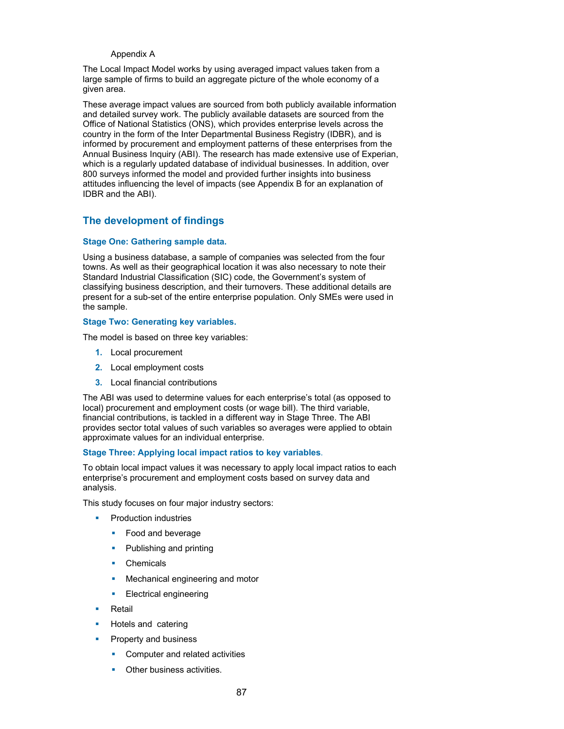### Appendix A

The Local Impact Model works by using averaged impact values taken from a large sample of firms to build an aggregate picture of the whole economy of a given area.

These average impact values are sourced from both publicly available information and detailed survey work. The publicly available datasets are sourced from the Office of National Statistics (ONS), which provides enterprise levels across the country in the form of the Inter Departmental Business Registry (IDBR), and is informed by procurement and employment patterns of these enterprises from the Annual Business Inquiry (ABI). The research has made extensive use of Experian, which is a regularly updated database of individual businesses. In addition, over 800 surveys informed the model and provided further insights into business attitudes influencing the level of impacts (see Appendix B for an explanation of IDBR and the ABI).

# **The development of findings**

## **Stage One: Gathering sample data.**

Using a business database, a sample of companies was selected from the four towns. As well as their geographical location it was also necessary to note their Standard Industrial Classification (SIC) code, the Government's system of classifying business description, and their turnovers. These additional details are present for a sub-set of the entire enterprise population. Only SMEs were used in the sample.

## **Stage Two: Generating key variables.**

The model is based on three key variables:

- **1.** Local procurement
- **2.** Local employment costs
- **3.** Local financial contributions

The ABI was used to determine values for each enterprise's total (as opposed to local) procurement and employment costs (or wage bill). The third variable, financial contributions, is tackled in a different way in Stage Three. The ABI provides sector total values of such variables so averages were applied to obtain approximate values for an individual enterprise.

## **Stage Three: Applying local impact ratios to key variables**.

To obtain local impact values it was necessary to apply local impact ratios to each enterprise's procurement and employment costs based on survey data and analysis.

This study focuses on four major industry sectors:

- Production industries
	- Food and beverage
	- Publishing and printing
	- Chemicals
	- Mechanical engineering and motor
	- Electrical engineering
- Retail
- Hotels and catering
- Property and business
	- Computer and related activities
	- Other business activities.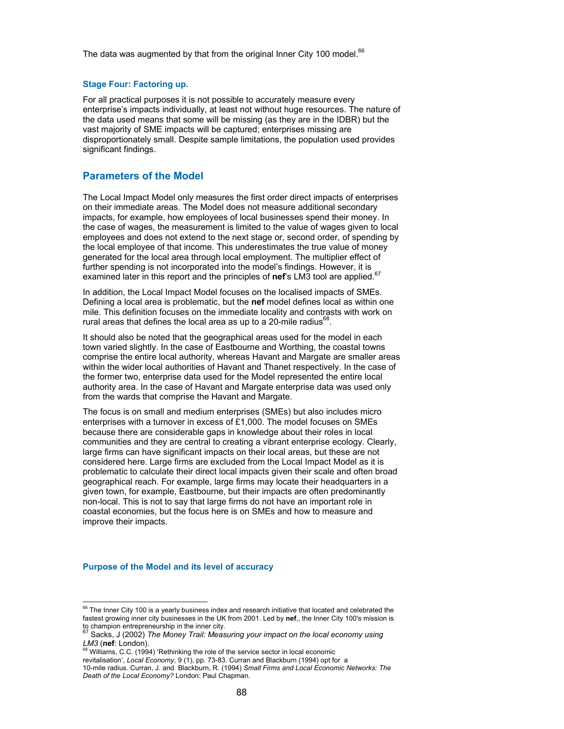The data was augmented by that from the original Inner City 100 model. $66$ 

#### **Stage Four: Factoring up.**

For all practical purposes it is not possible to accurately measure every enterprise's impacts individually, at least not without huge resources. The nature of the data used means that some will be missing (as they are in the IDBR) but the vast majority of SME impacts will be captured; enterprises missing are disproportionately small. Despite sample limitations, the population used provides significant findings.

## **Parameters of the Model**

The Local Impact Model only measures the first order direct impacts of enterprises on their immediate areas. The Model does not measure additional secondary impacts, for example, how employees of local businesses spend their money. In the case of wages, the measurement is limited to the value of wages given to local employees and does not extend to the next stage or, second order, of spending by the local employee of that income. This underestimates the true value of money generated for the local area through local employment. The multiplier effect of further spending is not incorporated into the model's findings. However, it is examined later in this report and the principles of **nef**'s LM3 tool are applied.<sup>67</sup>

In addition, the Local Impact Model focuses on the localised impacts of SMEs. Defining a local area is problematic, but the **nef** model defines local as within one mile. This definition focuses on the immediate locality and contrasts with work on rural areas that defines the local area as up to a 20-mile radius $^{68}$ .

It should also be noted that the geographical areas used for the model in each town varied slightly. In the case of Eastbourne and Worthing, the coastal towns comprise the entire local authority, whereas Havant and Margate are smaller areas within the wider local authorities of Havant and Thanet respectively. In the case of the former two, enterprise data used for the Model represented the entire local authority area. In the case of Havant and Margate enterprise data was used only from the wards that comprise the Havant and Margate.

The focus is on small and medium enterprises (SMEs) but also includes micro enterprises with a turnover in excess of £1,000. The model focuses on SMEs because there are considerable gaps in knowledge about their roles in local communities and they are central to creating a vibrant enterprise ecology. Clearly, large firms can have significant impacts on their local areas, but these are not considered here. Large firms are excluded from the Local Impact Model as it is problematic to calculate their direct local impacts given their scale and often broad geographical reach. For example, large firms may locate their headquarters in a given town, for example, Eastbourne, but their impacts are often predominantly non-local. This is not to say that large firms do not have an important role in coastal economies, but the focus here is on SMEs and how to measure and improve their impacts.

#### **Purpose of the Model and its level of accuracy**

l

 $^{66}$  The Inner City 100 is a yearly business index and research initiative that located and celebrated the fastest growing inner city businesses in the UK from 2001. Led by **nef**,, the Inner City 100's mission is

to champion entrepreneurship in the inner city. 67 Sacks, J (2002) *The Money Trail: Measuring your impact on the local economy using LM3* (nef: London).<br><sup>68</sup> Williams, C.C. (1994) 'Rethinking the role of the service sector in local economic

revitalisation', *Local Economy*, 9 (1), pp. 73-83. Curran and Blackburn (1994) opt for a

<sup>10-</sup>mile radius. Curran, J. and Blackburn, R. (1994) *Small Firms and Local Economic Networks: The Death of the Local Economy?* London: Paul Chapman.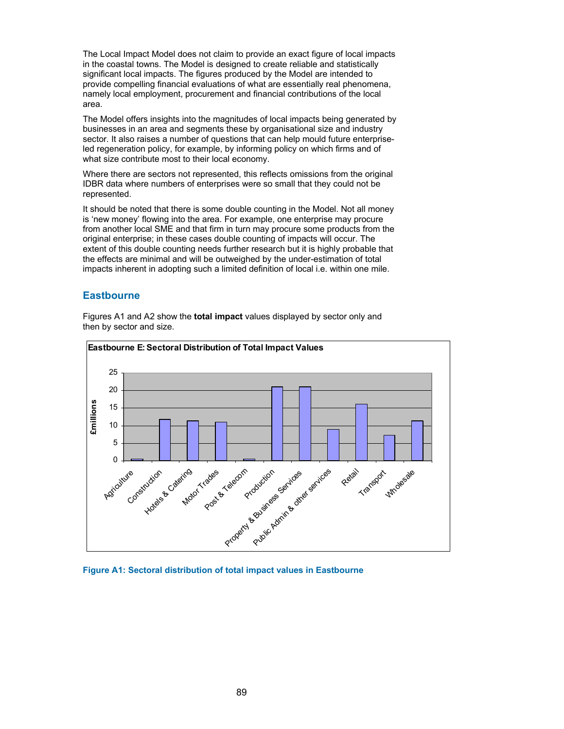The Local Impact Model does not claim to provide an exact figure of local impacts in the coastal towns. The Model is designed to create reliable and statistically significant local impacts. The figures produced by the Model are intended to provide compelling financial evaluations of what are essentially real phenomena, namely local employment, procurement and financial contributions of the local area.

The Model offers insights into the magnitudes of local impacts being generated by businesses in an area and segments these by organisational size and industry sector. It also raises a number of questions that can help mould future enterpriseled regeneration policy, for example, by informing policy on which firms and of what size contribute most to their local economy.

Where there are sectors not represented, this reflects omissions from the original IDBR data where numbers of enterprises were so small that they could not be represented.

It should be noted that there is some double counting in the Model. Not all money is 'new money' flowing into the area. For example, one enterprise may procure from another local SME and that firm in turn may procure some products from the original enterprise; in these cases double counting of impacts will occur. The extent of this double counting needs further research but it is highly probable that the effects are minimal and will be outweighed by the under-estimation of total impacts inherent in adopting such a limited definition of local i.e. within one mile.

# **Eastbourne**

then by sector and size. **Eastbourne E: Sectoral Distribution of Total Impact Values** 25

Figures A1 and A2 show the **total impact** values displayed by sector only and



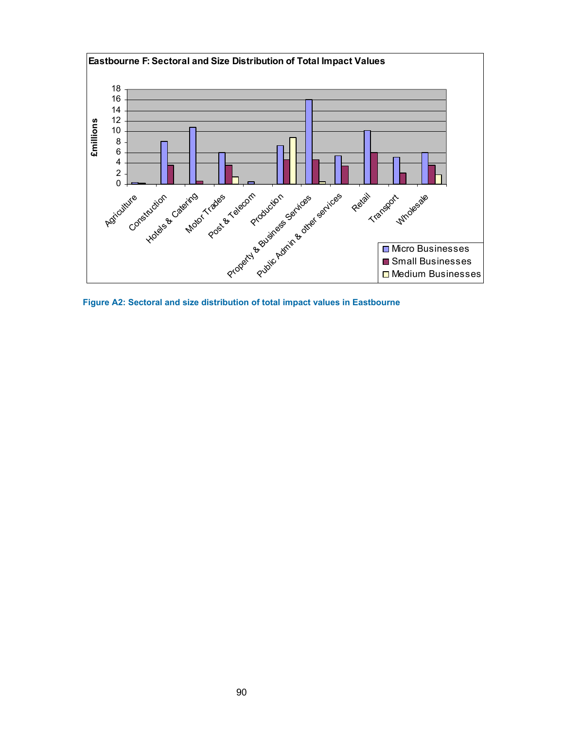

**Figure A2: Sectoral and size distribution of total impact values in Eastbourne**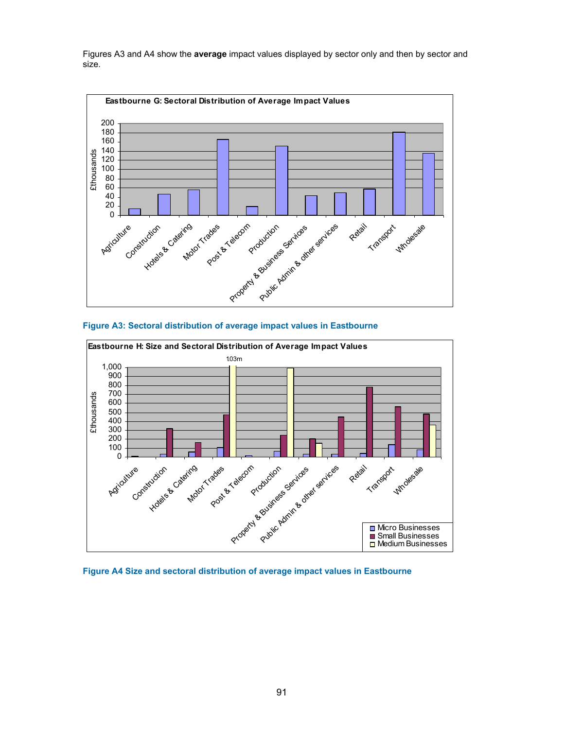Figures A3 and A4 show the **average** impact values displayed by sector only and then by sector and size.







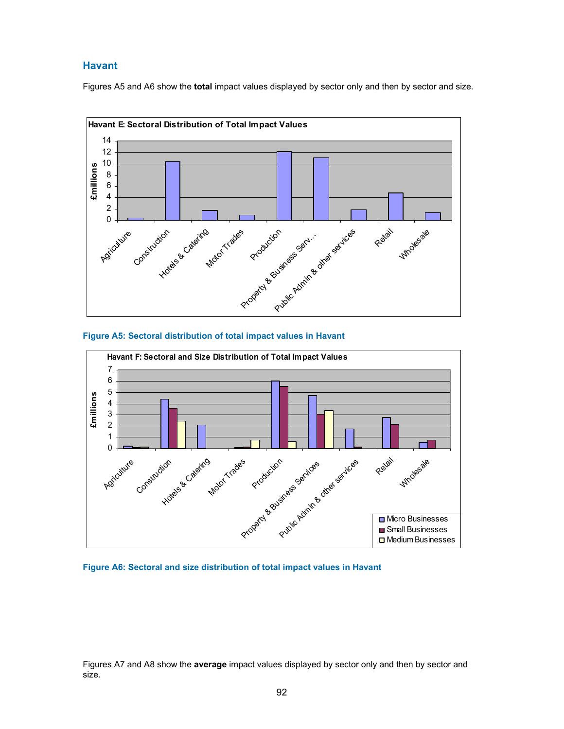# **Havant**

Figures A5 and A6 show the **total** impact values displayed by sector only and then by sector and size.









Figures A7 and A8 show the **average** impact values displayed by sector only and then by sector and size.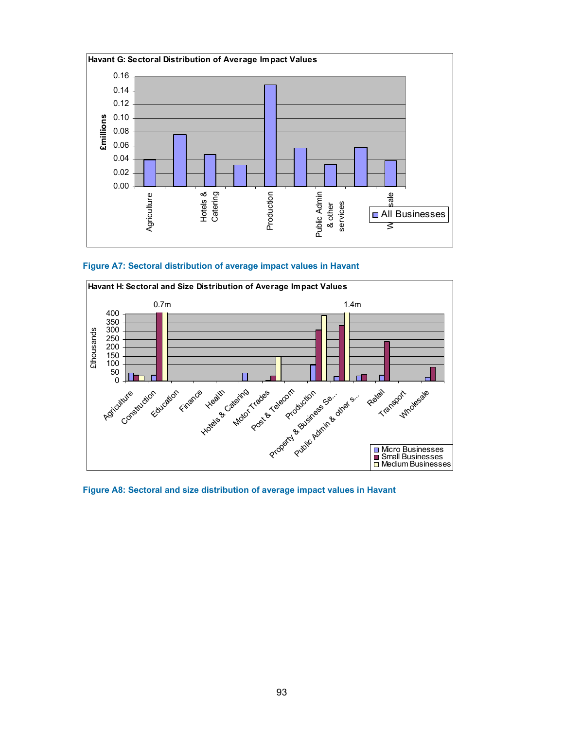

**Figure A7: Sectoral distribution of average impact values in Havant** 



**Figure A8: Sectoral and size distribution of average impact values in Havant**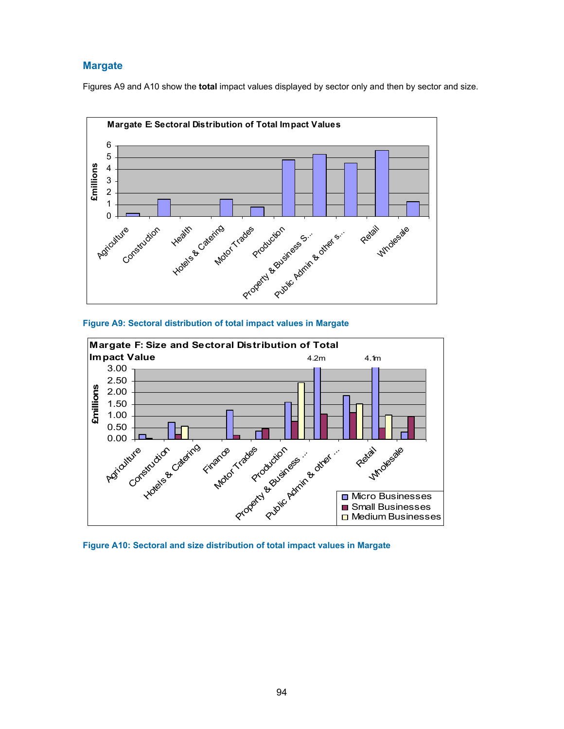# **Margate**

Figures A9 and A10 show the **total** impact values displayed by sector only and then by sector and size.







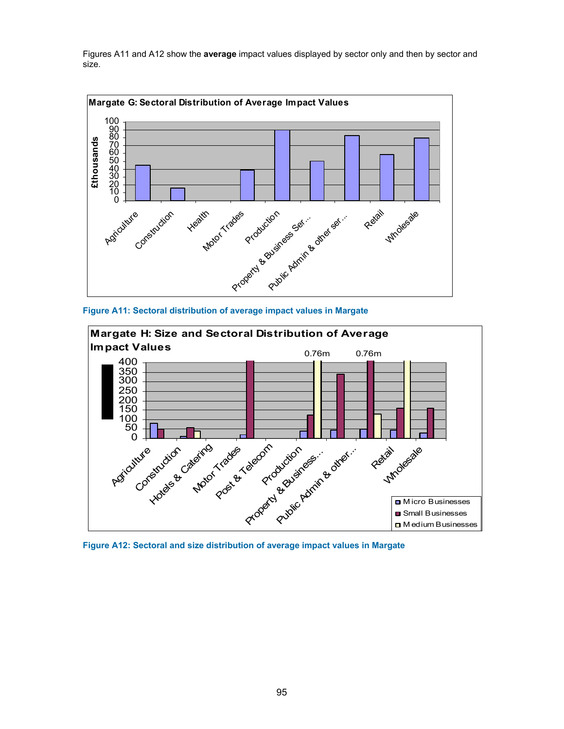Figures A11 and A12 show the **average** impact values displayed by sector only and then by sector and size.



**Figure A11: Sectoral distribution of average impact values in Margate** 



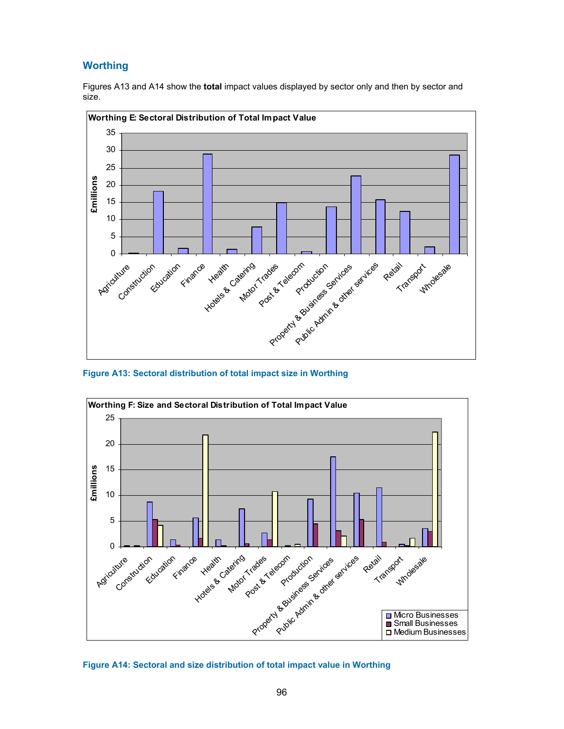# **Worthing**

Figures A13 and A14 show the **total** impact values displayed by sector only and then by sector and size.



**Figure A13: Sectoral distribution of total impact size in Worthing** 



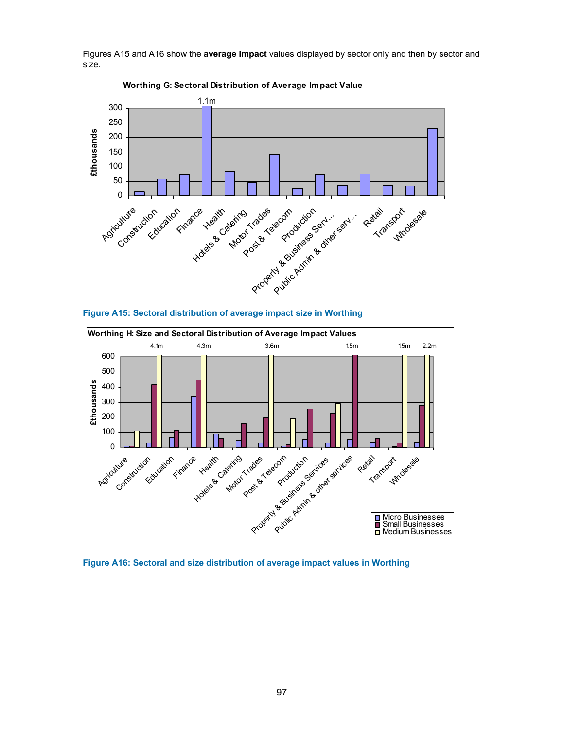Figures A15 and A16 show the **average impact** values displayed by sector only and then by sector and size.



**Figure A15: Sectoral distribution of average impact size in Worthing** 



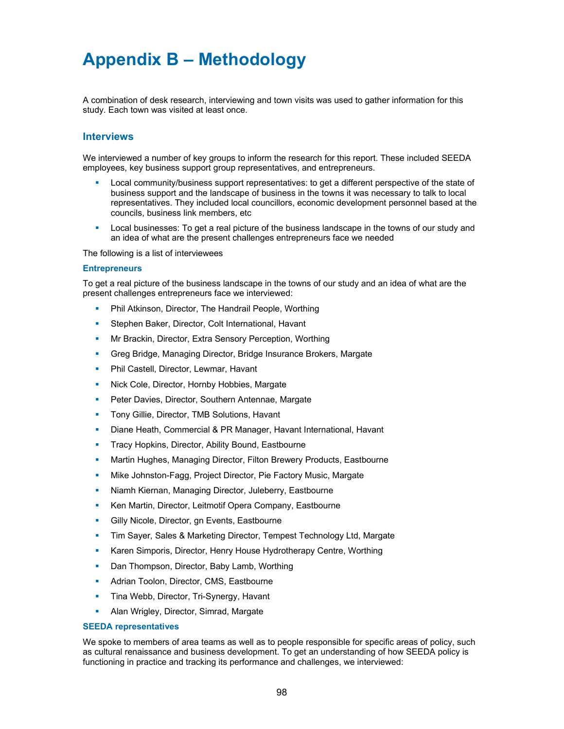# **Appendix B – Methodology**

A combination of desk research, interviewing and town visits was used to gather information for this study. Each town was visited at least once.

## **Interviews**

We interviewed a number of key groups to inform the research for this report. These included SEEDA employees, key business support group representatives, and entrepreneurs.

- Local community/business support representatives: to get a different perspective of the state of business support and the landscape of business in the towns it was necessary to talk to local representatives. They included local councillors, economic development personnel based at the councils, business link members, etc
- Local businesses: To get a real picture of the business landscape in the towns of our study and an idea of what are the present challenges entrepreneurs face we needed

The following is a list of interviewees

#### **Entrepreneurs**

To get a real picture of the business landscape in the towns of our study and an idea of what are the present challenges entrepreneurs face we interviewed:

- Phil Atkinson, Director, The Handrail People, Worthing
- Stephen Baker, Director, Colt International, Havant
- Mr Brackin, Director, Extra Sensory Perception, Worthing
- Greg Bridge, Managing Director, Bridge Insurance Brokers, Margate
- Phil Castell, Director, Lewmar, Havant
- Nick Cole, Director, Hornby Hobbies, Margate
- Peter Davies, Director, Southern Antennae, Margate
- Tony Gillie, Director, TMB Solutions, Havant
- Diane Heath, Commercial & PR Manager, Havant International, Havant
- Tracy Hopkins, Director, Ability Bound, Eastbourne
- Martin Hughes, Managing Director, Filton Brewery Products, Eastbourne
- Mike Johnston-Fagg, Project Director, Pie Factory Music, Margate
- Niamh Kiernan, Managing Director, Juleberry, Eastbourne
- Ken Martin, Director, Leitmotif Opera Company, Eastbourne
- Gilly Nicole, Director, gn Events, Eastbourne
- Tim Sayer, Sales & Marketing Director, Tempest Technology Ltd, Margate
- Karen Simporis, Director, Henry House Hydrotherapy Centre, Worthing
- Dan Thompson, Director, Baby Lamb, Worthing
- Adrian Toolon, Director, CMS, Eastbourne
- Tina Webb, Director, Tri-Synergy, Havant
- Alan Wrigley, Director, Simrad, Margate

#### **SEEDA representatives**

We spoke to members of area teams as well as to people responsible for specific areas of policy, such as cultural renaissance and business development. To get an understanding of how SEEDA policy is functioning in practice and tracking its performance and challenges, we interviewed: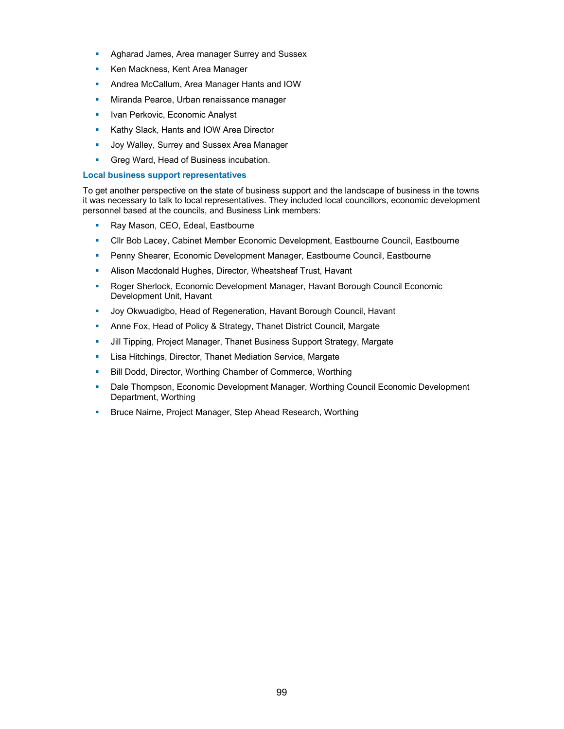- Agharad James, Area manager Surrey and Sussex
- Ken Mackness, Kent Area Manager
- Andrea McCallum, Area Manager Hants and IOW
- Miranda Pearce, Urban renaissance manager
- Ivan Perkovic, Economic Analyst
- **Kathy Slack, Hants and IOW Area Director**
- **Joy Walley, Surrey and Sussex Area Manager**
- **Greg Ward, Head of Business incubation.**

### **Local business support representatives**

To get another perspective on the state of business support and the landscape of business in the towns it was necessary to talk to local representatives. They included local councillors, economic development personnel based at the councils, and Business Link members:

- Ray Mason, CEO, Edeal, Eastbourne
- Cllr Bob Lacey, Cabinet Member Economic Development, Eastbourne Council, Eastbourne
- Penny Shearer, Economic Development Manager, Eastbourne Council, Eastbourne
- Alison Macdonald Hughes, Director, Wheatsheaf Trust, Havant
- Roger Sherlock, Economic Development Manager, Havant Borough Council Economic Development Unit, Havant
- Joy Okwuadigbo, Head of Regeneration, Havant Borough Council, Havant
- Anne Fox, Head of Policy & Strategy, Thanet District Council, Margate
- Jill Tipping, Project Manager, Thanet Business Support Strategy, Margate
- Lisa Hitchings, Director, Thanet Mediation Service, Margate
- Bill Dodd, Director, Worthing Chamber of Commerce, Worthing
- Dale Thompson, Economic Development Manager, Worthing Council Economic Development Department, Worthing
- **Bruce Nairne, Project Manager, Step Ahead Research, Worthing**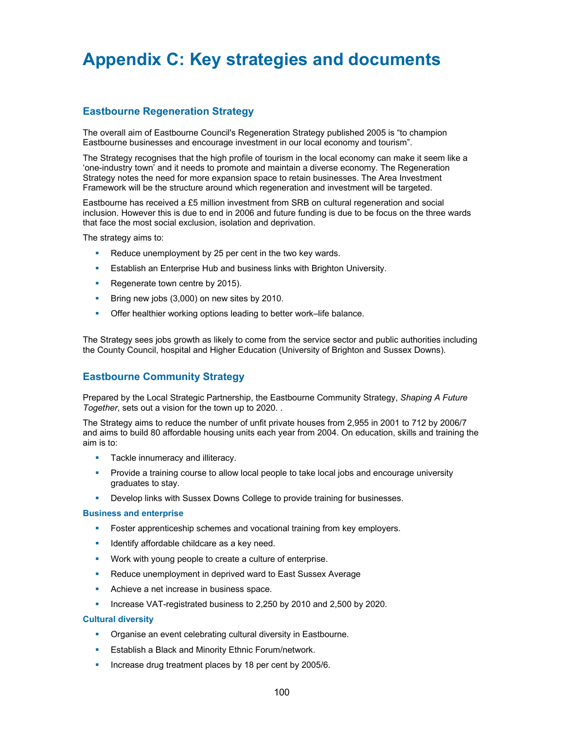# **Appendix C: Key strategies and documents**

# **Eastbourne Regeneration Strategy**

The overall aim of Eastbourne Council's Regeneration Strategy published 2005 is "to champion Eastbourne businesses and encourage investment in our local economy and tourism".

The Strategy recognises that the high profile of tourism in the local economy can make it seem like a 'one-industry town' and it needs to promote and maintain a diverse economy. The Regeneration Strategy notes the need for more expansion space to retain businesses. The Area Investment Framework will be the structure around which regeneration and investment will be targeted.

Eastbourne has received a £5 million investment from SRB on cultural regeneration and social inclusion. However this is due to end in 2006 and future funding is due to be focus on the three wards that face the most social exclusion, isolation and deprivation.

The strategy aims to:

- Reduce unemployment by 25 per cent in the two key wards.
- **Establish an Enterprise Hub and business links with Brighton University.**
- Regenerate town centre by 2015).
- Bring new jobs (3,000) on new sites by 2010.
- Offer healthier working options leading to better work–life balance.

The Strategy sees jobs growth as likely to come from the service sector and public authorities including the County Council, hospital and Higher Education (University of Brighton and Sussex Downs).

# **Eastbourne Community Strategy**

Prepared by the Local Strategic Partnership, the Eastbourne Community Strategy, *Shaping A Future Together*, sets out a vision for the town up to 2020. .

The Strategy aims to reduce the number of unfit private houses from 2,955 in 2001 to 712 by 2006/7 and aims to build 80 affordable housing units each year from 2004. On education, skills and training the aim is to:

- **Tackle innumeracy and illiteracy.**
- **Provide a training course to allow local people to take local jobs and encourage university** graduates to stay.
- Develop links with Sussex Downs College to provide training for businesses.

#### **Business and enterprise**

- Foster apprenticeship schemes and vocational training from key employers.
- Identify affordable childcare as a key need.
- Work with young people to create a culture of enterprise.
- Reduce unemployment in deprived ward to East Sussex Average
- Achieve a net increase in business space.
- Increase VAT-registrated business to 2,250 by 2010 and 2,500 by 2020.

### **Cultural diversity**

- Organise an event celebrating cultural diversity in Eastbourne.
- Establish a Black and Minority Ethnic Forum/network.
- Increase drug treatment places by 18 per cent by 2005/6.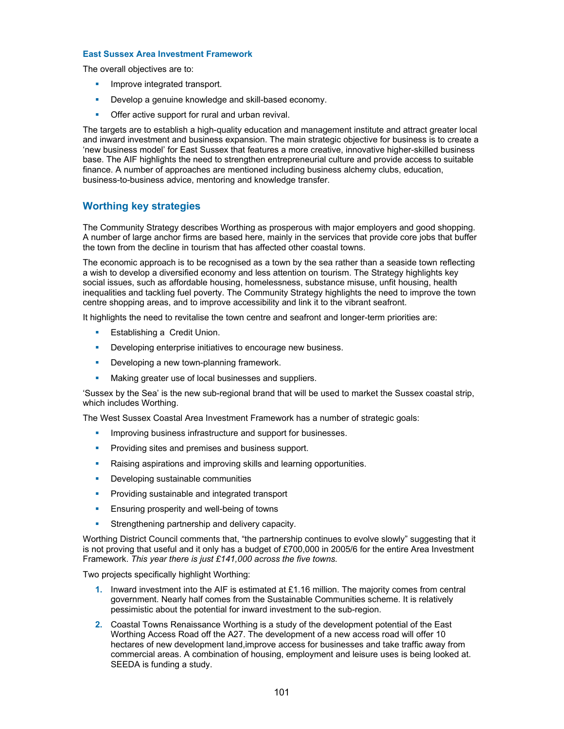### **East Sussex Area Investment Framework**

The overall objectives are to:

- **Improve integrated transport.**
- Develop a genuine knowledge and skill-based economy.
- **Offer active support for rural and urban revival.**

The targets are to establish a high-quality education and management institute and attract greater local and inward investment and business expansion. The main strategic objective for business is to create a 'new business model' for East Sussex that features a more creative, innovative higher-skilled business base. The AIF highlights the need to strengthen entrepreneurial culture and provide access to suitable finance. A number of approaches are mentioned including business alchemy clubs, education, business-to-business advice, mentoring and knowledge transfer.

# **Worthing key strategies**

The Community Strategy describes Worthing as prosperous with major employers and good shopping. A number of large anchor firms are based here, mainly in the services that provide core jobs that buffer the town from the decline in tourism that has affected other coastal towns.

The economic approach is to be recognised as a town by the sea rather than a seaside town reflecting a wish to develop a diversified economy and less attention on tourism. The Strategy highlights key social issues, such as affordable housing, homelessness, substance misuse, unfit housing, health inequalities and tackling fuel poverty. The Community Strategy highlights the need to improve the town centre shopping areas, and to improve accessibility and link it to the vibrant seafront.

It highlights the need to revitalise the town centre and seafront and longer-term priorities are:

- **Establishing a Credit Union.**
- **•** Developing enterprise initiatives to encourage new business.
- **-** Developing a new town-planning framework.
- Making greater use of local businesses and suppliers.

'Sussex by the Sea' is the new sub-regional brand that will be used to market the Sussex coastal strip, which includes Worthing.

The West Sussex Coastal Area Investment Framework has a number of strategic goals:

- **Improving business infrastructure and support for businesses.**
- Providing sites and premises and business support.
- Raising aspirations and improving skills and learning opportunities.
- Developing sustainable communities
- **Providing sustainable and integrated transport**
- **Ensuring prosperity and well-being of towns**
- Strengthening partnership and delivery capacity.

Worthing District Council comments that, "the partnership continues to evolve slowly" suggesting that it is not proving that useful and it only has a budget of £700,000 in 2005/6 for the entire Area Investment Framework. *This year there is just £141,000 across the five towns.* 

Two projects specifically highlight Worthing:

- **1.** Inward investment into the AIF is estimated at £1.16 million. The majority comes from central government. Nearly half comes from the Sustainable Communities scheme. It is relatively pessimistic about the potential for inward investment to the sub-region.
- **2.** Coastal Towns Renaissance Worthing is a study of the development potential of the East Worthing Access Road off the A27. The development of a new access road will offer 10 hectares of new development land,improve access for businesses and take traffic away from commercial areas. A combination of housing, employment and leisure uses is being looked at. SEEDA is funding a study.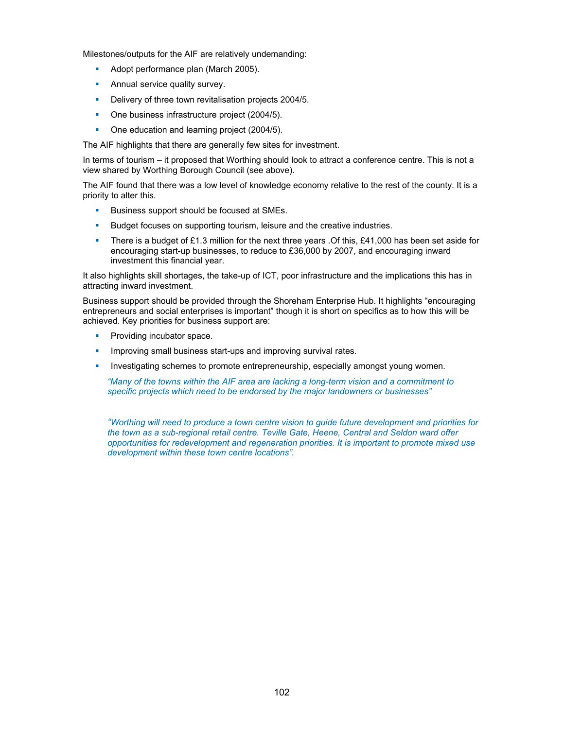Milestones/outputs for the AIF are relatively undemanding:

- Adopt performance plan (March 2005).
- **Annual service quality survey.**
- Delivery of three town revitalisation projects 2004/5.
- One business infrastructure project (2004/5).
- One education and learning project (2004/5).

The AIF highlights that there are generally few sites for investment.

In terms of tourism – it proposed that Worthing should look to attract a conference centre. This is not a view shared by Worthing Borough Council (see above).

The AIF found that there was a low level of knowledge economy relative to the rest of the county. It is a priority to alter this.

- Business support should be focused at SMEs.
- Budget focuses on supporting tourism, leisure and the creative industries.
- There is a budget of £1.3 million for the next three years .Of this, £41,000 has been set aside for encouraging start-up businesses, to reduce to £36,000 by 2007, and encouraging inward investment this financial year.

It also highlights skill shortages, the take-up of ICT, poor infrastructure and the implications this has in attracting inward investment.

Business support should be provided through the Shoreham Enterprise Hub. It highlights "encouraging entrepreneurs and social enterprises is important" though it is short on specifics as to how this will be achieved. Key priorities for business support are:

- Providing incubator space.
- Improving small business start-ups and improving survival rates.
- Investigating schemes to promote entrepreneurship, especially amongst young women.

*"Many of the towns within the AIF area are lacking a long-term vision and a commitment to specific projects which need to be endorsed by the major landowners or businesses"* 

*"Worthing will need to produce a town centre vision to guide future development and priorities for the town as a sub-regional retail centre. Teville Gate, Heene, Central and Seldon ward offer opportunities for redevelopment and regeneration priorities. It is important to promote mixed use development within these town centre locations".*